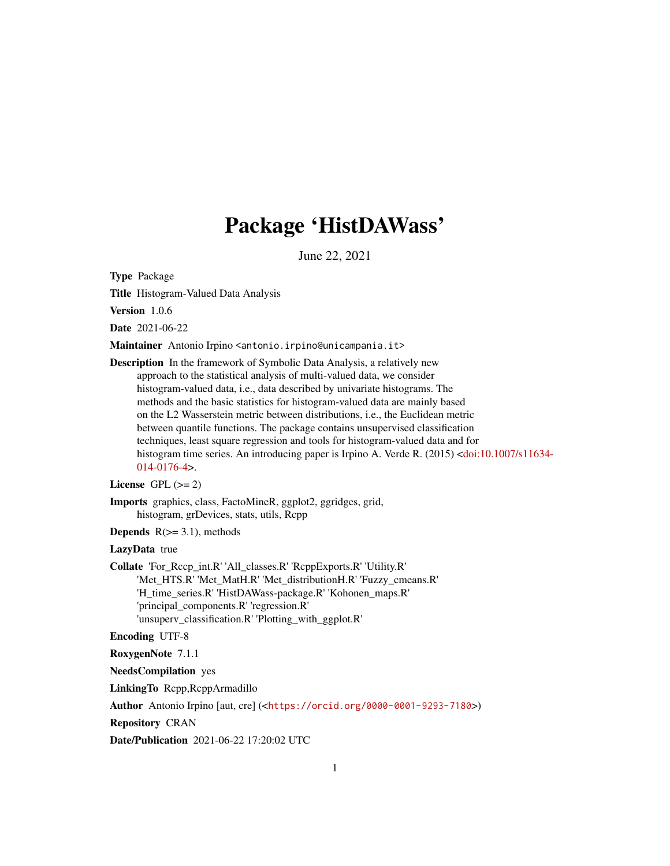# Package 'HistDAWass'

June 22, 2021

<span id="page-0-0"></span>Type Package

Title Histogram-Valued Data Analysis

Version 1.0.6

Date 2021-06-22

Maintainer Antonio Irpino <antonio.irpino@unicampania.it>

Description In the framework of Symbolic Data Analysis, a relatively new approach to the statistical analysis of multi-valued data, we consider histogram-valued data, i.e., data described by univariate histograms. The methods and the basic statistics for histogram-valued data are mainly based on the L2 Wasserstein metric between distributions, i.e., the Euclidean metric between quantile functions. The package contains unsupervised classification techniques, least square regression and tools for histogram-valued data and for histogram time series. An introducing paper is Irpino A. Verde R. (2015) [<doi:10.1007/s11634-](https://doi.org/10.1007/s11634-014-0176-4) [014-0176-4>](https://doi.org/10.1007/s11634-014-0176-4).

License GPL  $(>= 2)$ 

Imports graphics, class, FactoMineR, ggplot2, ggridges, grid, histogram, grDevices, stats, utils, Rcpp

**Depends**  $R(>= 3.1)$ , methods

## LazyData true

Collate 'For\_Rccp\_int.R' 'All\_classes.R' 'RcppExports.R' 'Utility.R' 'Met\_HTS.R' 'Met\_MatH.R' 'Met\_distributionH.R' 'Fuzzy\_cmeans.R' 'H\_time\_series.R' 'HistDAWass-package.R' 'Kohonen\_maps.R' 'principal\_components.R' 'regression.R' 'unsuperv\_classification.R' 'Plotting\_with\_ggplot.R'

## Encoding UTF-8

RoxygenNote 7.1.1

NeedsCompilation yes

LinkingTo Rcpp,RcppArmadillo

Author Antonio Irpino [aut, cre] (<<https://orcid.org/0000-0001-9293-7180>>)

Repository CRAN

Date/Publication 2021-06-22 17:20:02 UTC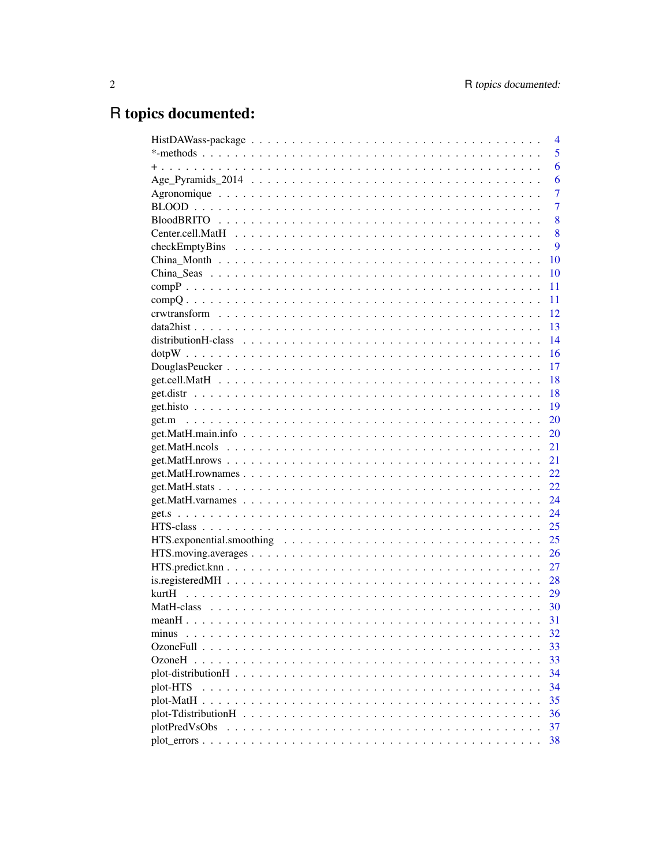# R topics documented:

|                                                                                                                       | $\overline{4}$ |
|-----------------------------------------------------------------------------------------------------------------------|----------------|
|                                                                                                                       | 5              |
|                                                                                                                       | 6              |
|                                                                                                                       | 6              |
|                                                                                                                       | $\overline{7}$ |
|                                                                                                                       | $\overline{7}$ |
|                                                                                                                       | 8              |
|                                                                                                                       | 8              |
|                                                                                                                       | 9              |
|                                                                                                                       | 10             |
|                                                                                                                       | 10             |
|                                                                                                                       | 11             |
|                                                                                                                       | 11             |
|                                                                                                                       | 12             |
|                                                                                                                       | 13             |
|                                                                                                                       | 14             |
|                                                                                                                       | 16             |
|                                                                                                                       | 17             |
|                                                                                                                       | 18             |
|                                                                                                                       | 18             |
|                                                                                                                       | 19             |
|                                                                                                                       | 20             |
|                                                                                                                       | 20             |
|                                                                                                                       | 21             |
|                                                                                                                       | 21             |
|                                                                                                                       | 22             |
|                                                                                                                       | 22             |
| $get. Math. varnames \dots \dots \dots \dots \dots \dots \dots \dots \dots \dots \dots \dots \dots \dots \dots \dots$ | 24             |
|                                                                                                                       | 24             |
|                                                                                                                       | 25             |
| HTS. exponential. smoothing $\ldots \ldots \ldots \ldots \ldots \ldots \ldots \ldots \ldots \ldots \ldots \ldots$     | 25             |
|                                                                                                                       | 26             |
|                                                                                                                       | 27             |
|                                                                                                                       | 28             |
|                                                                                                                       | 29             |
|                                                                                                                       |                |
|                                                                                                                       | 31             |
| minus                                                                                                                 | 32             |
|                                                                                                                       | 33             |
|                                                                                                                       | 33             |
|                                                                                                                       | 34             |
| plot-HTS                                                                                                              | 34             |
|                                                                                                                       | 35             |
|                                                                                                                       | 36             |
| plotPredVsObs                                                                                                         | 37             |
|                                                                                                                       | 38             |
|                                                                                                                       |                |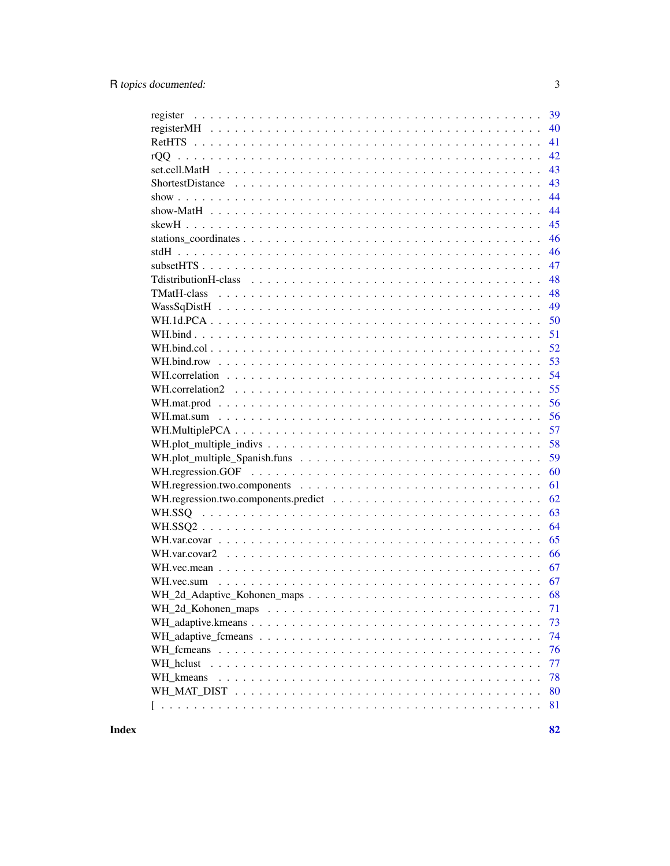| 39 |
|----|
| 40 |
| 41 |
| 42 |
| 43 |
| 43 |
| 44 |
| 44 |
| 45 |
| 46 |
| 46 |
| 47 |
| 48 |
| 48 |
| 49 |
| 50 |
| 51 |
| 52 |
| 53 |
| 54 |
| 55 |
| 56 |
| 56 |
| 57 |
|    |
| 58 |
| 59 |
| 60 |
| 61 |
| 62 |
| 63 |
| 64 |
| 65 |
| 66 |
| 67 |
| 67 |
| 68 |
| 71 |
| 73 |
| 74 |
| 76 |
| 77 |
| 78 |
| 80 |
| 81 |
|    |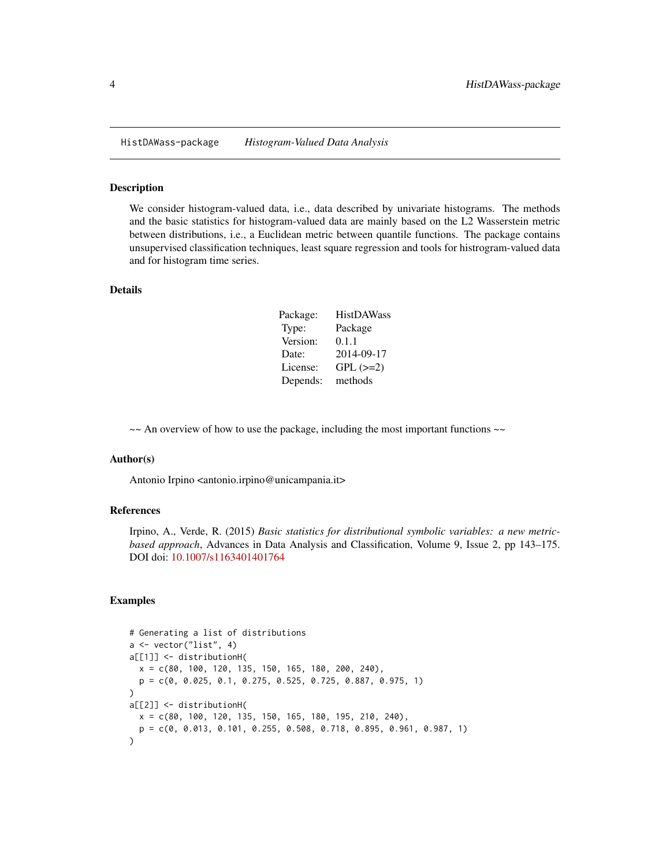<span id="page-3-0"></span>HistDAWass-package *Histogram-Valued Data Analysis*

#### Description

We consider histogram-valued data, i.e., data described by univariate histograms. The methods and the basic statistics for histogram-valued data are mainly based on the L2 Wasserstein metric between distributions, i.e., a Euclidean metric between quantile functions. The package contains unsupervised classification techniques, least square regression and tools for histrogram-valued data and for histogram time series.

## Details

| Package: | <b>HistDAWass</b> |
|----------|-------------------|
| Type:    | Package           |
| Version: | 0.1.1             |
| Date:    | 2014-09-17        |
| License: | $GPL$ $(>=2)$     |
| Depends: | methods           |

 $\sim$  An overview of how to use the package, including the most important functions  $\sim$ 

#### Author(s)

Antonio Irpino <antonio.irpino@unicampania.it>

#### References

Irpino, A., Verde, R. (2015) *Basic statistics for distributional symbolic variables: a new metricbased approach*, Advances in Data Analysis and Classification, Volume 9, Issue 2, pp 143–175. DOI doi: [10.1007/s1163401401764](https://doi.org/10.1007/s11634-014-0176-4)

```
# Generating a list of distributions
a <- vector("list", 4)
a[[1]] <- distributionH(
  x = c(80, 100, 120, 135, 150, 165, 180, 200, 240)p = c(0, 0.025, 0.1, 0.275, 0.525, 0.725, 0.887, 0.975, 1)
)
a[[2]] <- distributionH(
  x = c(80, 100, 120, 135, 150, 165, 180, 195, 210, 240),
  p = c(0, 0.013, 0.101, 0.255, 0.508, 0.718, 0.895, 0.961, 0.987, 1)
)
```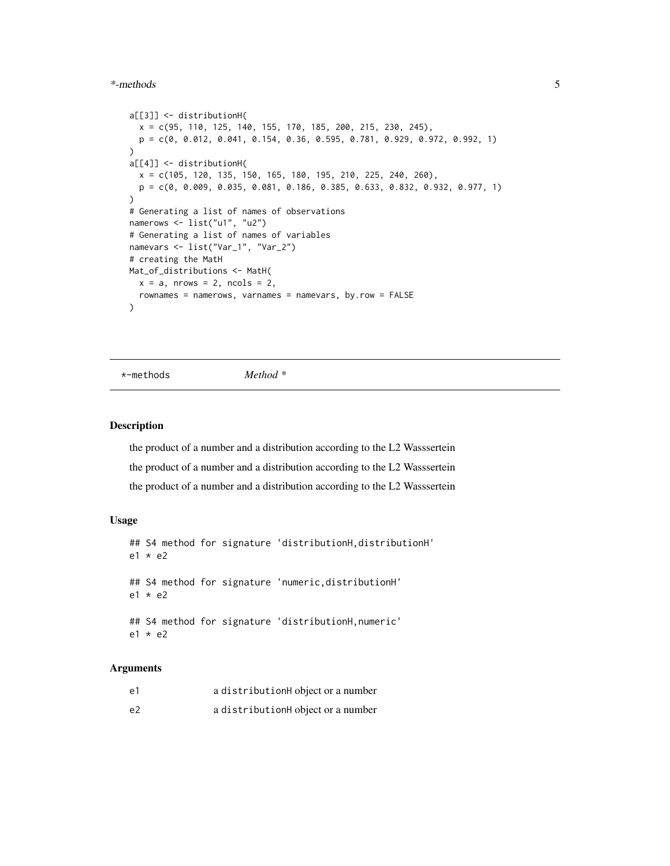#### <span id="page-4-0"></span>\*-methods 5

```
a[[3]] <- distributionH(
  x = c(95, 110, 125, 140, 155, 170, 185, 200, 215, 230, 245),
  p = c(0, 0.012, 0.041, 0.154, 0.36, 0.595, 0.781, 0.929, 0.972, 0.992, 1)
)
a[[4]] <- distributionH(
 x = c(105, 120, 135, 150, 165, 180, 195, 210, 225, 240, 260),
  p = c(0, 0.009, 0.035, 0.081, 0.186, 0.385, 0.633, 0.832, 0.932, 0.977, 1)
)
# Generating a list of names of observations
namerows <- list("u1", "u2")
# Generating a list of names of variables
namevars <- list("Var_1", "Var_2")
# creating the MatH
Mat_of_distributions <- MatH(
  x = a, nrows = 2, ncols = 2,
  rownames = namerows, varnames = namevars, by.row = FALSE
)
```
\*-methods *Method \**

#### Description

the product of a number and a distribution according to the L2 Wasssertein the product of a number and a distribution according to the L2 Wasssertein the product of a number and a distribution according to the L2 Wasssertein

## Usage

```
## S4 method for signature 'distributionH,distributionH'
e1 * e2
## S4 method for signature 'numeric,distributionH'
e1 * e2
## S4 method for signature 'distributionH,numeric'
e1 * e2
```
#### **Arguments**

| e1             | a distributionH object or a number |
|----------------|------------------------------------|
| e <sub>2</sub> | a distributionH object or a number |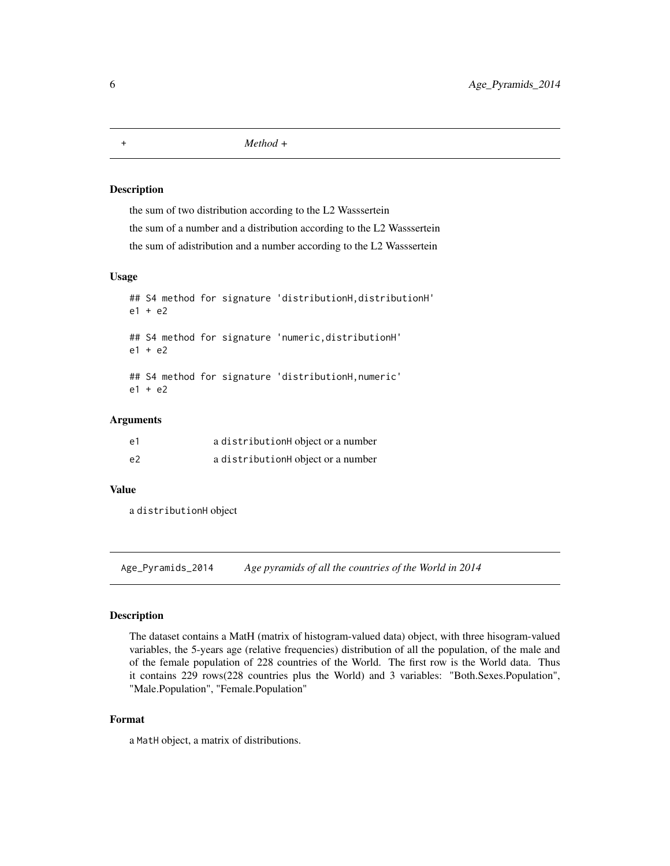<span id="page-5-0"></span>+ *Method +*

#### Description

the sum of two distribution according to the L2 Wasssertein the sum of a number and a distribution according to the L2 Wasssertein the sum of adistribution and a number according to the L2 Wasssertein

## Usage

```
## S4 method for signature 'distributionH,distributionH'
e1 + e2
## S4 method for signature 'numeric,distributionH'
e1 + e2
## S4 method for signature 'distributionH,numeric'
e1 + e2
```
## Arguments

| e1             | a distributionH object or a number |
|----------------|------------------------------------|
| e <sub>2</sub> | a distributionH object or a number |

#### Value

a distributionH object

Age\_Pyramids\_2014 *Age pyramids of all the countries of the World in 2014*

#### Description

The dataset contains a MatH (matrix of histogram-valued data) object, with three hisogram-valued variables, the 5-years age (relative frequencies) distribution of all the population, of the male and of the female population of 228 countries of the World. The first row is the World data. Thus it contains 229 rows(228 countries plus the World) and 3 variables: "Both.Sexes.Population", "Male.Population", "Female.Population"

# Format

a MatH object, a matrix of distributions.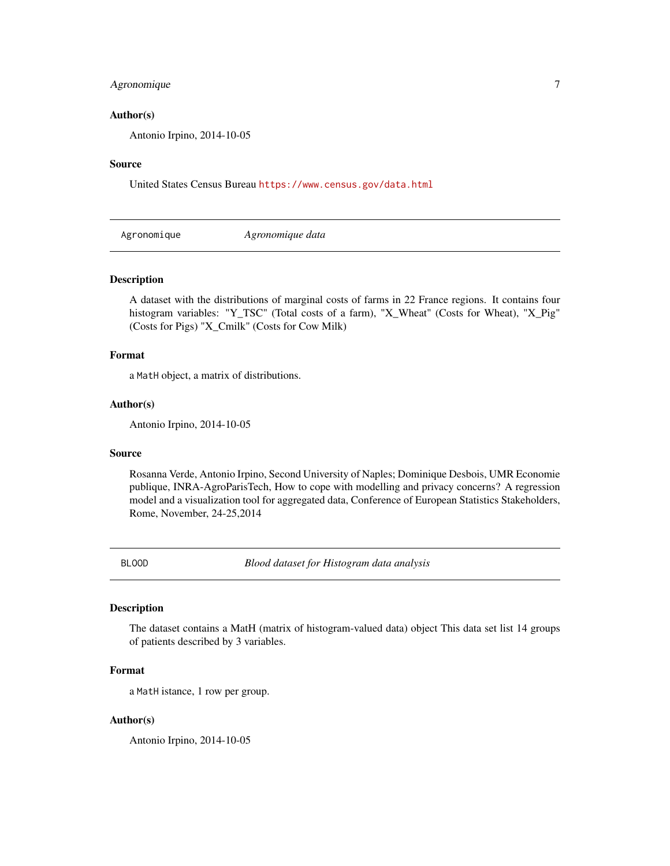# <span id="page-6-0"></span>Agronomique 7

## Author(s)

Antonio Irpino, 2014-10-05

#### Source

United States Census Bureau <https://www.census.gov/data.html>

Agronomique *Agronomique data*

## Description

A dataset with the distributions of marginal costs of farms in 22 France regions. It contains four histogram variables: "Y\_TSC" (Total costs of a farm), "X\_Wheat" (Costs for Wheat), "X\_Pig" (Costs for Pigs) "X\_Cmilk" (Costs for Cow Milk)

#### Format

a MatH object, a matrix of distributions.

#### Author(s)

Antonio Irpino, 2014-10-05

#### Source

Rosanna Verde, Antonio Irpino, Second University of Naples; Dominique Desbois, UMR Economie publique, INRA-AgroParisTech, How to cope with modelling and privacy concerns? A regression model and a visualization tool for aggregated data, Conference of European Statistics Stakeholders, Rome, November, 24-25,2014

BLOOD *Blood dataset for Histogram data analysis*

# Description

The dataset contains a MatH (matrix of histogram-valued data) object This data set list 14 groups of patients described by 3 variables.

# Format

a MatH istance, 1 row per group.

#### Author(s)

Antonio Irpino, 2014-10-05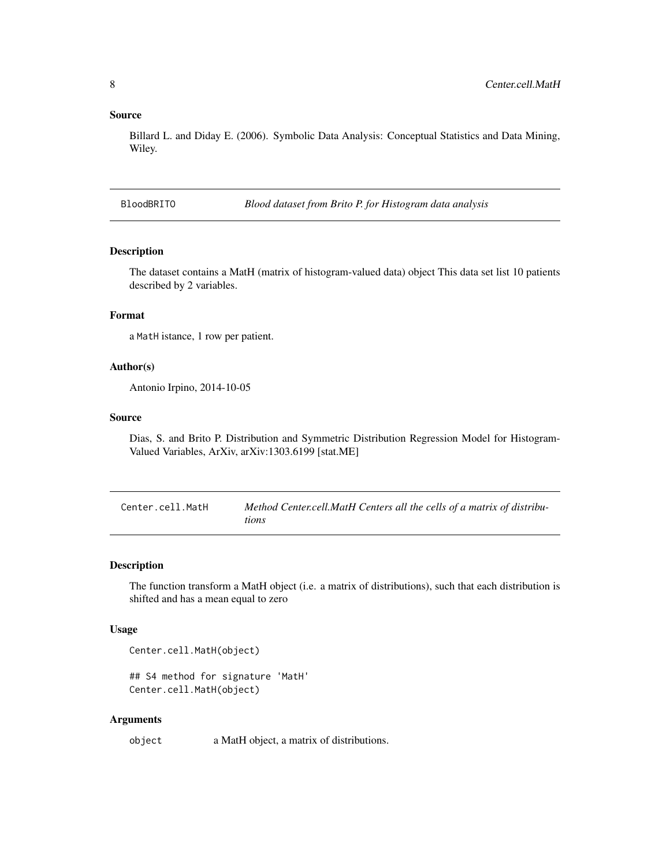#### <span id="page-7-0"></span>Source

Billard L. and Diday E. (2006). Symbolic Data Analysis: Conceptual Statistics and Data Mining, Wiley.

BloodBRITO *Blood dataset from Brito P. for Histogram data analysis*

# Description

The dataset contains a MatH (matrix of histogram-valued data) object This data set list 10 patients described by 2 variables.

# Format

a MatH istance, 1 row per patient.

## Author(s)

Antonio Irpino, 2014-10-05

#### Source

Dias, S. and Brito P. Distribution and Symmetric Distribution Regression Model for Histogram-Valued Variables, ArXiv, arXiv:1303.6199 [stat.ME]

| Center.cell.MatH | Method Center.cell.MatH Centers all the cells of a matrix of distribu- |
|------------------|------------------------------------------------------------------------|
|                  | tions                                                                  |

## Description

The function transform a MatH object (i.e. a matrix of distributions), such that each distribution is shifted and has a mean equal to zero

#### Usage

Center.cell.MatH(object)

```
## S4 method for signature 'MatH'
Center.cell.MatH(object)
```
#### Arguments

object a MatH object, a matrix of distributions.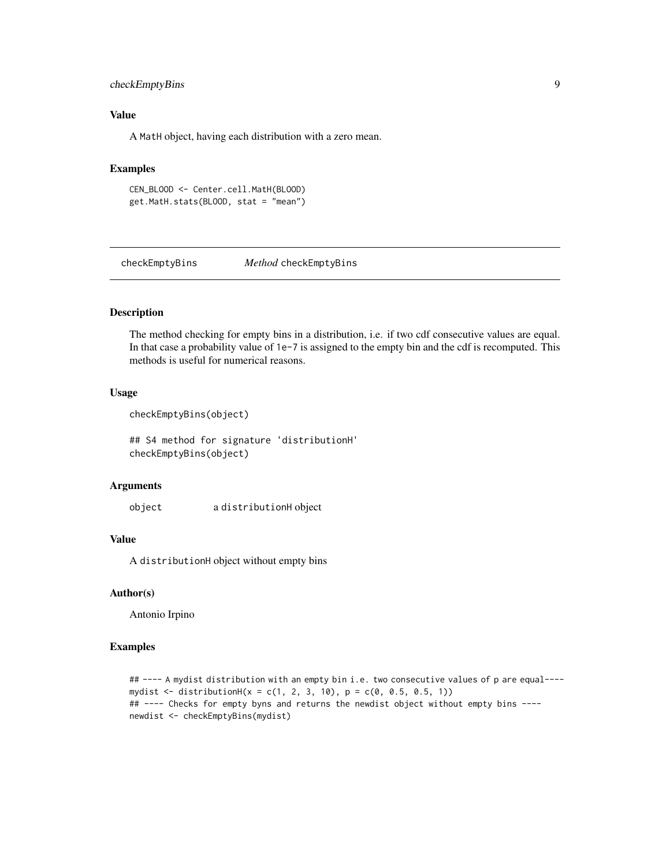# <span id="page-8-0"></span>checkEmptyBins 9

# Value

A MatH object, having each distribution with a zero mean.

# Examples

```
CEN_BLOOD <- Center.cell.MatH(BLOOD)
get.MatH.stats(BLOOD, stat = "mean")
```
checkEmptyBins *Method* checkEmptyBins

# Description

The method checking for empty bins in a distribution, i.e. if two cdf consecutive values are equal. In that case a probability value of 1e-7 is assigned to the empty bin and the cdf is recomputed. This methods is useful for numerical reasons.

## Usage

```
checkEmptyBins(object)
```
## S4 method for signature 'distributionH' checkEmptyBins(object)

#### **Arguments**

object a distributionH object

#### Value

A distributionH object without empty bins

## Author(s)

Antonio Irpino

```
## ---- A mydist distribution with an empty bin i.e. two consecutive values of p are equal----
mydist <- distributionH(x = c(1, 2, 3, 10), p = c(0, 0.5, 0.5, 1))
## ---- Checks for empty byns and returns the newdist object without empty bins ----
newdist <- checkEmptyBins(mydist)
```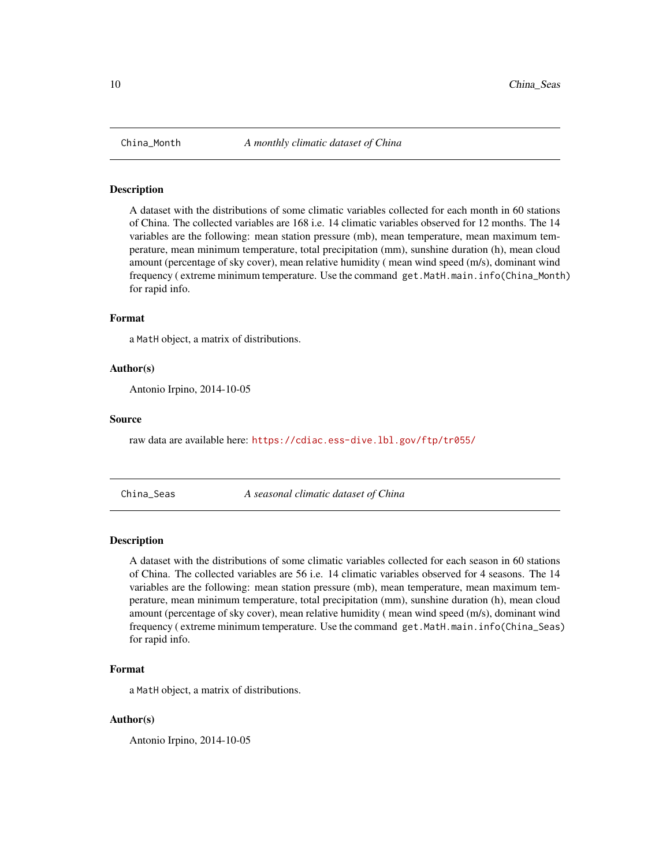<span id="page-9-0"></span>

#### Description

A dataset with the distributions of some climatic variables collected for each month in 60 stations of China. The collected variables are 168 i.e. 14 climatic variables observed for 12 months. The 14 variables are the following: mean station pressure (mb), mean temperature, mean maximum temperature, mean minimum temperature, total precipitation (mm), sunshine duration (h), mean cloud amount (percentage of sky cover), mean relative humidity ( mean wind speed (m/s), dominant wind frequency ( extreme minimum temperature. Use the command get.MatH.main.info(China\_Month) for rapid info.

# Format

a MatH object, a matrix of distributions.

#### Author(s)

Antonio Irpino, 2014-10-05

#### Source

raw data are available here: <https://cdiac.ess-dive.lbl.gov/ftp/tr055/>

China\_Seas *A seasonal climatic dataset of China*

## **Description**

A dataset with the distributions of some climatic variables collected for each season in 60 stations of China. The collected variables are 56 i.e. 14 climatic variables observed for 4 seasons. The 14 variables are the following: mean station pressure (mb), mean temperature, mean maximum temperature, mean minimum temperature, total precipitation (mm), sunshine duration (h), mean cloud amount (percentage of sky cover), mean relative humidity ( mean wind speed (m/s), dominant wind frequency ( extreme minimum temperature. Use the command get.MatH.main.info(China\_Seas) for rapid info.

#### Format

a MatH object, a matrix of distributions.

#### Author(s)

Antonio Irpino, 2014-10-05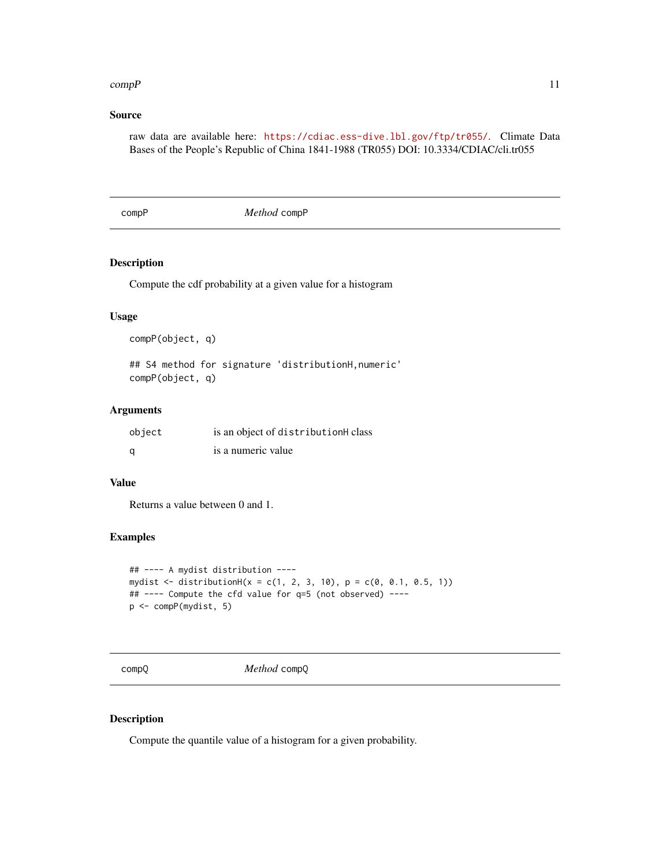#### <span id="page-10-0"></span> $compP$  11

# Source

raw data are available here: <https://cdiac.ess-dive.lbl.gov/ftp/tr055/>. Climate Data Bases of the People's Republic of China 1841-1988 (TR055) DOI: 10.3334/CDIAC/cli.tr055

compP *Method* compP

## Description

Compute the cdf probability at a given value for a histogram

## Usage

```
compP(object, q)
```
## S4 method for signature 'distributionH,numeric' compP(object, q)

# Arguments

| object | is an object of distributionH class |
|--------|-------------------------------------|
| a      | is a numeric value                  |

## Value

Returns a value between 0 and 1.

## Examples

```
## ---- A mydist distribution ----
mydist <- distributionH(x = c(1, 2, 3, 10), p = c(0, 0.1, 0.5, 1))
## ---- Compute the cfd value for q=5 (not observed) ----
p <- compP(mydist, 5)
```
compQ *Method* compQ

#### Description

Compute the quantile value of a histogram for a given probability.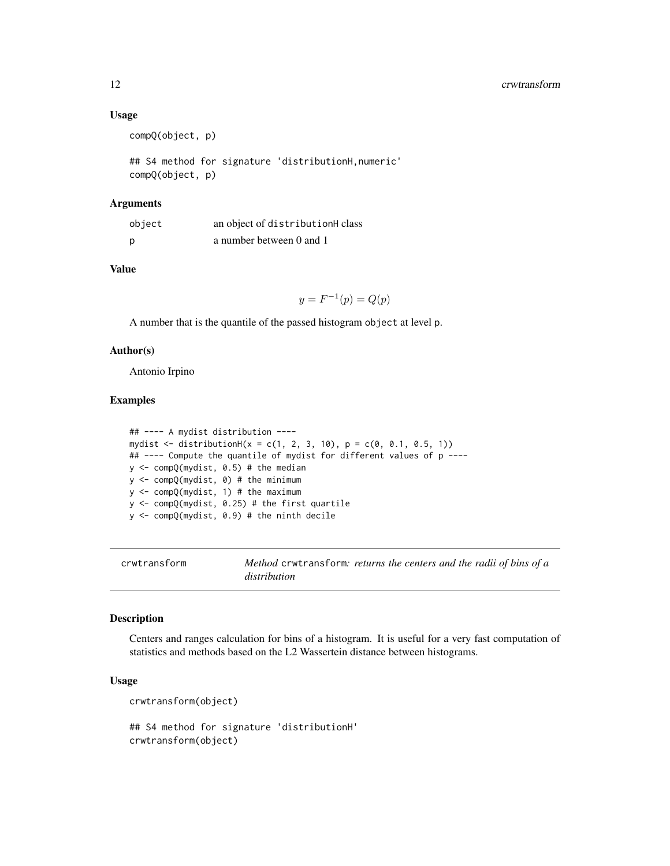## Usage

```
compQ(object, p)
```
## S4 method for signature 'distributionH,numeric' compQ(object, p)

#### Arguments

| object | an object of distributionH class |
|--------|----------------------------------|
| p      | a number between 0 and 1         |

# Value

 $y = F^{-1}(p) = Q(p)$ 

A number that is the quantile of the passed histogram object at level p.

### Author(s)

Antonio Irpino

## Examples

```
## ---- A mydist distribution ----
mydist \leq -distributionH(x = c(1, 2, 3, 10), p = c(0, 0.1, 0.5, 1))## ---- Compute the quantile of mydist for different values of p ----
y <- compQ(mydist, 0.5) # the median
y <- compQ(mydist, 0) # the minimum
y <- compQ(mydist, 1) # the maximum
y <- compQ(mydist, 0.25) # the first quartile
y <- compQ(mydist, 0.9) # the ninth decile
```
crwtransform *Method* crwtransform*: returns the centers and the radii of bins of a distribution*

#### Description

Centers and ranges calculation for bins of a histogram. It is useful for a very fast computation of statistics and methods based on the L2 Wassertein distance between histograms.

#### Usage

crwtransform(object)

## S4 method for signature 'distributionH' crwtransform(object)

<span id="page-11-0"></span>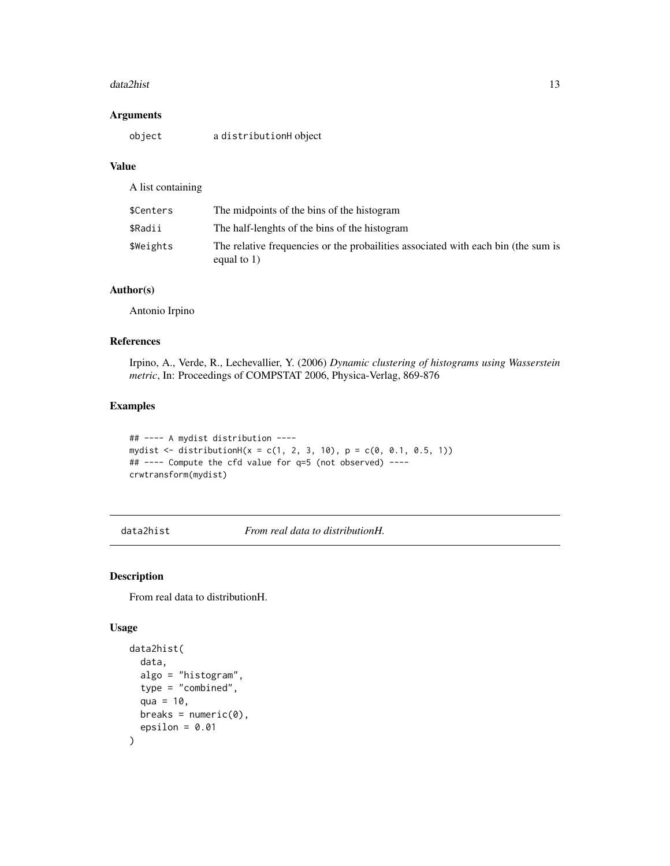#### <span id="page-12-0"></span>data2hist 13

# Arguments

| object | a distributionH object |
|--------|------------------------|
|--------|------------------------|

# Value

A list containing

| \$Centers | The midpoints of the bins of the histogram                                                          |
|-----------|-----------------------------------------------------------------------------------------------------|
| \$Radii   | The half-lenghts of the bins of the histogram                                                       |
| \$Weights | The relative frequencies or the probailities associated with each bin (the sum is<br>equal to $1$ ) |

# Author(s)

Antonio Irpino

# References

Irpino, A., Verde, R., Lechevallier, Y. (2006) *Dynamic clustering of histograms using Wasserstein metric*, In: Proceedings of COMPSTAT 2006, Physica-Verlag, 869-876

## Examples

```
## ---- A mydist distribution ----
mydist <- distributionH(x = c(1, 2, 3, 10), p = c(0, 0.1, 0.5, 1))
## ---- Compute the cfd value for q=5 (not observed) ----
crwtransform(mydist)
```
<span id="page-12-1"></span>data2hist *From real data to distributionH.*

# Description

From real data to distributionH.

## Usage

```
data2hist(
  data,
  algo = "histogram",
  type = "combined",
  qua = 10,
  breaks = numeric(0),
  epsilon = 0.01\mathcal{E}
```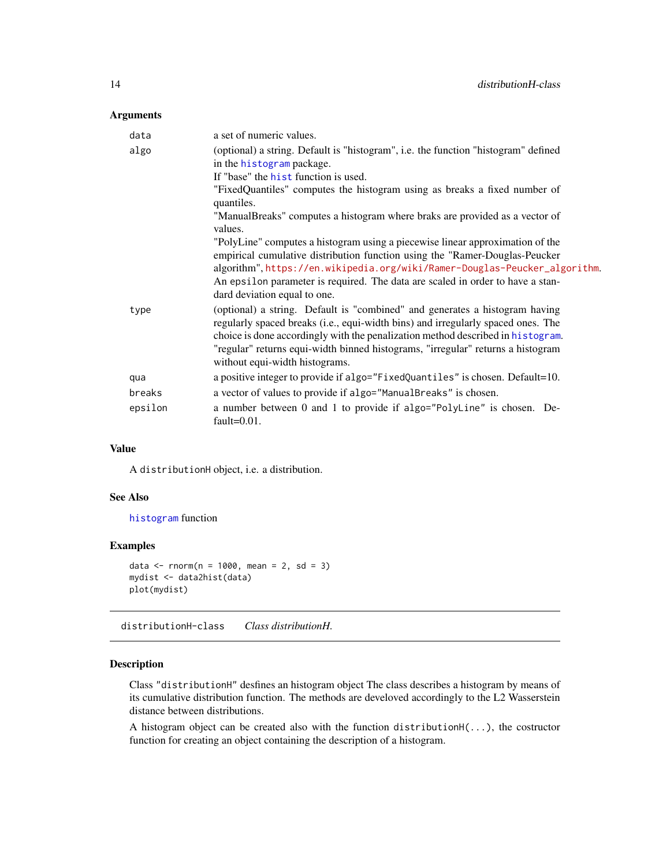# <span id="page-13-0"></span>Arguments

| data    | a set of numeric values.                                                                                                                                            |
|---------|---------------------------------------------------------------------------------------------------------------------------------------------------------------------|
| algo    | (optional) a string. Default is "histogram", i.e. the function "histogram" defined<br>in the histogram package.                                                     |
|         | If "base" the hist function is used.                                                                                                                                |
|         | "FixedQuantiles" computes the histogram using as breaks a fixed number of<br>quantiles.                                                                             |
|         | "ManualBreaks" computes a histogram where braks are provided as a vector of<br>values.                                                                              |
|         | "PolyLine" computes a histogram using a piecewise linear approximation of the                                                                                       |
|         | empirical cumulative distribution function using the "Ramer-Douglas-Peucker                                                                                         |
|         | algorithm", https://en.wikipedia.org/wiki/Ramer-Douglas-Peucker_algorithm.                                                                                          |
|         | An epsilon parameter is required. The data are scaled in order to have a stan-                                                                                      |
|         | dard deviation equal to one.                                                                                                                                        |
| type    | (optional) a string. Default is "combined" and generates a histogram having                                                                                         |
|         | regularly spaced breaks (i.e., equi-width bins) and irregularly spaced ones. The<br>choice is done accordingly with the penalization method described in histogram. |
|         | "regular" returns equi-width binned histograms, "irregular" returns a histogram                                                                                     |
|         | without equi-width histograms.                                                                                                                                      |
| qua     | a positive integer to provide if algo="FixedQuantiles" is chosen. Default=10.                                                                                       |
| breaks  | a vector of values to provide if algo="ManualBreaks" is chosen.                                                                                                     |
| epsilon | a number between 0 and 1 to provide if algo="PolyLine" is chosen. De-<br>fault= $0.01$ .                                                                            |

## Value

A distributionH object, i.e. a distribution.

#### See Also

[histogram](#page-0-0) function

## Examples

```
data <- rnorm(n = 1000, mean = 2, sd = 3)mydist <- data2hist(data)
plot(mydist)
```
distributionH-class *Class distributionH.*

## Description

Class "distributionH" desfines an histogram object The class describes a histogram by means of its cumulative distribution function. The methods are develoved accordingly to the L2 Wasserstein distance between distributions.

A histogram object can be created also with the function distributionH(...), the costructor function for creating an object containing the description of a histogram.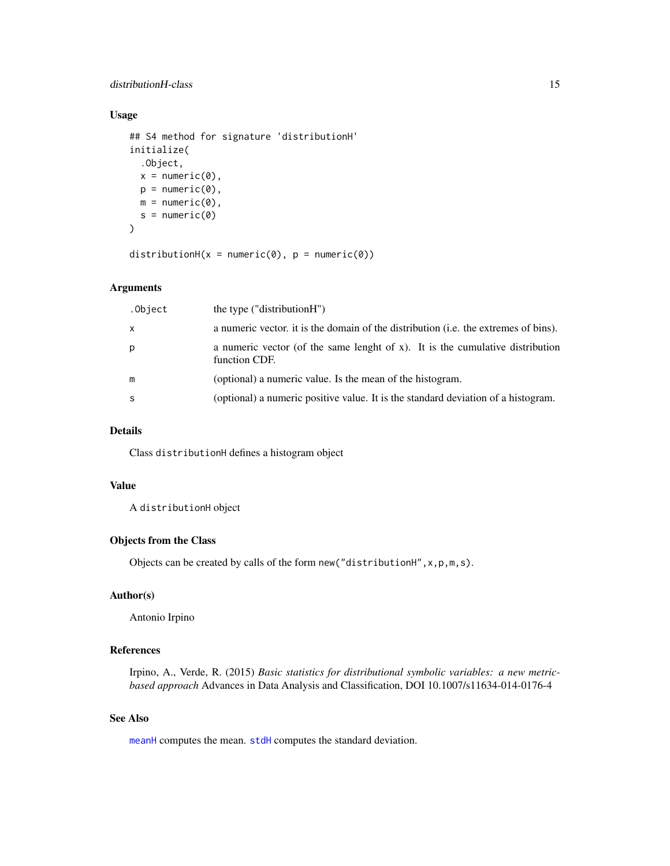## distributionH-class 15

# Usage

```
## S4 method for signature 'distributionH'
initialize(
  .Object,
 x = numeric(0),
 p = numeric(0),
 m = numeric(0),
 s = numeric(0))
```
distributionH( $x = numeric(\emptyset)$ ,  $p = numeric(\emptyset)$ )

# Arguments

| .Object      | the type ("distributionH")                                                                     |
|--------------|------------------------------------------------------------------------------------------------|
| $\mathsf{x}$ | a numeric vector, it is the domain of the distribution (i.e. the extremes of bins).            |
| p            | a numeric vector (of the same lenght of x). It is the cumulative distribution<br>function CDF. |
| m            | (optional) a numeric value. Is the mean of the histogram.                                      |
| -S           | (optional) a numeric positive value. It is the standard deviation of a histogram.              |

## Details

Class distributionH defines a histogram object

# Value

A distributionH object

# Objects from the Class

Objects can be created by calls of the form  $new("distributionH", x, p, m, s)$ .

# Author(s)

Antonio Irpino

# References

Irpino, A., Verde, R. (2015) *Basic statistics for distributional symbolic variables: a new metricbased approach* Advances in Data Analysis and Classification, DOI 10.1007/s11634-014-0176-4

## See Also

[meanH](#page-30-1) computes the mean. [stdH](#page-45-1) computes the standard deviation.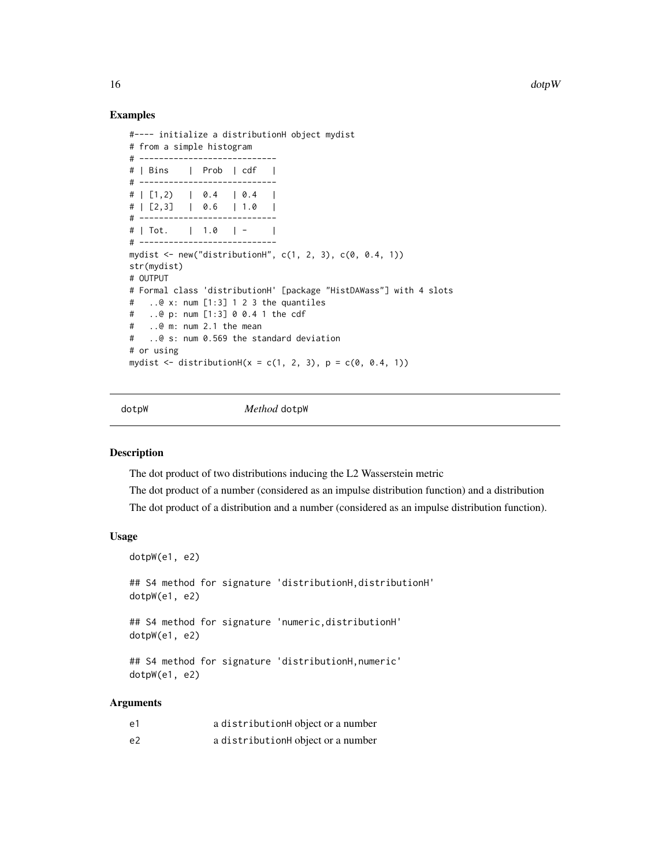<span id="page-15-0"></span> $16$  dotp W

#### Examples

```
#---- initialize a distributionH object mydist
# from a simple histogram
# ----------------------------
# | Bins | Prob | cdf |
# ----------------------------
\# | [1,2) | 0.4 | 0.4 |
# | [2,3] | 0.6 | 1.0 |
# ----------------------------
# | Tot. | 1.0 | - |
# ----------------------------
mydist <- new("distributionH", c(1, 2, 3), c(0, 0.4, 1))
str(mydist)
# OUTPUT
# Formal class 'distributionH' [package "HistDAWass"] with 4 slots
# ..@ x: num [1:3] 1 2 3 the quantiles
# ..@ p: num [1:3] 0 0.4 1 the cdf
# ..@ m: num 2.1 the mean
# ..@ s: num 0.569 the standard deviation
# or using
mydist <- distributionH(x = c(1, 2, 3), p = c(0, 0.4, 1))
```
dotpW *Method* dotpW

#### Description

The dot product of two distributions inducing the L2 Wasserstein metric

The dot product of a number (considered as an impulse distribution function) and a distribution The dot product of a distribution and a number (considered as an impulse distribution function).

## Usage

dotpW(e1, e2)

## S4 method for signature 'distributionH,distributionH' dotpW(e1, e2)

## S4 method for signature 'numeric,distributionH' dotpW(e1, e2)

## S4 method for signature 'distributionH,numeric' dotpW(e1, e2)

## Arguments

| e1             | a distributionH object or a number |
|----------------|------------------------------------|
| e <sub>2</sub> | a distributionH object or a number |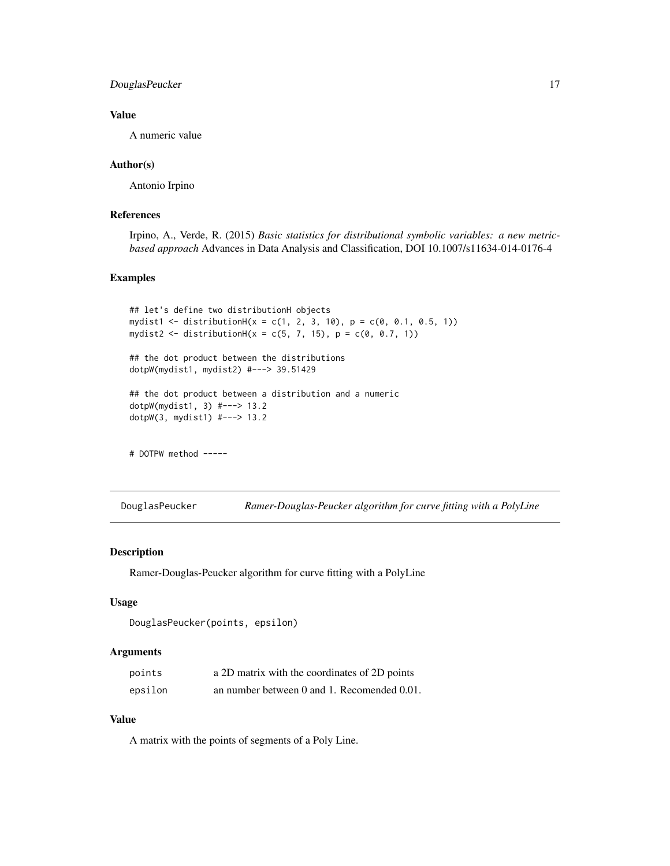# <span id="page-16-0"></span>DouglasPeucker 17

## Value

A numeric value

#### Author(s)

Antonio Irpino

# References

Irpino, A., Verde, R. (2015) *Basic statistics for distributional symbolic variables: a new metricbased approach* Advances in Data Analysis and Classification, DOI 10.1007/s11634-014-0176-4

# Examples

```
## let's define two distributionH objects
mydist1 <- distributionH(x = c(1, 2, 3, 10), p = c(0, 0.1, 0.5, 1))
mydist2 <- distributionH(x = c(5, 7, 15), p = c(0, 0.7, 1))
## the dot product between the distributions
dotpW(mydist1, mydist2) #---> 39.51429
## the dot product between a distribution and a numeric
dotpW(mydist1, 3) #---> 13.2
dotpW(3, mydist1) #---> 13.2
# DOTPW method -----
```
DouglasPeucker *Ramer-Douglas-Peucker algorithm for curve fitting with a PolyLine*

# Description

Ramer-Douglas-Peucker algorithm for curve fitting with a PolyLine

## Usage

```
DouglasPeucker(points, epsilon)
```
#### Arguments

| points  | a 2D matrix with the coordinates of 2D points |
|---------|-----------------------------------------------|
| epsilon | an number between 0 and 1. Recomended 0.01.   |

# Value

A matrix with the points of segments of a Poly Line.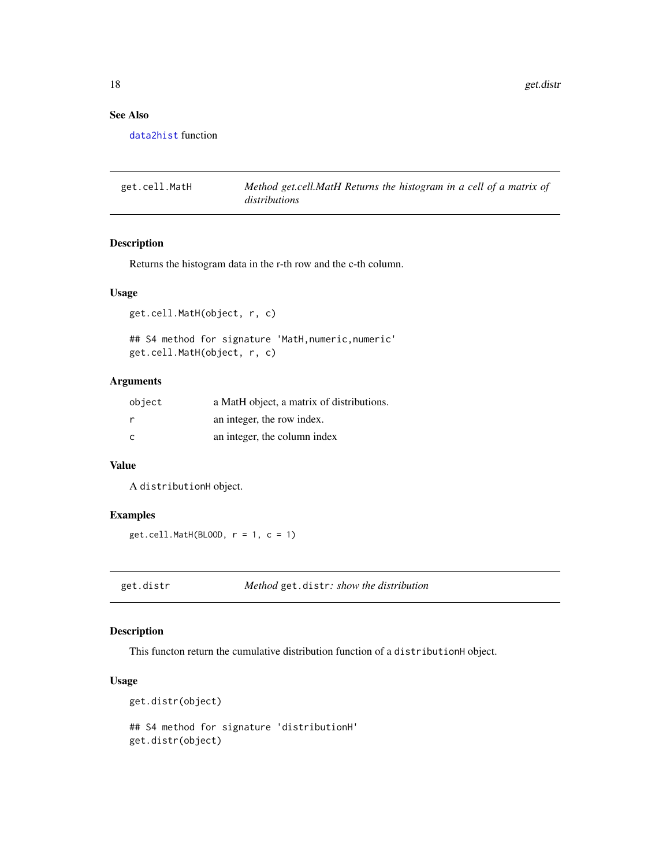<span id="page-17-0"></span>18 get.distr

# See Also

[data2hist](#page-12-1) function

get.cell.MatH *Method get.cell.MatH Returns the histogram in a cell of a matrix of distributions*

# Description

Returns the histogram data in the r-th row and the c-th column.

#### Usage

get.cell.MatH(object, r, c)

## S4 method for signature 'MatH, numeric, numeric' get.cell.MatH(object, r, c)

# Arguments

| object | a MatH object, a matrix of distributions. |
|--------|-------------------------------------------|
| r      | an integer, the row index.                |
| C      | an integer, the column index              |

# Value

A distributionH object.

## Examples

get.cell.MatH(BLOOD, r = 1, c = 1)

get.distr *Method* get.distr*: show the distribution*

# Description

This functon return the cumulative distribution function of a distributionH object.

# Usage

```
get.distr(object)
## S4 method for signature 'distributionH'
get.distr(object)
```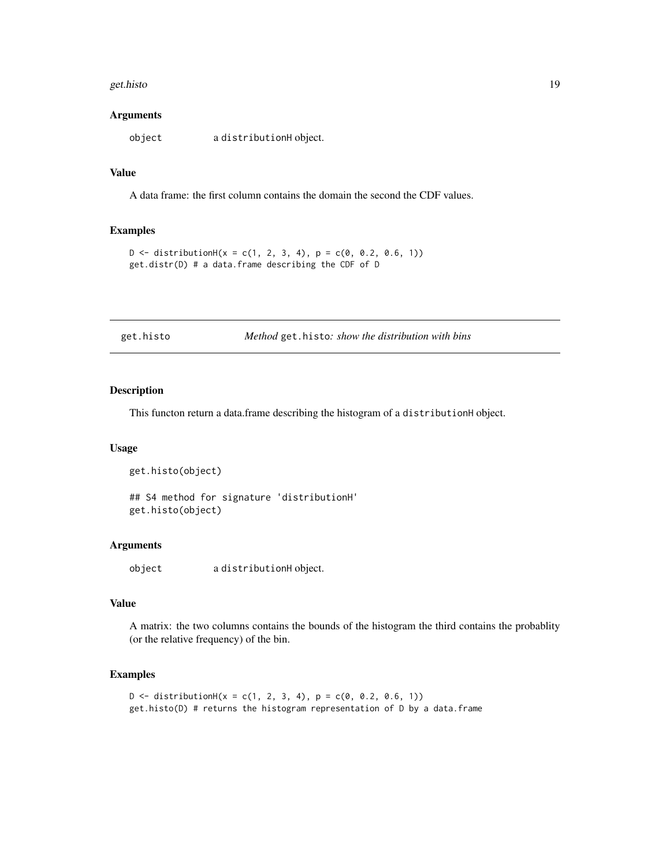#### <span id="page-18-0"></span>get.histo and the set of the set of the set of the set of the set of the set of the set of the set of the set of the set of the set of the set of the set of the set of the set of the set of the set of the set of the set of

#### **Arguments**

object a distributionH object.

#### Value

A data frame: the first column contains the domain the second the CDF values.

#### Examples

```
D \le - distributionH(x = c(1, 2, 3, 4), p = c(0, 0.2, 0.6, 1))
get.distr(D) # a data.frame describing the CDF of D
```

| get.histo |  |  |
|-----------|--|--|
|           |  |  |

get.histo *Method* get.histo*: show the distribution with bins*

# Description

This functon return a data.frame describing the histogram of a distributionH object.

# Usage

```
get.histo(object)
```
## S4 method for signature 'distributionH' get.histo(object)

#### Arguments

object a distributionH object.

## Value

A matrix: the two columns contains the bounds of the histogram the third contains the probablity (or the relative frequency) of the bin.

```
D \le - distributionH(x = c(1, 2, 3, 4), p = c(0, 0.2, 0.6, 1))
get.histo(D) # returns the histogram representation of D by a data.frame
```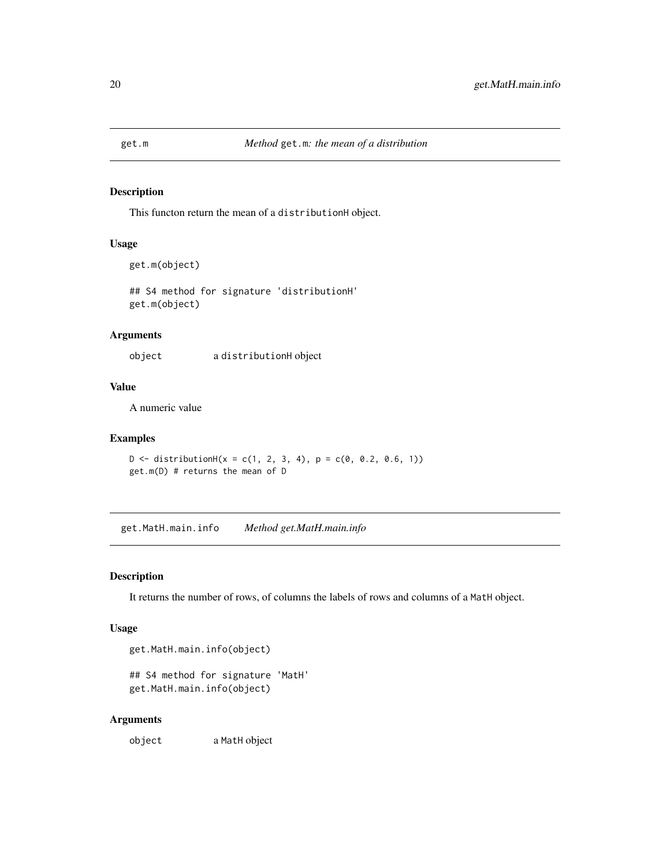<span id="page-19-0"></span>

# Description

This functon return the mean of a distributionH object.

# Usage

```
get.m(object)
```
## S4 method for signature 'distributionH' get.m(object)

## Arguments

object a distributionH object

## Value

A numeric value

# Examples

 $D \le -$  distributionH(x = c(1, 2, 3, 4), p = c(0, 0.2, 0.6, 1)) get.m(D) # returns the mean of D

get.MatH.main.info *Method get.MatH.main.info*

# Description

It returns the number of rows, of columns the labels of rows and columns of a MatH object.

# Usage

get.MatH.main.info(object)

```
## S4 method for signature 'MatH'
get.MatH.main.info(object)
```
#### Arguments

object a MatH object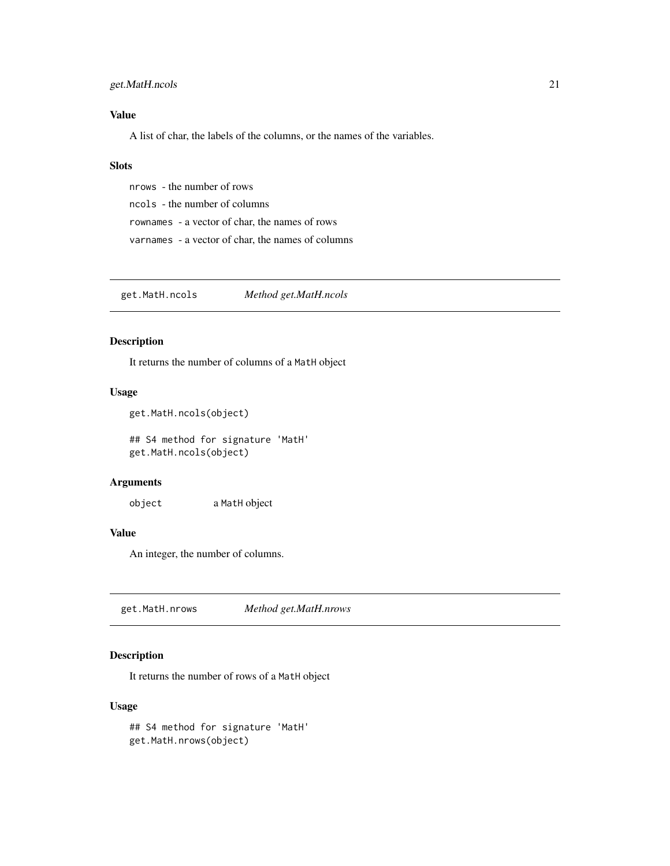# <span id="page-20-0"></span>get.MatH.ncols 21

# Value

A list of char, the labels of the columns, or the names of the variables.

## **Slots**

nrows - the number of rows ncols - the number of columns rownames - a vector of char, the names of rows varnames - a vector of char, the names of columns

get.MatH.ncols *Method get.MatH.ncols*

# Description

It returns the number of columns of a MatH object

# Usage

```
get.MatH.ncols(object)
```
## S4 method for signature 'MatH' get.MatH.ncols(object)

## Arguments

object a MatH object

# Value

An integer, the number of columns.

get.MatH.nrows *Method get.MatH.nrows*

# Description

It returns the number of rows of a MatH object

#### Usage

## S4 method for signature 'MatH' get.MatH.nrows(object)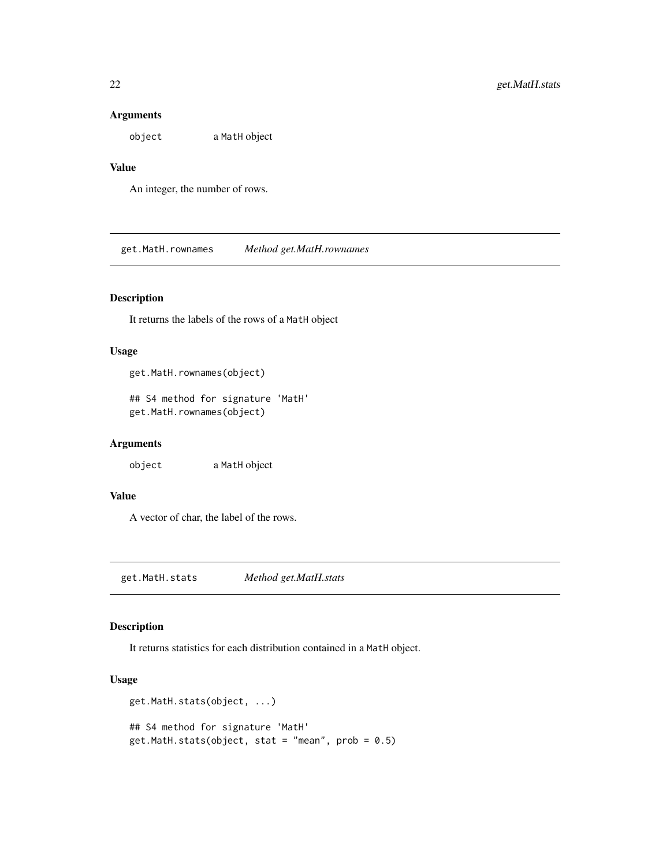# Arguments

object a MatH object

# Value

An integer, the number of rows.

get.MatH.rownames *Method get.MatH.rownames*

# Description

It returns the labels of the rows of a MatH object

# Usage

```
get.MatH.rownames(object)
```
## S4 method for signature 'MatH' get.MatH.rownames(object)

# Arguments

object a MatH object

# Value

A vector of char, the label of the rows.

get.MatH.stats *Method get.MatH.stats*

## Description

It returns statistics for each distribution contained in a MatH object.

# Usage

```
get.MatH.stats(object, ...)
## S4 method for signature 'MatH'
get.MatH.stats(object, stat = "mean", prob = 0.5)
```
<span id="page-21-0"></span>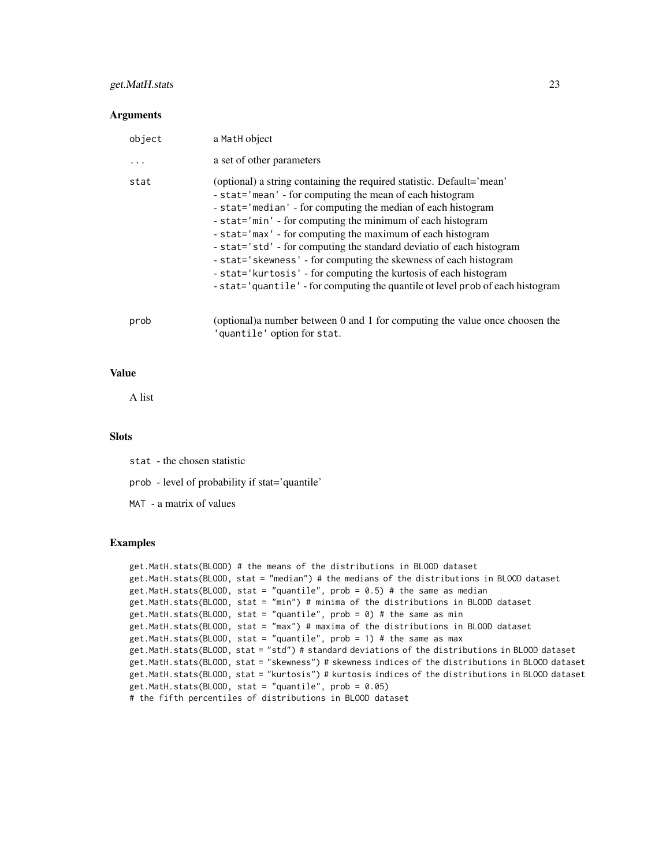## get.MatH.stats 23

#### **Arguments**

| object | a MatH object                                                                                                                                                                                                                                                                                                                                                                                                                                                                                                                                                                                                                   |
|--------|---------------------------------------------------------------------------------------------------------------------------------------------------------------------------------------------------------------------------------------------------------------------------------------------------------------------------------------------------------------------------------------------------------------------------------------------------------------------------------------------------------------------------------------------------------------------------------------------------------------------------------|
| .      | a set of other parameters                                                                                                                                                                                                                                                                                                                                                                                                                                                                                                                                                                                                       |
| stat   | (optional) a string containing the required statistic. Default='mean'<br>- stat='mean' - for computing the mean of each histogram<br>- stat='median' - for computing the median of each histogram<br>- stat='min' - for computing the minimum of each histogram<br>- stat='max' - for computing the maximum of each histogram<br>- stat='std' - for computing the standard deviatio of each histogram<br>- stat='skewness' - for computing the skewness of each histogram<br>- stat='kurtosis' - for computing the kurtosis of each histogram<br>- stat='quantile' - for computing the quantile ot level prob of each histogram |
| prob   | (optional) a number between 0 and 1 for computing the value once choosen the<br>'quantile' option for stat.                                                                                                                                                                                                                                                                                                                                                                                                                                                                                                                     |

# Value

A list

#### **Slots**

stat - the chosen statistic

prob - level of probability if stat='quantile'

MAT - a matrix of values

```
get.MatH.stats(BLOOD) # the means of the distributions in BLOOD dataset
get.MatH.stats(BLOOD, stat = "median") # the medians of the distributions in BLOOD dataset
get.MatH.stats(BLOOD, stat = "quantile", prob = 0.5) # the same as median
get.MatH.stats(BLOOD, stat = "min") # minima of the distributions in BLOOD dataset
get.MatH.stats(BLOOD, stat = "quantile", prob = \theta) # the same as min
get.MatH.stats(BLOOD, stat = "max") # maxima of the distributions in BLOOD dataset
get.MatH.stats(BLOOD, stat = "quantile", prob = 1) # the same as max
get.MatH.stats(BLOOD, stat = "std") # standard deviations of the distributions in BLOOD dataset
get.MatH.stats(BLOOD, stat = "skewness") # skewness indices of the distributions in BLOOD dataset
get.MatH.stats(BLOOD, stat = "kurtosis") # kurtosis indices of the distributions in BLOOD dataset
get.MatH.stats(BLOOD, stat = "quantile", prob = 0.05)
# the fifth percentiles of distributions in BLOOD dataset
```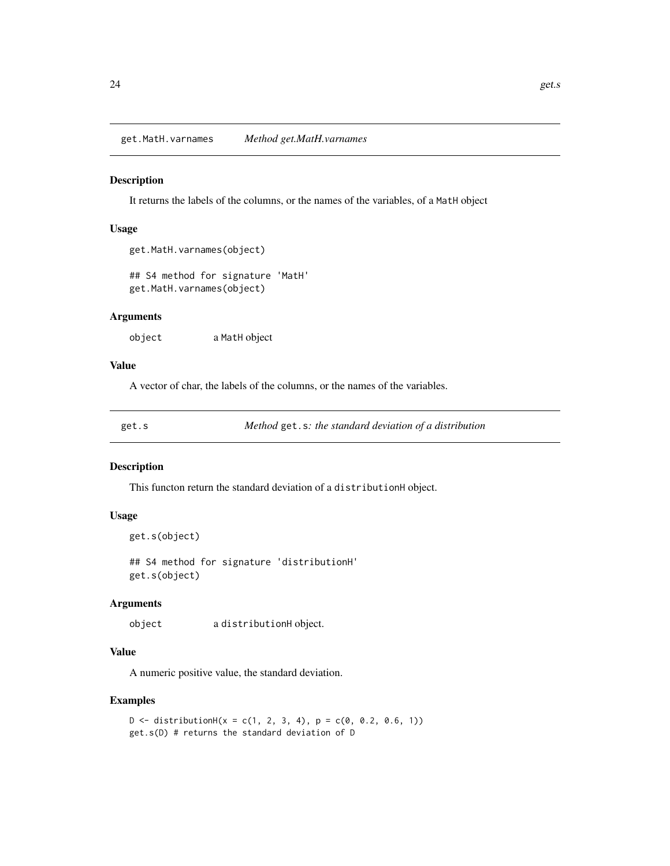## <span id="page-23-0"></span>Description

It returns the labels of the columns, or the names of the variables, of a MatH object

# Usage

```
get.MatH.varnames(object)
```

```
## S4 method for signature 'MatH'
get.MatH.varnames(object)
```
## Arguments

object a MatH object

#### Value

A vector of char, the labels of the columns, or the names of the variables.

get.s *Method* get.s*: the standard deviation of a distribution*

## Description

This functon return the standard deviation of a distributionH object.

## Usage

```
get.s(object)
```
## S4 method for signature 'distributionH' get.s(object)

## Arguments

object a distributionH object.

## Value

A numeric positive value, the standard deviation.

```
D \le - distributionH(x = c(1, 2, 3, 4), p = c(0, 0.2, 0.6, 1))
get.s(D) # returns the standard deviation of D
```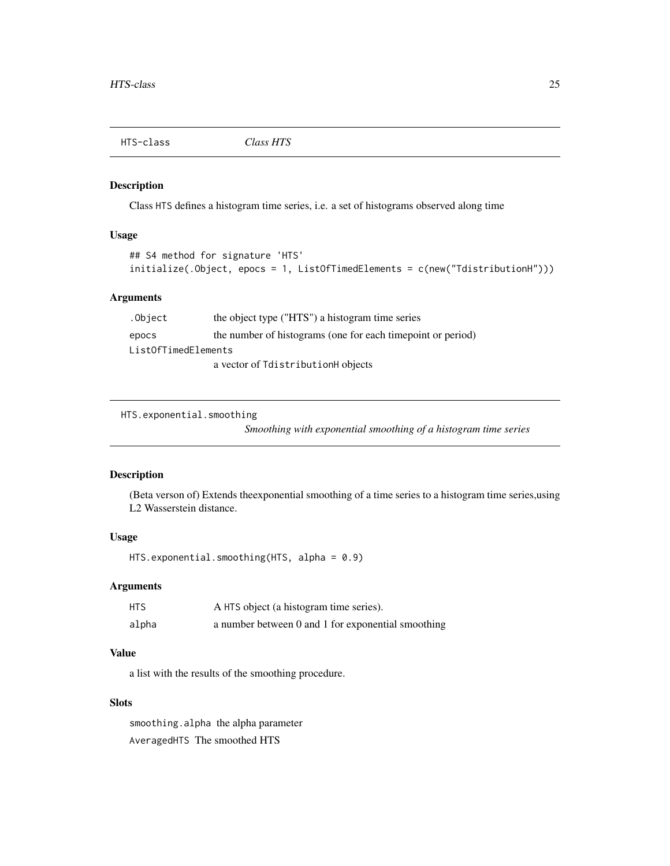<span id="page-24-0"></span>

# Description

Class HTS defines a histogram time series, i.e. a set of histograms observed along time

# Usage

```
## S4 method for signature 'HTS'
initialize(.Object, epocs = 1, ListOfTimedElements = c(new("TdistributionH")))
```
# Arguments

| .Object             | the object type ("HTS") a histogram time series             |  |
|---------------------|-------------------------------------------------------------|--|
| epocs               | the number of histograms (one for each timepoint or period) |  |
| ListOfTimedElements |                                                             |  |
|                     | a vector of TdistributionH objects                          |  |

HTS.exponential.smoothing

*Smoothing with exponential smoothing of a histogram time series*

# Description

(Beta verson of) Extends theexponential smoothing of a time series to a histogram time series,using L2 Wasserstein distance.

#### Usage

```
HTS.exponential.smoothing(HTS, alpha = 0.9)
```
# Arguments

| <b>HTS</b> | A HTS object (a histogram time series).            |
|------------|----------------------------------------------------|
| alpha      | a number between 0 and 1 for exponential smoothing |

# Value

a list with the results of the smoothing procedure.

# Slots

smoothing.alpha the alpha parameter AveragedHTS The smoothed HTS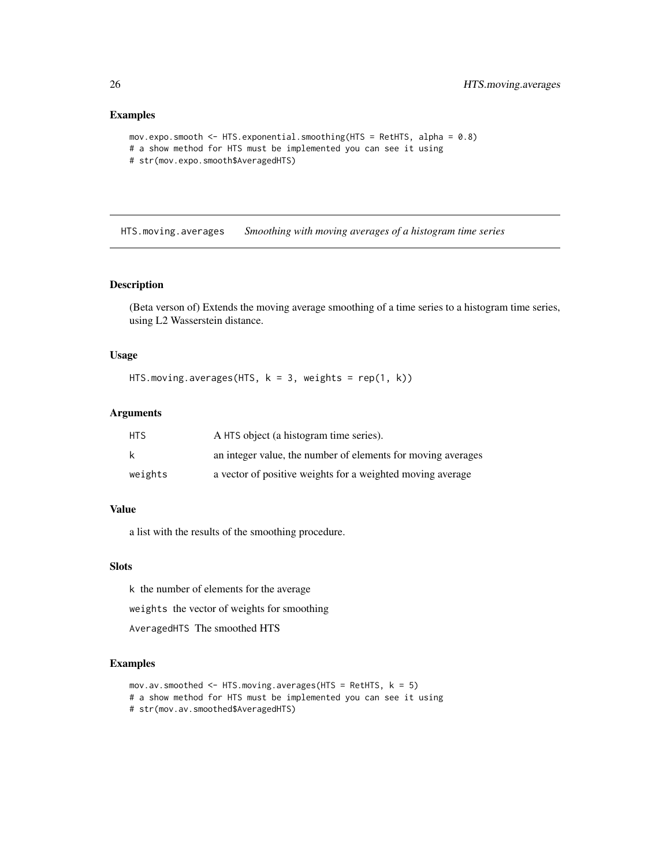#### <span id="page-25-0"></span>Examples

```
mov.expo.smooth <- HTS.exponential.smoothing(HTS = RetHTS, alpha = 0.8)
# a show method for HTS must be implemented you can see it using
# str(mov.expo.smooth$AveragedHTS)
```
HTS.moving.averages *Smoothing with moving averages of a histogram time series*

## Description

(Beta verson of) Extends the moving average smoothing of a time series to a histogram time series, using L2 Wasserstein distance.

# Usage

```
HTS.moving.averages(HTS, k = 3, weights = rep(1, k))
```
## Arguments

| <b>HTS</b> | A HTS object (a histogram time series).                      |
|------------|--------------------------------------------------------------|
| k          | an integer value, the number of elements for moving averages |
| weights    | a vector of positive weights for a weighted moving average   |

## Value

a list with the results of the smoothing procedure.

## Slots

k the number of elements for the average

weights the vector of weights for smoothing

AveragedHTS The smoothed HTS

```
mov.av.smoothed \leq HTS.moving.averages(HTS = RetHTS, k = 5)
# a show method for HTS must be implemented you can see it using
# str(mov.av.smoothed$AveragedHTS)
```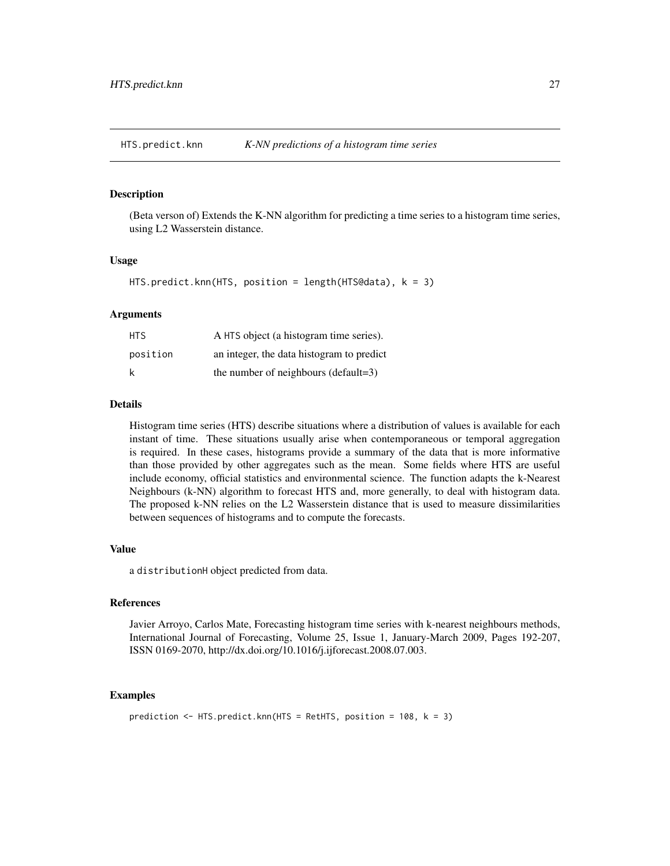<span id="page-26-0"></span>HTS.predict.knn *K-NN predictions of a histogram time series*

#### Description

(Beta verson of) Extends the K-NN algorithm for predicting a time series to a histogram time series, using L2 Wasserstein distance.

#### Usage

```
HTS.predict.knn(HTS, position = length(HTS@data), k = 3)
```
## Arguments

| HTS.     | A HTS object (a histogram time series).   |
|----------|-------------------------------------------|
| position | an integer, the data histogram to predict |
| k        | the number of neighbours (default=3)      |

## Details

Histogram time series (HTS) describe situations where a distribution of values is available for each instant of time. These situations usually arise when contemporaneous or temporal aggregation is required. In these cases, histograms provide a summary of the data that is more informative than those provided by other aggregates such as the mean. Some fields where HTS are useful include economy, official statistics and environmental science. The function adapts the k-Nearest Neighbours (k-NN) algorithm to forecast HTS and, more generally, to deal with histogram data. The proposed k-NN relies on the L2 Wasserstein distance that is used to measure dissimilarities between sequences of histograms and to compute the forecasts.

## Value

a distributionH object predicted from data.

## References

Javier Arroyo, Carlos Mate, Forecasting histogram time series with k-nearest neighbours methods, International Journal of Forecasting, Volume 25, Issue 1, January-March 2009, Pages 192-207, ISSN 0169-2070, http://dx.doi.org/10.1016/j.ijforecast.2008.07.003.

```
prediction \leq HTS.predict.knn(HTS = RetHTS, position = 108, k = 3)
```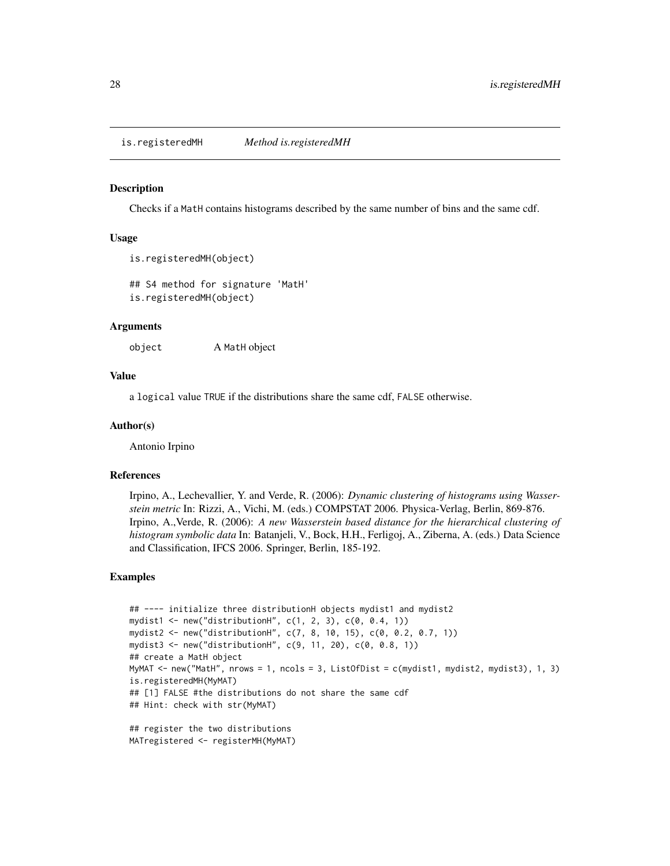<span id="page-27-0"></span>is.registeredMH *Method is.registeredMH*

#### Description

Checks if a MatH contains histograms described by the same number of bins and the same cdf.

## Usage

```
is.registeredMH(object)
```
## S4 method for signature 'MatH' is.registeredMH(object)

#### Arguments

object A MatH object

## Value

a logical value TRUE if the distributions share the same cdf, FALSE otherwise.

#### Author(s)

Antonio Irpino

#### References

Irpino, A., Lechevallier, Y. and Verde, R. (2006): *Dynamic clustering of histograms using Wasserstein metric* In: Rizzi, A., Vichi, M. (eds.) COMPSTAT 2006. Physica-Verlag, Berlin, 869-876. Irpino, A.,Verde, R. (2006): *A new Wasserstein based distance for the hierarchical clustering of histogram symbolic data* In: Batanjeli, V., Bock, H.H., Ferligoj, A., Ziberna, A. (eds.) Data Science and Classification, IFCS 2006. Springer, Berlin, 185-192.

```
## ---- initialize three distributionH objects mydist1 and mydist2
mydist1 <- new("distributionH", c(1, 2, 3), c(0, 0.4, 1))
mydist2 <- new("distributionH", c(7, 8, 10, 15), c(0, 0.2, 0.7, 1))
mydist3 <- new("distributionH", c(9, 11, 20), c(0, 0.8, 1))
## create a MatH object
MyMAT <- new("MatH", nrows = 1, ncols = 3, ListOfDist = c(mydist1, mydist2, mydist3), 1, 3)
is.registeredMH(MyMAT)
## [1] FALSE #the distributions do not share the same cdf
## Hint: check with str(MyMAT)
## register the two distributions
MATregistered <- registerMH(MyMAT)
```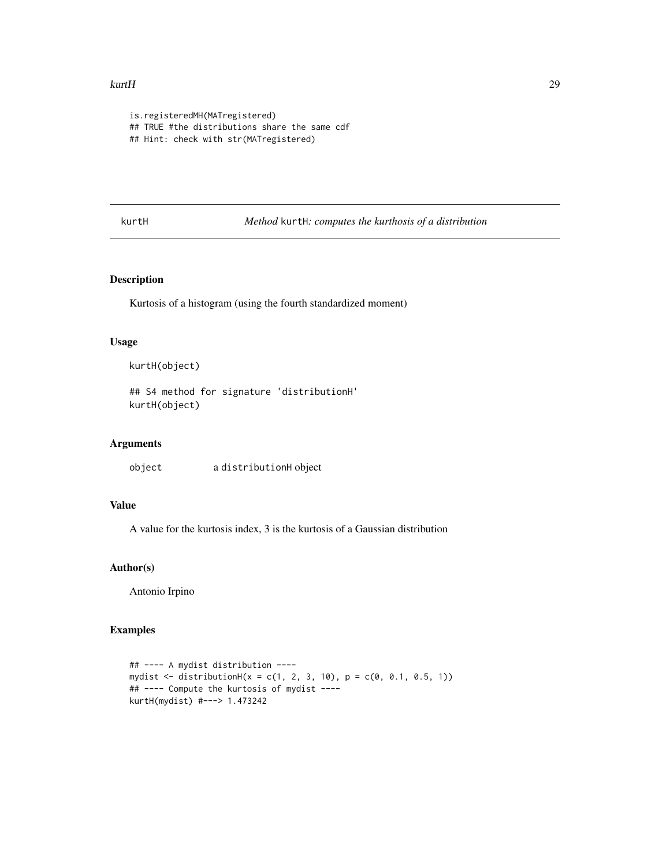#### <span id="page-28-0"></span>kurtH 29 and 29 and 2012 and 2012 and 2012 and 2012 and 2012 and 2012 and 2012 and 2012 and 2012 and 2012 and 201

```
is.registeredMH(MATregistered)
## TRUE #the distributions share the same cdf
## Hint: check with str(MATregistered)
```
kurtH *Method* kurtH*: computes the kurthosis of a distribution*

## Description

Kurtosis of a histogram (using the fourth standardized moment)

# Usage

kurtH(object)

## S4 method for signature 'distributionH' kurtH(object)

## Arguments

object a distributionH object

## Value

A value for the kurtosis index, 3 is the kurtosis of a Gaussian distribution

#### Author(s)

Antonio Irpino

```
## ---- A mydist distribution ----
mydist <- distributionH(x = c(1, 2, 3, 10), p = c(0, 0.1, 0.5, 1))
## ---- Compute the kurtosis of mydist ----
kurtH(mydist) #---> 1.473242
```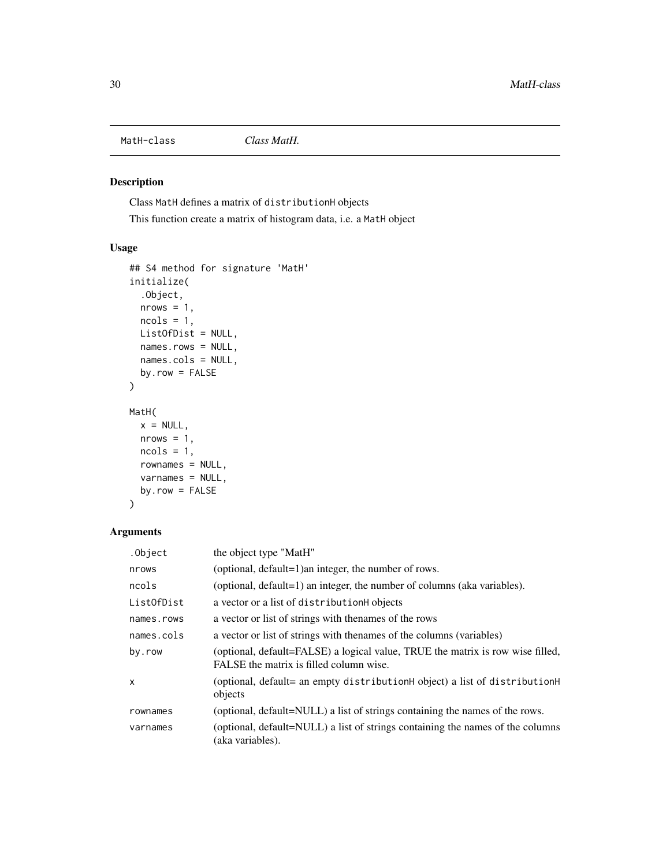<span id="page-29-0"></span>

# Description

Class MatH defines a matrix of distributionH objects

This function create a matrix of histogram data, i.e. a MatH object

# Usage

```
## S4 method for signature 'MatH'
initialize(
  .Object,
  nrows = 1,
  ncols = 1,
  ListOfDist = NULL,
  names.rows = NULL,
  names.cols = NULL,
  by.row = FALSE
)
MatH(
  x = NULL,nrows = 1,
  ncols = 1,
  rownames = NULL,
  varnames = NULL,
  by.row = FALSE
```
# Arguments

)

| .Object      | the object type "MatH"                                                                                                    |
|--------------|---------------------------------------------------------------------------------------------------------------------------|
| nrows        | (optional, default=1) an integer, the number of rows.                                                                     |
| ncols        | (optional, default=1) an integer, the number of columns (aka variables).                                                  |
| List0fDist   | a vector or a list of distributionH objects                                                                               |
| names.rows   | a vector or list of strings with the name of the rows                                                                     |
| names.cols   | a vector or list of strings with thenames of the columns (variables)                                                      |
| by.row       | (optional, default=FALSE) a logical value, TRUE the matrix is row wise filled,<br>FALSE the matrix is filled column wise. |
| $\mathsf{x}$ | (optional, default= an empty distributionH object) a list of distributionH<br>objects                                     |
| rownames     | (optional, default=NULL) a list of strings containing the names of the rows.                                              |
| varnames     | (optional, default=NULL) a list of strings containing the names of the columns<br>(aka variables).                        |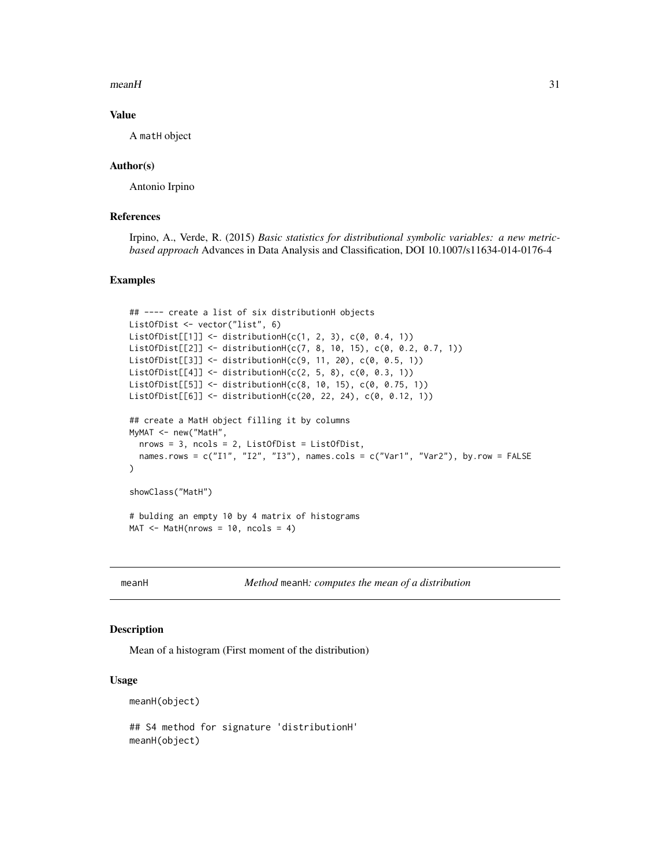#### <span id="page-30-0"></span> $meanH$  31

# Value

A matH object

## Author(s)

Antonio Irpino

## References

Irpino, A., Verde, R. (2015) *Basic statistics for distributional symbolic variables: a new metricbased approach* Advances in Data Analysis and Classification, DOI 10.1007/s11634-014-0176-4

## Examples

```
## ---- create a list of six distributionH objects
ListOfDist <- vector("list", 6)
ListOfDist[[1]] <- distributionH(c(1, 2, 3), c(0, 0.4, 1))
ListOfDist[[2]] <- distributionH(c(7, 8, 10, 15), c(0, 0.2, 0.7, 1))
ListOfDist[[3]] <- distributionH(c(9, 11, 20), c(0, 0.5, 1))
ListOfDist[[4]] \leftarrow distributionH(c(2, 5, 8), c(0, 0.3, 1))ListOfDist[[5]] <- distributionH(c(8, 10, 15), c(0, 0.75, 1))
ListOfDist[[6]] <- distributionH(c(20, 22, 24), c(0, 0.12, 1))
## create a MatH object filling it by columns
MyMAT <- new("MatH",
  nrows = 3, ncols = 2, ListOfDist = ListOfDist,
  names.rows = c("I1", "I2", "I3"), names.cols = c("Var1", "Var2"), by.row = FALSE
)
showClass("MatH")
# bulding an empty 10 by 4 matrix of histograms
MAT \leq MatH(nrows = 10, ncols = 4)
```
<span id="page-30-1"></span>meanH *Method* meanH*: computes the mean of a distribution*

## Description

Mean of a histogram (First moment of the distribution)

#### Usage

```
meanH(object)
```
## S4 method for signature 'distributionH' meanH(object)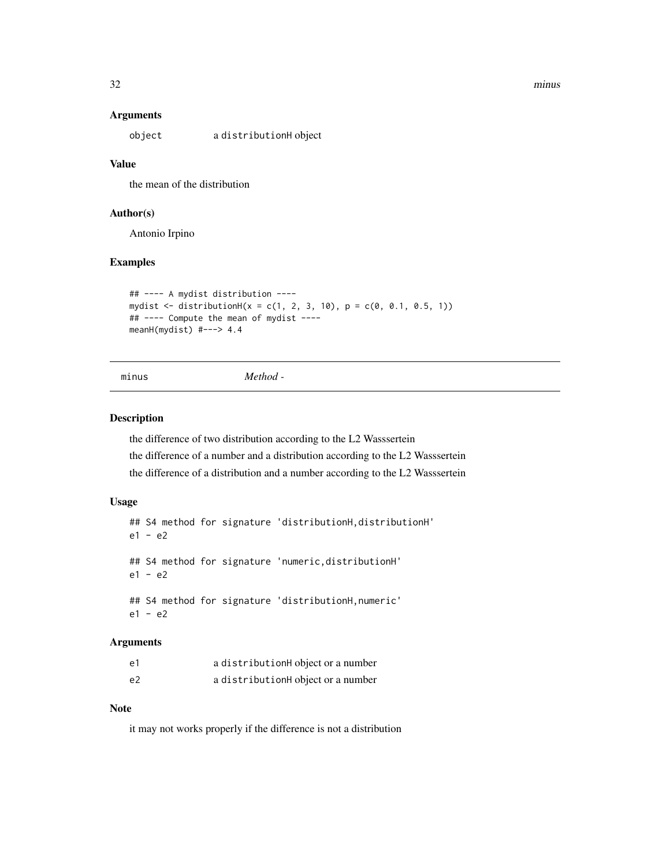#### 32 minus

#### Arguments

object a distributionH object

## Value

the mean of the distribution

## Author(s)

Antonio Irpino

## Examples

```
## ---- A mydist distribution ----
mydist <- distributionH(x = c(1, 2, 3, 10), p = c(0, 0.1, 0.5, 1))
## ---- Compute the mean of mydist ----
meanH(mydist) #---> 4.4
```

```
minus Method -
```
## Description

the difference of two distribution according to the L2 Wasssertein the difference of a number and a distribution according to the L2 Wasssertein the difference of a distribution and a number according to the L2 Wasssertein

#### Usage

```
## S4 method for signature 'distributionH,distributionH'
e1 - e2
## S4 method for signature 'numeric,distributionH'
e1 - e2
## S4 method for signature 'distributionH,numeric'
e1 - e2
```
## Arguments

| e1             | a distributionH object or a number |
|----------------|------------------------------------|
| e <sub>2</sub> | a distributionH object or a number |

#### Note

it may not works properly if the difference is not a distribution

<span id="page-31-0"></span>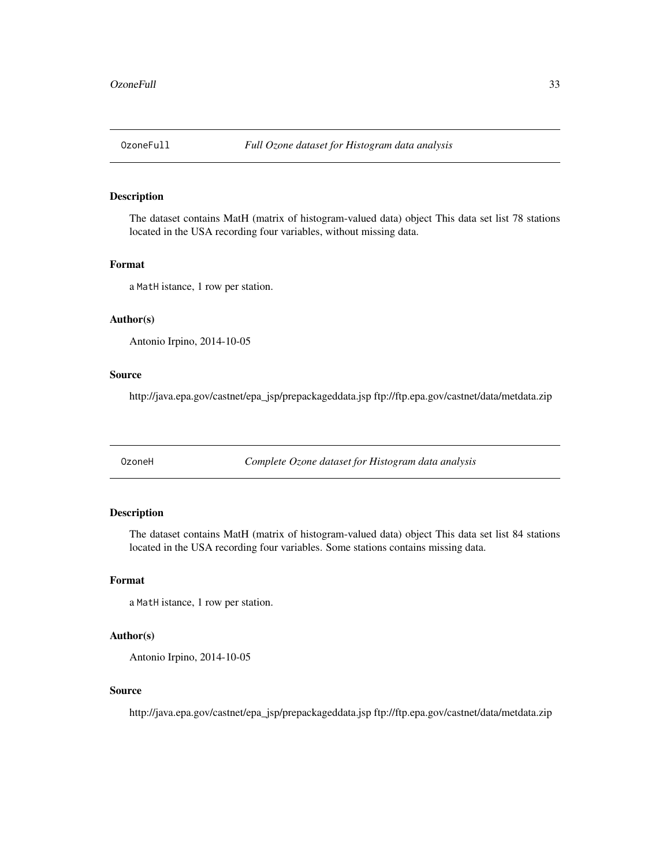<span id="page-32-0"></span>

## Description

The dataset contains MatH (matrix of histogram-valued data) object This data set list 78 stations located in the USA recording four variables, without missing data.

## Format

a MatH istance, 1 row per station.

# Author(s)

Antonio Irpino, 2014-10-05

## Source

http://java.epa.gov/castnet/epa\_jsp/prepackageddata.jsp ftp://ftp.epa.gov/castnet/data/metdata.zip

OzoneH *Complete Ozone dataset for Histogram data analysis*

# Description

The dataset contains MatH (matrix of histogram-valued data) object This data set list 84 stations located in the USA recording four variables. Some stations contains missing data.

#### Format

a MatH istance, 1 row per station.

#### Author(s)

Antonio Irpino, 2014-10-05

#### Source

http://java.epa.gov/castnet/epa\_jsp/prepackageddata.jsp ftp://ftp.epa.gov/castnet/data/metdata.zip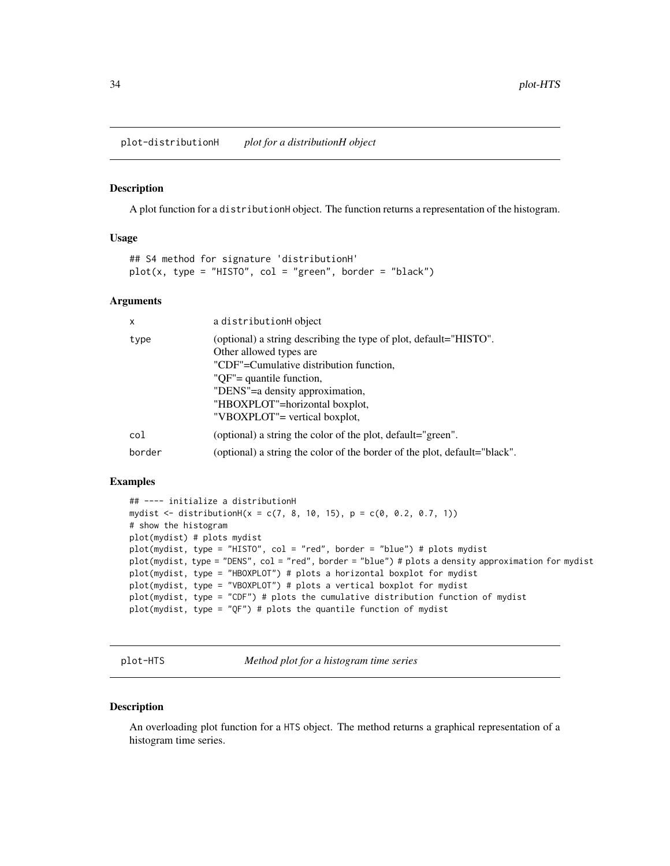<span id="page-33-0"></span>plot-distributionH *plot for a distributionH object*

#### Description

A plot function for a distributionH object. The function returns a representation of the histogram.

## Usage

```
## S4 method for signature 'distributionH'
plot(x, type = "HIST0", col = "green", border = "black")
```
## Arguments

| x      | a distributionH object                                                                                                                                                                                                                                                    |
|--------|---------------------------------------------------------------------------------------------------------------------------------------------------------------------------------------------------------------------------------------------------------------------------|
| type   | (optional) a string describing the type of plot, default="HISTO".<br>Other allowed types are<br>"CDF"=Cumulative distribution function,<br>"QF"= quantile function,<br>"DENS"=a density approximation,<br>"HBOXPLOT"=horizontal boxplot,<br>"VBOXPLOT"= vertical boxplot, |
| col    | (optional) a string the color of the plot, default="green".                                                                                                                                                                                                               |
| border | (optional) a string the color of the border of the plot, default="black".                                                                                                                                                                                                 |

#### Examples

```
## ---- initialize a distributionH
mydist <- distributionH(x = c(7, 8, 10, 15), p = c(0, 0.2, 0.7, 1))
# show the histogram
plot(mydist) # plots mydist
plot(mydist, type = "HISTO", col = "red", border = "blue") # plots mydist
plot(mydist, type = "DENS", col = "red", border = "blue") # plots a density approximation for mydist
plot(mydist, type = "HBOXPLOT") # plots a horizontal boxplot for mydist
plot(mydist, type = "VBOXPLOT") # plots a vertical boxplot for mydist
plot(mydist, type = "CDF") # plots the cumulative distribution function of mydist
plot(mydist, type = "QF") # plots the quantile function of mydist
```
plot-HTS *Method plot for a histogram time series*

## Description

An overloading plot function for a HTS object. The method returns a graphical representation of a histogram time series.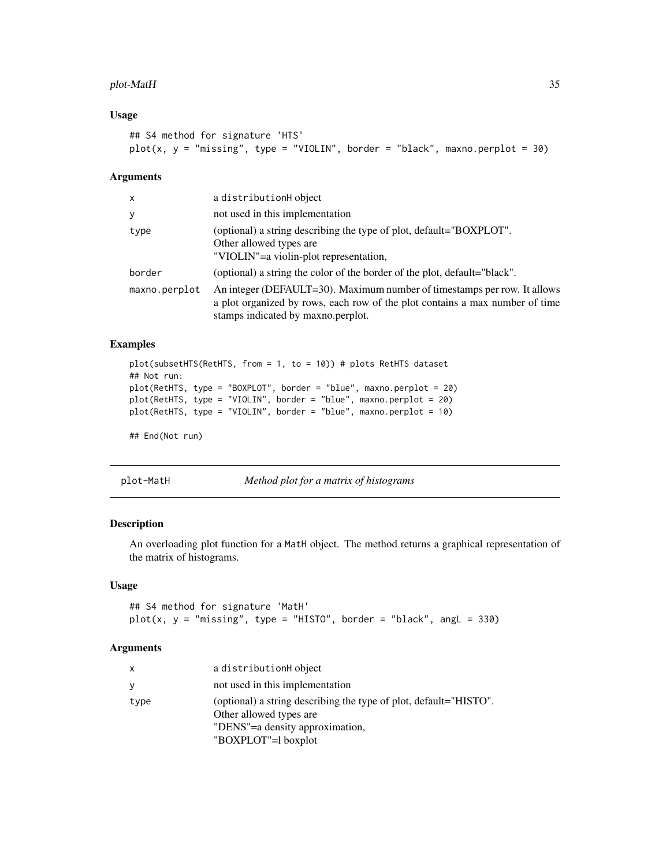# <span id="page-34-0"></span>plot-MatH 35

# Usage

```
## S4 method for signature 'HTS'
plot(x, y = "missing", type = "VIOLIN", border = "black", maxno.perplot = 30)
```
# Arguments

| x             | a distributionH object                                                                                                                                                                         |
|---------------|------------------------------------------------------------------------------------------------------------------------------------------------------------------------------------------------|
| у             | not used in this implementation                                                                                                                                                                |
| type          | (optional) a string describing the type of plot, default="BOXPLOT".<br>Other allowed types are<br>"VIOLIN"=a violin-plot representation,                                                       |
| border        | (optional) a string the color of the border of the plot, default="black".                                                                                                                      |
| maxno.perplot | An integer (DEFAULT=30). Maximum number of timestamps per row. It allows<br>a plot organized by rows, each row of the plot contains a max number of time<br>stamps indicated by maxno.perplot. |

# Examples

```
plot(subsetHTS(RetHTS, from = 1, to = 10)) # plots RetHTS dataset
## Not run:
plot(RetHTS, type = "BOXPLOT", border = "blue", maxno.perplot = 20)
plot(RetHTS, type = "VIOLIN", border = "blue", maxno.perplot = 20)
plot(RetHTS, type = "VIOLIN", border = "blue", maxno.perplot = 10)
## End(Not run)
```
plot-MatH *Method plot for a matrix of histograms*

# Description

An overloading plot function for a MatH object. The method returns a graphical representation of the matrix of histograms.

#### Usage

```
## S4 method for signature 'MatH'
plot(x, y = "missing", type = "HIST0", border = "black", angle = 330)
```
#### Arguments

| x    | a distributionH object                                                                       |
|------|----------------------------------------------------------------------------------------------|
| ٧    | not used in this implementation                                                              |
| type | (optional) a string describing the type of plot, default="HISTO".<br>Other allowed types are |
|      | "DENS"=a density approximation,                                                              |
|      | "BOXPLOT"=1 boxplot                                                                          |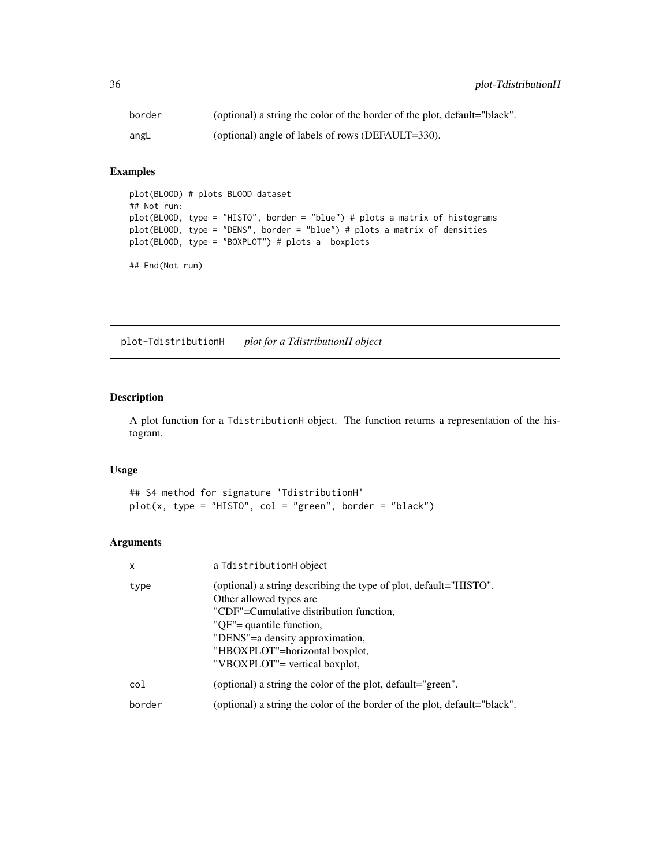<span id="page-35-0"></span>

| border | (optional) a string the color of the border of the plot, default="black". |
|--------|---------------------------------------------------------------------------|
| angL   | (optional) angle of labels of rows (DEFAULT=330).                         |

# Examples

```
plot(BLOOD) # plots BLOOD dataset
## Not run:
plot(BLOOD, type = "HISTO", border = "blue") # plots a matrix of histograms
plot(BLOOD, type = "DENS", border = "blue") # plots a matrix of densities
plot(BLOOD, type = "BOXPLOT") # plots a boxplots
## End(Not run)
```
plot-TdistributionH *plot for a TdistributionH object*

# Description

A plot function for a TdistributionH object. The function returns a representation of the histogram.

# Usage

## S4 method for signature 'TdistributionH'  $plot(x, type = "HIST0", col = "green", border = "black")$ 

# Arguments

| X      | a IdistributionH object                                                                                                                                                                                                                                                   |
|--------|---------------------------------------------------------------------------------------------------------------------------------------------------------------------------------------------------------------------------------------------------------------------------|
| type   | (optional) a string describing the type of plot, default="HISTO".<br>Other allowed types are<br>"CDF"=Cumulative distribution function,<br>"QF"= quantile function,<br>"DENS"=a density approximation,<br>"HBOXPLOT"=horizontal boxplot,<br>"VBOXPLOT"= vertical boxplot, |
| col    | (optional) a string the color of the plot, default="green".                                                                                                                                                                                                               |
| border | (optional) a string the color of the border of the plot, default="black".                                                                                                                                                                                                 |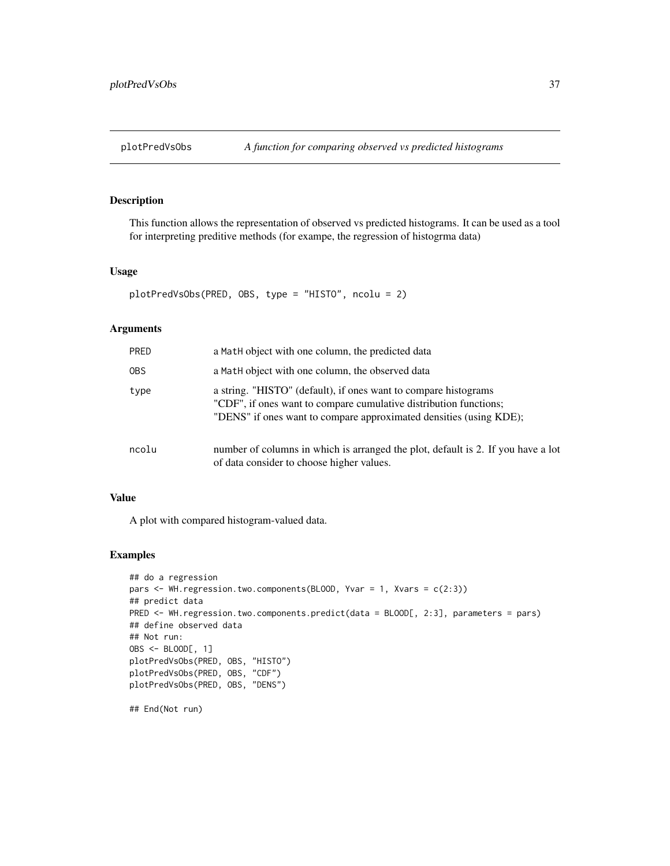This function allows the representation of observed vs predicted histograms. It can be used as a tool for interpreting preditive methods (for exampe, the regression of histogrma data)

#### Usage

```
plotPredVsObs(PRED, OBS, type = "HISTO", ncolu = 2)
```
#### Arguments

| PRED  | a MatH object with one column, the predicted data                                                                                                                                                          |
|-------|------------------------------------------------------------------------------------------------------------------------------------------------------------------------------------------------------------|
| OBS.  | a Math object with one column, the observed data                                                                                                                                                           |
| type  | a string. "HISTO" (default), if ones want to compare histograms<br>"CDF", if ones want to compare cumulative distribution functions;<br>"DENS" if ones want to compare approximated densities (using KDE); |
| ncolu | number of columns in which is arranged the plot, default is 2. If you have a lot<br>of data consider to choose higher values.                                                                              |

#### Value

A plot with compared histogram-valued data.

## Examples

```
## do a regression
pars <- WH.regression.two.components(BLOOD, Yvar = 1, Xvars = c(2:3))
## predict data
PRED <- WH.regression.two.components.predict(data = BLOOD[, 2:3], parameters = pars)
## define observed data
## Not run:
OBS <- BLOOD[, 1]
plotPredVsObs(PRED, OBS, "HISTO")
plotPredVsObs(PRED, OBS, "CDF")
plotPredVsObs(PRED, OBS, "DENS")
```
## End(Not run)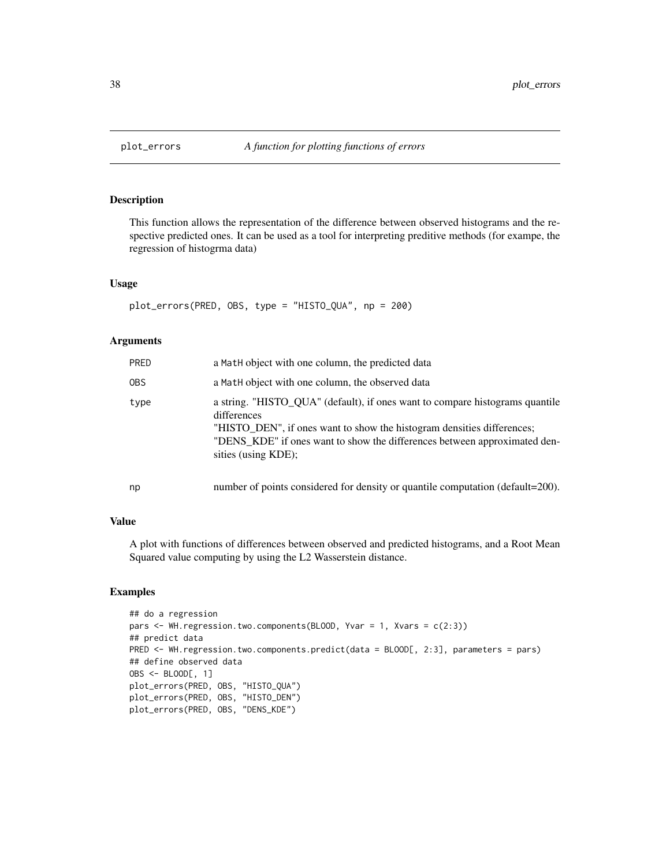This function allows the representation of the difference between observed histograms and the respective predicted ones. It can be used as a tool for interpreting preditive methods (for exampe, the regression of histogrma data)

## Usage

```
plot_errors(PRED, OBS, type = "HISTO_QUA", np = 200)
```
#### Arguments

| PRED | a Math object with one column, the predicted data                                                                                                                                                                                                                         |
|------|---------------------------------------------------------------------------------------------------------------------------------------------------------------------------------------------------------------------------------------------------------------------------|
| OBS. | a Math object with one column, the observed data                                                                                                                                                                                                                          |
| type | a string. "HISTO_QUA" (default), if ones want to compare histograms quantile<br>differences<br>"HISTO DEN", if ones want to show the histogram densities differences;<br>"DENS_KDE" if ones want to show the differences between approximated den-<br>sities (using KDE); |
| np   | number of points considered for density or quantile computation (default=200).                                                                                                                                                                                            |

#### Value

A plot with functions of differences between observed and predicted histograms, and a Root Mean Squared value computing by using the L2 Wasserstein distance.

```
## do a regression
pars <- WH.regression.two.components(BLOOD, Yvar = 1, Xvars = c(2:3))
## predict data
PRED <- WH.regression.two.components.predict(data = BLOOD[, 2:3], parameters = pars)
## define observed data
OBS <- BLOOD[, 1]
plot_errors(PRED, OBS, "HISTO_QUA")
plot_errors(PRED, OBS, "HISTO_DEN")
plot_errors(PRED, OBS, "DENS_KDE")
```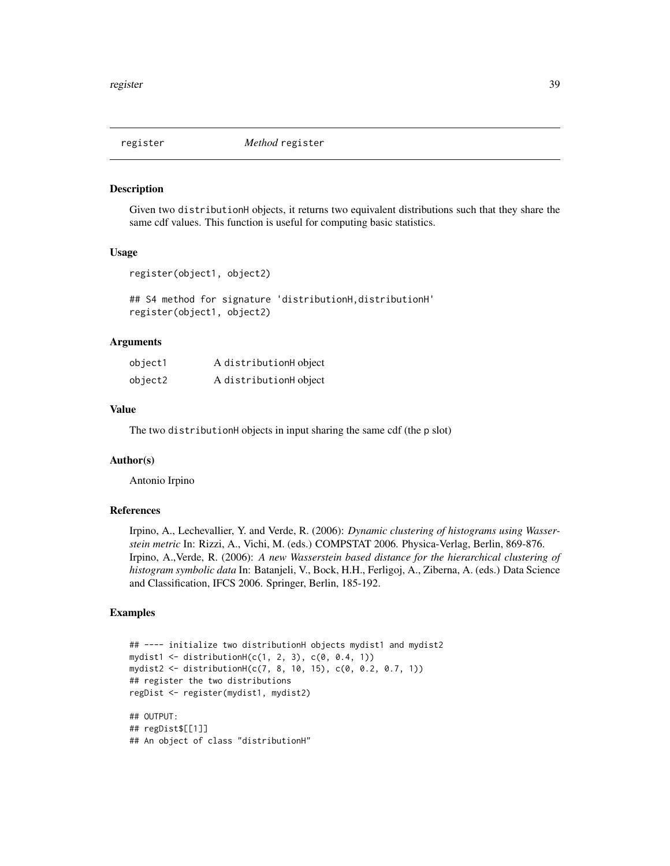Given two distributionH objects, it returns two equivalent distributions such that they share the same cdf values. This function is useful for computing basic statistics.

## Usage

```
register(object1, object2)
```
## S4 method for signature 'distributionH,distributionH' register(object1, object2)

## Arguments

| object1 | A distributionH object |
|---------|------------------------|
| object2 | A distributionH object |

#### Value

The two distributionH objects in input sharing the same cdf (the p slot)

#### Author(s)

Antonio Irpino

#### References

Irpino, A., Lechevallier, Y. and Verde, R. (2006): *Dynamic clustering of histograms using Wasserstein metric* In: Rizzi, A., Vichi, M. (eds.) COMPSTAT 2006. Physica-Verlag, Berlin, 869-876. Irpino, A.,Verde, R. (2006): *A new Wasserstein based distance for the hierarchical clustering of histogram symbolic data* In: Batanjeli, V., Bock, H.H., Ferligoj, A., Ziberna, A. (eds.) Data Science and Classification, IFCS 2006. Springer, Berlin, 185-192.

```
## ---- initialize two distributionH objects mydist1 and mydist2
mydist1 \leq distributionH(c(1, 2, 3), c(0, 0.4, 1))mydist2 <- distributionH(c(7, 8, 10, 15), c(0, 0.2, 0.7, 1))
## register the two distributions
regDist <- register(mydist1, mydist2)
## OUTPUT:
## regDist$[[1]]
## An object of class "distributionH"
```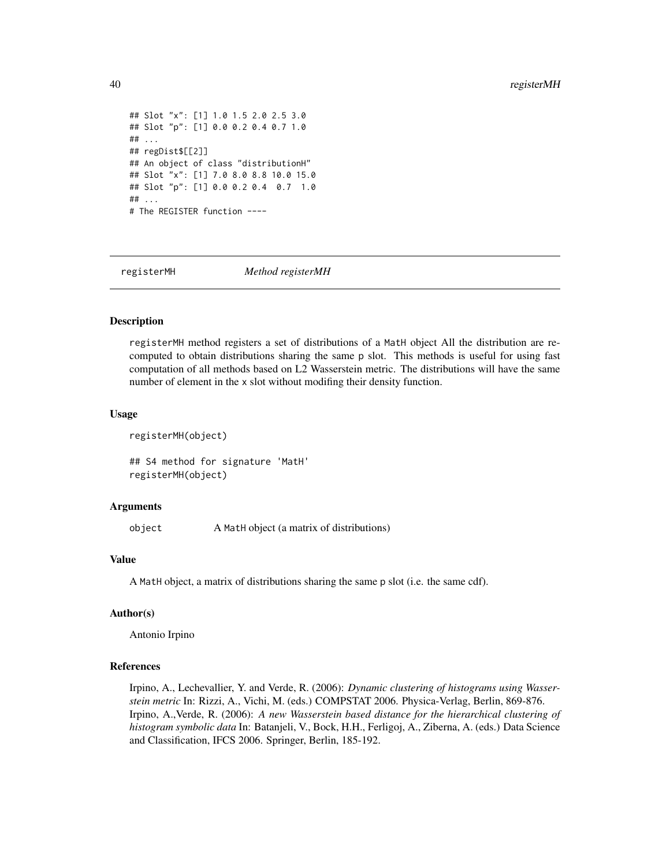```
## Slot "x": [1] 1.0 1.5 2.0 2.5 3.0
## Slot "p": [1] 0.0 0.2 0.4 0.7 1.0
## ...
## regDist$[[2]]
## An object of class "distributionH"
## Slot "x": [1] 7.0 8.0 8.8 10.0 15.0
## Slot "p": [1] 0.0 0.2 0.4 0.7 1.0
## ...
# The REGISTER function ----
```
registerMH *Method registerMH*

#### Description

registerMH method registers a set of distributions of a MatH object All the distribution are recomputed to obtain distributions sharing the same p slot. This methods is useful for using fast computation of all methods based on L2 Wasserstein metric. The distributions will have the same number of element in the x slot without modifing their density function.

#### Usage

registerMH(object)

## S4 method for signature 'MatH' registerMH(object)

#### Arguments

object A MatH object (a matrix of distributions)

#### Value

A MatH object, a matrix of distributions sharing the same p slot (i.e. the same cdf).

#### Author(s)

Antonio Irpino

#### References

Irpino, A., Lechevallier, Y. and Verde, R. (2006): *Dynamic clustering of histograms using Wasserstein metric* In: Rizzi, A., Vichi, M. (eds.) COMPSTAT 2006. Physica-Verlag, Berlin, 869-876. Irpino, A.,Verde, R. (2006): *A new Wasserstein based distance for the hierarchical clustering of histogram symbolic data* In: Batanjeli, V., Bock, H.H., Ferligoj, A., Ziberna, A. (eds.) Data Science and Classification, IFCS 2006. Springer, Berlin, 185-192.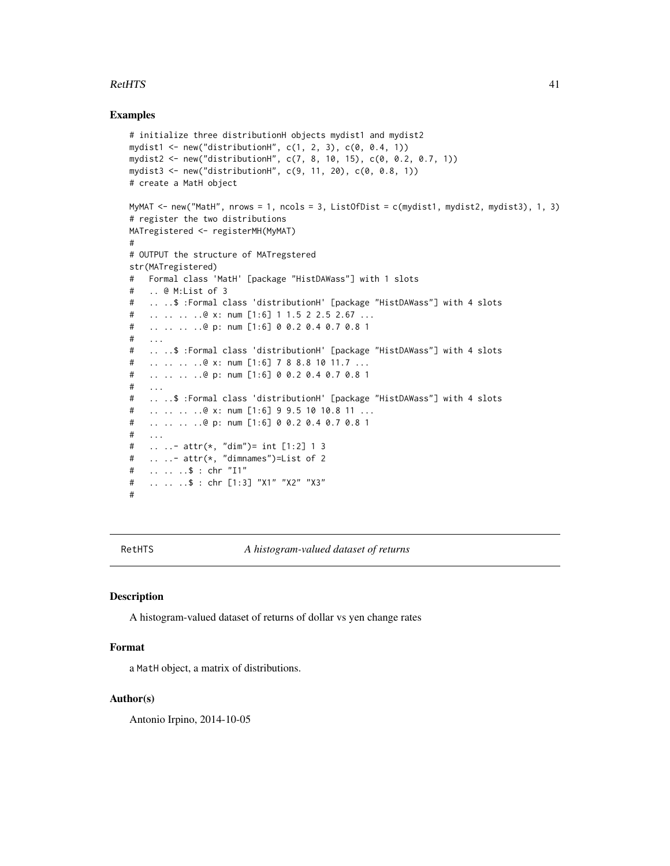#### $R$ etHTS  $41$

#### Examples

```
# initialize three distributionH objects mydist1 and mydist2
mydist1 <- new("distributionH", c(1, 2, 3), c(0, 0.4, 1))
mydist2 <- new("distributionH", c(7, 8, 10, 15), c(0, 0.2, 0.7, 1))
mydist3 <- new("distributionH", c(9, 11, 20), c(0, 0.8, 1))
# create a MatH object
MyMAT <- new("MatH", nrows = 1, ncols = 3, ListOfDist = c(mydist1, mydist2, mydist3), 1, 3)
# register the two distributions
MATregistered <- registerMH(MyMAT)
#
# OUTPUT the structure of MATregstered
str(MATregistered)
# Formal class 'MatH' [package "HistDAWass"] with 1 slots
# .. @ M:List of 3
# .. ..$ :Formal class 'distributionH' [package "HistDAWass"] with 4 slots
# .. .. .. ..@ x: num [1:6] 1 1.5 2 2.5 2.67 ...
# .. .. .. ..@ p: num [1:6] 0 0.2 0.4 0.7 0.8 1
# ...
# .. ..$ :Formal class 'distributionH' [package "HistDAWass"] with 4 slots
# .. .. .. ..@ x: num [1:6] 7 8 8.8 10 11.7 ...
# .. .. .. ..@ p: num [1:6] 0 0.2 0.4 0.7 0.8 1
# ...
# .. ..$ :Formal class 'distributionH' [package "HistDAWass"] with 4 slots
# .. .. .. ..@ x: num [1:6] 9 9.5 10 10.8 11 ...
# .. .. .. ..@ p: num [1:6] 0 0.2 0.4 0.7 0.8 1
# ...
# .. ..- attr(*, "dim")= int [1:2] 1 3
# .. ..- attr(*, "dimnames")=List of 2
# .. .. ..$ : chr "I1"
# .. .. ..$ : chr [1:3] "X1" "X2" "X3"
#
```
RetHTS *A histogram-valued dataset of returns*

#### **Description**

A histogram-valued dataset of returns of dollar vs yen change rates

#### Format

a MatH object, a matrix of distributions.

#### Author(s)

Antonio Irpino, 2014-10-05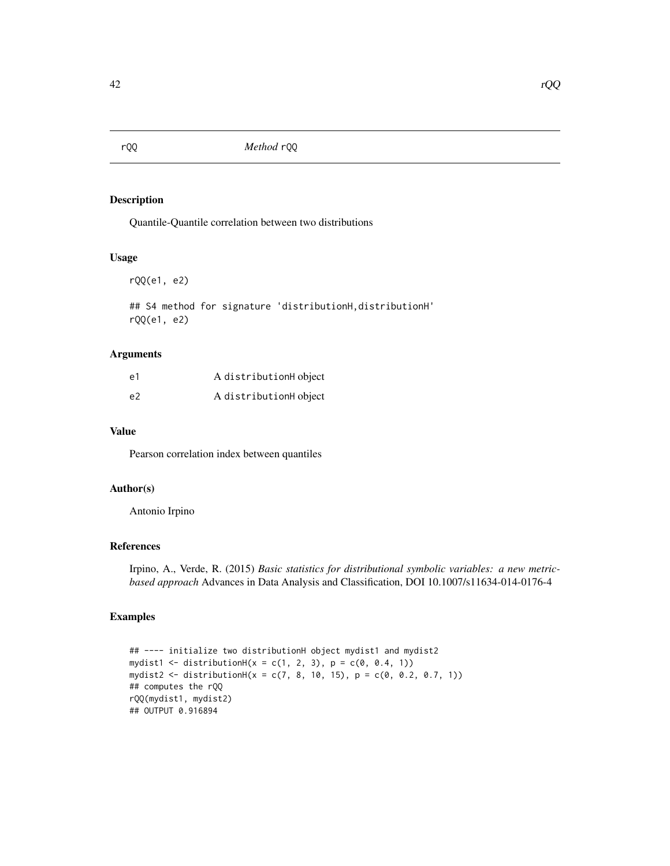Quantile-Quantile correlation between two distributions

#### Usage

rQQ(e1, e2)

## S4 method for signature 'distributionH,distributionH' rQQ(e1, e2)

# Arguments

| e1 | A distributionH object |
|----|------------------------|
| e2 | A distributionH object |

# Value

Pearson correlation index between quantiles

# Author(s)

Antonio Irpino

## References

Irpino, A., Verde, R. (2015) *Basic statistics for distributional symbolic variables: a new metricbased approach* Advances in Data Analysis and Classification, DOI 10.1007/s11634-014-0176-4

```
## ---- initialize two distributionH object mydist1 and mydist2
mydist1 <- distributionH(x = c(1, 2, 3), p = c(0, 0.4, 1))
mydist2 <- distributionH(x = c(7, 8, 10, 15), p = c(0, 0.2, 0.7, 1))
## computes the rQQ
rQQ(mydist1, mydist2)
## OUTPUT 0.916894
```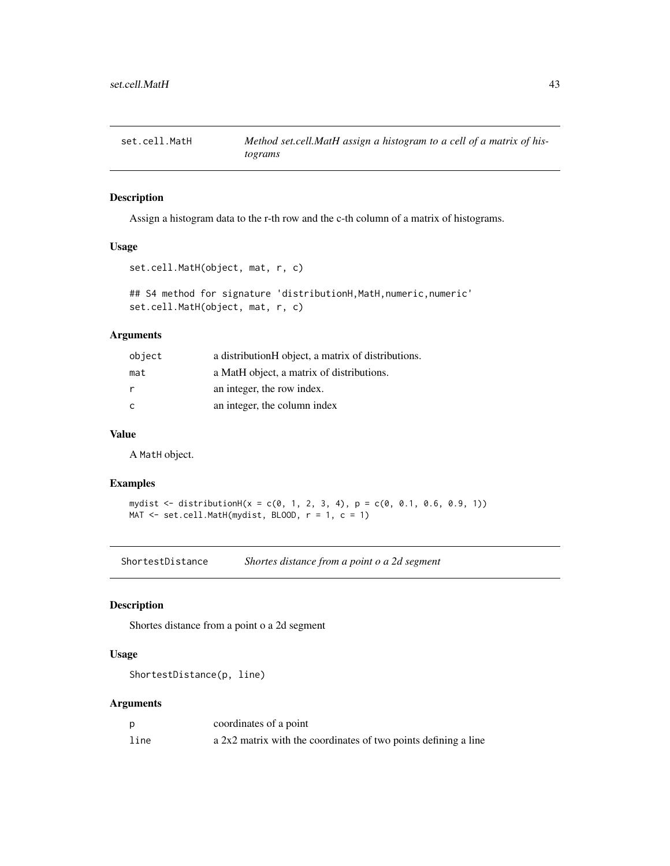Assign a histogram data to the r-th row and the c-th column of a matrix of histograms.

## Usage

```
set.cell.MatH(object, mat, r, c)
```

```
## S4 method for signature 'distributionH, MatH, numeric, numeric'
set.cell.MatH(object, mat, r, c)
```
#### Arguments

| object | a distributionH object, a matrix of distributions. |
|--------|----------------------------------------------------|
| mat    | a MatH object, a matrix of distributions.          |
| r      | an integer, the row index.                         |
| C      | an integer, the column index                       |

# Value

A MatH object.

## Examples

```
mydist <- distributionH(x = c(0, 1, 2, 3, 4), p = c(0, 0.1, 0.6, 0.9, 1))
MAT \le set.cell.MatH(mydist, BLOOD, r = 1, c = 1)
```
ShortestDistance *Shortes distance from a point o a 2d segment*

# Description

Shortes distance from a point o a 2d segment

## Usage

ShortestDistance(p, line)

## Arguments

|      | coordinates of a point                                          |
|------|-----------------------------------------------------------------|
| line | a 2x2 matrix with the coordinates of two points defining a line |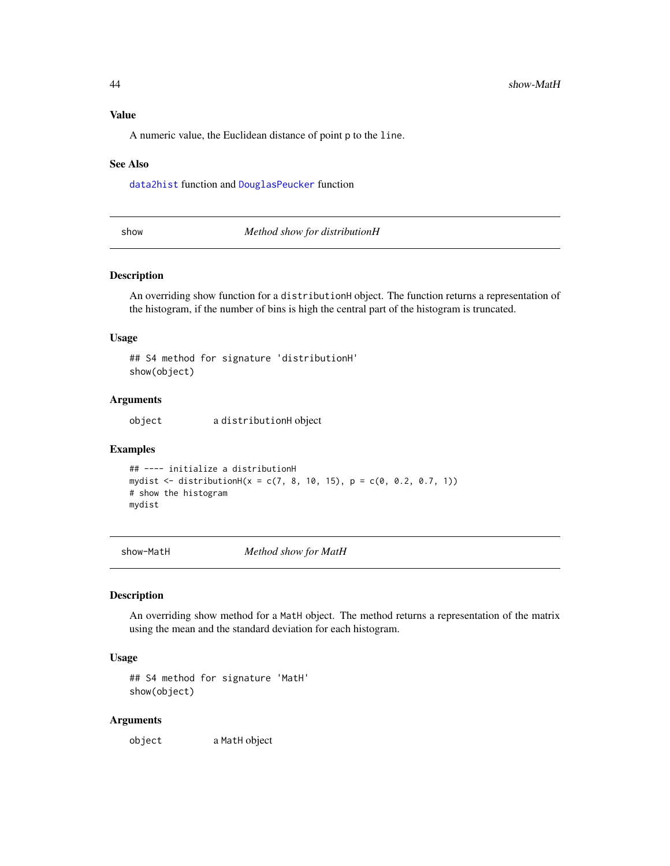#### Value

A numeric value, the Euclidean distance of point p to the line.

#### See Also

[data2hist](#page-12-0) function and [DouglasPeucker](#page-16-0) function

show *Method show for distributionH*

#### Description

An overriding show function for a distributionH object. The function returns a representation of the histogram, if the number of bins is high the central part of the histogram is truncated.

#### Usage

## S4 method for signature 'distributionH' show(object)

#### Arguments

object a distributionH object

#### Examples

```
## ---- initialize a distributionH
mydist <- distributionH(x = c(7, 8, 10, 15), p = c(0, 0.2, 0.7, 1))
# show the histogram
mydist
```
show-MatH *Method show for MatH*

#### Description

An overriding show method for a MatH object. The method returns a representation of the matrix using the mean and the standard deviation for each histogram.

#### Usage

## S4 method for signature 'MatH' show(object)

#### Arguments

object a MatH object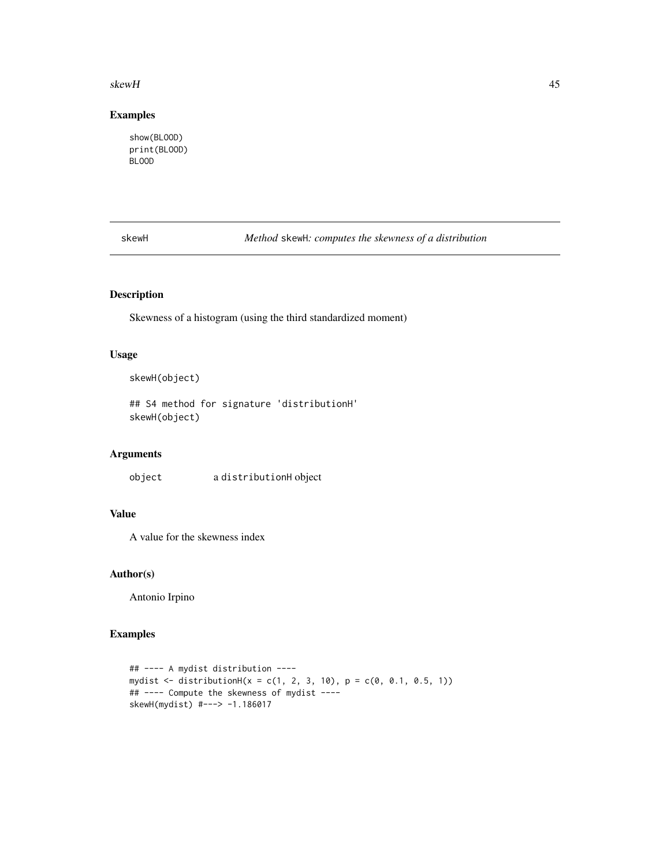#### skewH **45**

## Examples

show(BLOOD) print(BLOOD) BLOOD

skewH *Method* skewH*: computes the skewness of a distribution*

# Description

Skewness of a histogram (using the third standardized moment)

# Usage

skewH(object)

## S4 method for signature 'distributionH' skewH(object)

## Arguments

object a distributionH object

# Value

A value for the skewness index

## Author(s)

Antonio Irpino

```
## ---- A mydist distribution ----
mydist <- distributionH(x = c(1, 2, 3, 10), p = c(0, 0.1, 0.5, 1))
## ---- Compute the skewness of mydist ----
skewH(mydist) #---> -1.186017
```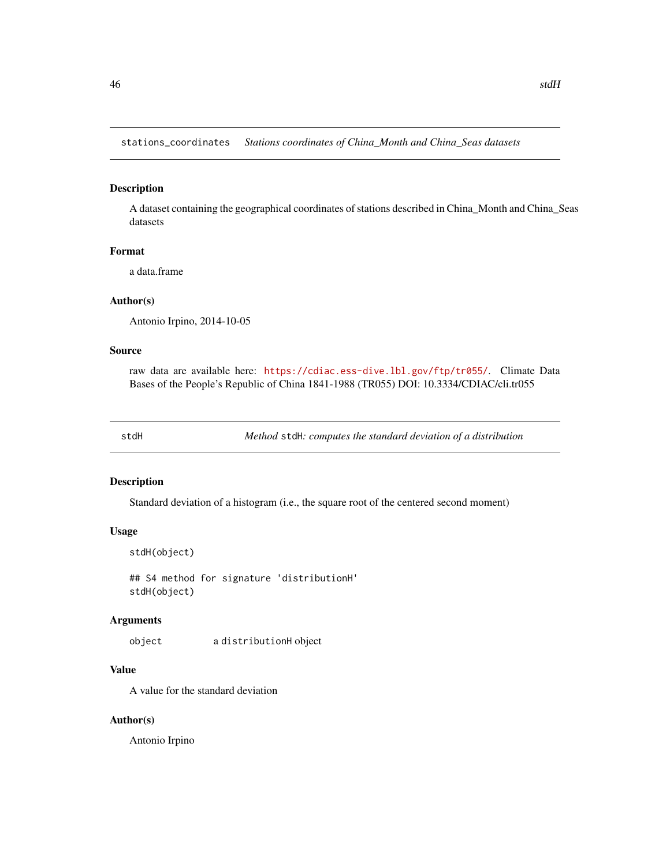stations\_coordinates *Stations coordinates of China\_Month and China\_Seas datasets*

#### Description

A dataset containing the geographical coordinates of stations described in China\_Month and China\_Seas datasets

## Format

a data.frame

## Author(s)

Antonio Irpino, 2014-10-05

## Source

raw data are available here: <https://cdiac.ess-dive.lbl.gov/ftp/tr055/>. Climate Data Bases of the People's Republic of China 1841-1988 (TR055) DOI: 10.3334/CDIAC/cli.tr055

stdH *Method* stdH*: computes the standard deviation of a distribution*

#### Description

Standard deviation of a histogram (i.e., the square root of the centered second moment)

#### Usage

```
stdH(object)
```
## S4 method for signature 'distributionH' stdH(object)

#### Arguments

object a distributionH object

## Value

A value for the standard deviation

#### Author(s)

Antonio Irpino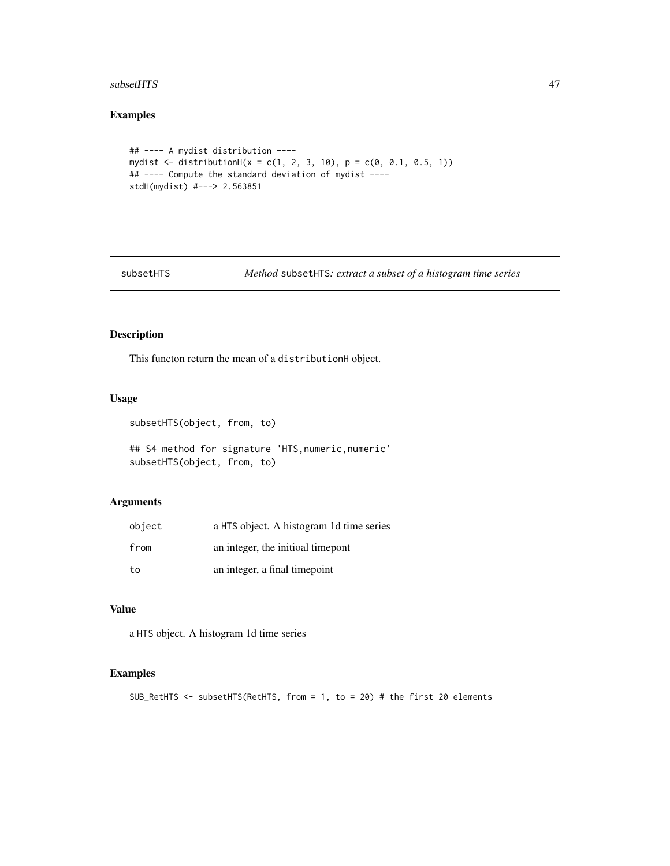#### $\mathbf{s}$ ubsetHTS  $\mathbf{A}$ 7

# Examples

```
## ---- A mydist distribution ----
mydist <- distributionH(x = c(1, 2, 3, 10), p = c(0, 0.1, 0.5, 1))
## ---- Compute the standard deviation of mydist ----
stdH(mydist) #---> 2.563851
```
subsetHTS *Method* subsetHTS*: extract a subset of a histogram time series*

# Description

This functon return the mean of a distributionH object.

## Usage

```
subsetHTS(object, from, to)
```
## S4 method for signature 'HTS, numeric, numeric' subsetHTS(object, from, to)

## Arguments

| object | a HTS object. A histogram 1d time series |
|--------|------------------------------------------|
| from   | an integer, the initioal time pont       |
| to     | an integer, a final timepoint            |

# Value

a HTS object. A histogram 1d time series

```
SUB_RetHTS <- subsetHTS(RetHTS, from = 1, to = 20) # the first 20 elements
```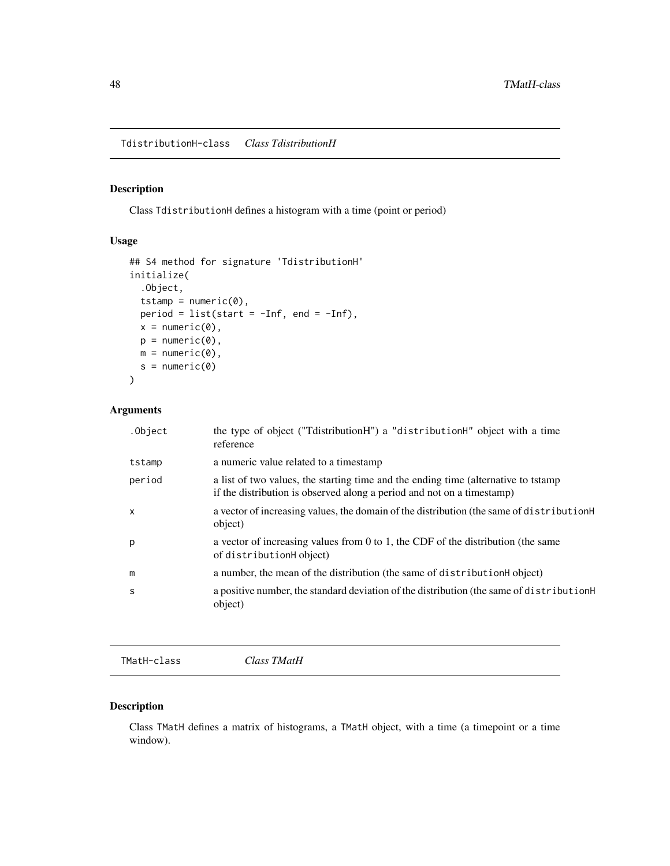TdistributionH-class *Class TdistributionH*

## Description

Class TdistributionH defines a histogram with a time (point or period)

# Usage

```
## S4 method for signature 'TdistributionH'
initialize(
  .Object,
  tstamp = numeric(0),
 period = list(start = -Inf, end = -Inf),
 x = numeric(0),
 p = numeric(0),
 m = numeric(0),
 s = numeric(0))
```
## Arguments

| .Object | the type of object ("TdistributionH") a "distributionH" object with a time<br>reference                                                                       |
|---------|---------------------------------------------------------------------------------------------------------------------------------------------------------------|
| tstamp  | a numeric value related to a timestamp                                                                                                                        |
| period  | a list of two values, the starting time and the ending time (alternative to tstamp)<br>if the distribution is observed along a period and not on a timestamp) |
| X       | a vector of increasing values, the domain of the distribution (the same of distribution $H$<br>object)                                                        |
| p       | a vector of increasing values from 0 to 1, the CDF of the distribution (the same<br>of distributionH object)                                                  |
| m       | a number, the mean of the distribution (the same of distribution H object)                                                                                    |
| S       | a positive number, the standard deviation of the distribution (the same of distribution H<br>object)                                                          |
|         |                                                                                                                                                               |

TMatH-class *Class TMatH*

## Description

Class TMatH defines a matrix of histograms, a TMatH object, with a time (a timepoint or a time window).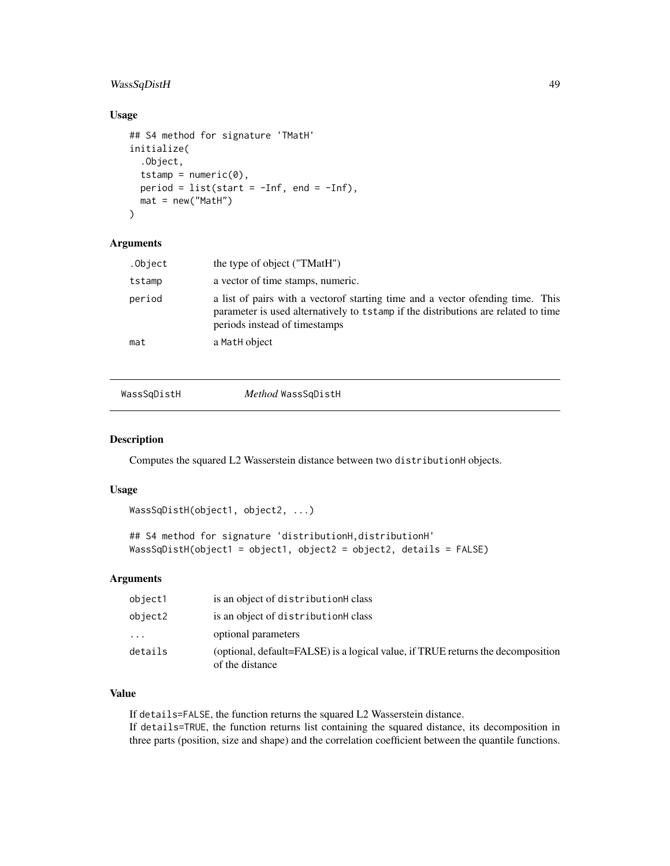## WassSqDistH 49

## Usage

```
## S4 method for signature 'TMatH'
initialize(
  .Object,
  tstamp = numeric(0),
 period = list(start = -Inf, end = -Inf),
 mat = new("Math"))
```
## Arguments

| .Object | the type of object ("TMatH")                                                                                                                                                                            |
|---------|---------------------------------------------------------------------------------------------------------------------------------------------------------------------------------------------------------|
| tstamp  | a vector of time stamps, numeric.                                                                                                                                                                       |
| period  | a list of pairs with a vector of starting time and a vector of ending time. This<br>parameter is used alternatively to tstamp if the distributions are related to time<br>periods instead of timestamps |
| mat     | a MatH object                                                                                                                                                                                           |
|         |                                                                                                                                                                                                         |

## WassSqDistH *Method* WassSqDistH

## Description

Computes the squared L2 Wasserstein distance between two distributionH objects.

#### Usage

```
WassSqDistH(object1, object2, ...)
```

```
## S4 method for signature 'distributionH,distributionH'
WassSqDistH(object1 = object1, object2 = object2, details = FALSE)
```
## Arguments

| object1 | is an object of distributionH class                                                                |
|---------|----------------------------------------------------------------------------------------------------|
| object2 | is an object of distributionH class                                                                |
| .       | optional parameters                                                                                |
| details | (optional, default=FALSE) is a logical value, if TRUE returns the decomposition<br>of the distance |

## Value

If details=FALSE, the function returns the squared L2 Wasserstein distance. If details=TRUE, the function returns list containing the squared distance, its decomposition in three parts (position, size and shape) and the correlation coefficient between the quantile functions.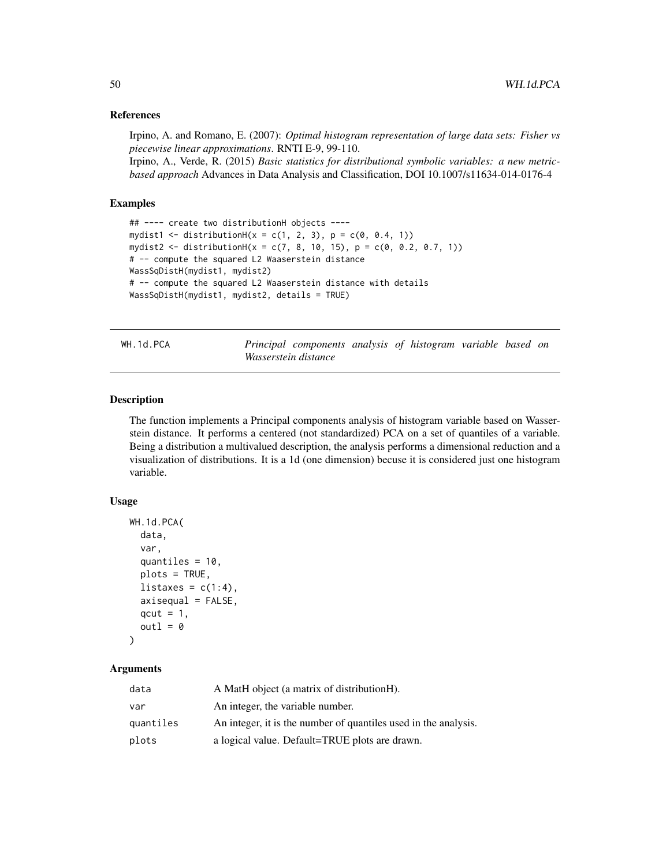#### References

Irpino, A. and Romano, E. (2007): *Optimal histogram representation of large data sets: Fisher vs piecewise linear approximations*. RNTI E-9, 99-110.

Irpino, A., Verde, R. (2015) *Basic statistics for distributional symbolic variables: a new metricbased approach* Advances in Data Analysis and Classification, DOI 10.1007/s11634-014-0176-4

#### Examples

```
## ---- create two distributionH objects ----
mydist1 \leq distributionH(x = c(1, 2, 3), p = c(0, 0.4, 1))mydist2 <- distributionH(x = c(7, 8, 10, 15), p = c(0, 0.2, 0.7, 1))
# -- compute the squared L2 Waaserstein distance
WassSqDistH(mydist1, mydist2)
# -- compute the squared L2 Waaserstein distance with details
WassSqDistH(mydist1, mydist2, details = TRUE)
```
WH.1d.PCA *Principal components analysis of histogram variable based on Wasserstein distance*

#### Description

The function implements a Principal components analysis of histogram variable based on Wasserstein distance. It performs a centered (not standardized) PCA on a set of quantiles of a variable. Being a distribution a multivalued description, the analysis performs a dimensional reduction and a visualization of distributions. It is a 1d (one dimension) becuse it is considered just one histogram variable.

#### Usage

```
WH.1d.PCA(
  data,
  var,
  quantiles = 10,
  plots = TRUE,
  listaxes = c(1:4),
  axisequal = FALSE,qcut = 1,
  out1 = 0\lambda
```
## Arguments

| data      | A MatH object (a matrix of distributionH).                      |
|-----------|-----------------------------------------------------------------|
| var       | An integer, the variable number.                                |
| quantiles | An integer, it is the number of quantiles used in the analysis. |
| plots     | a logical value. Default=TRUE plots are drawn.                  |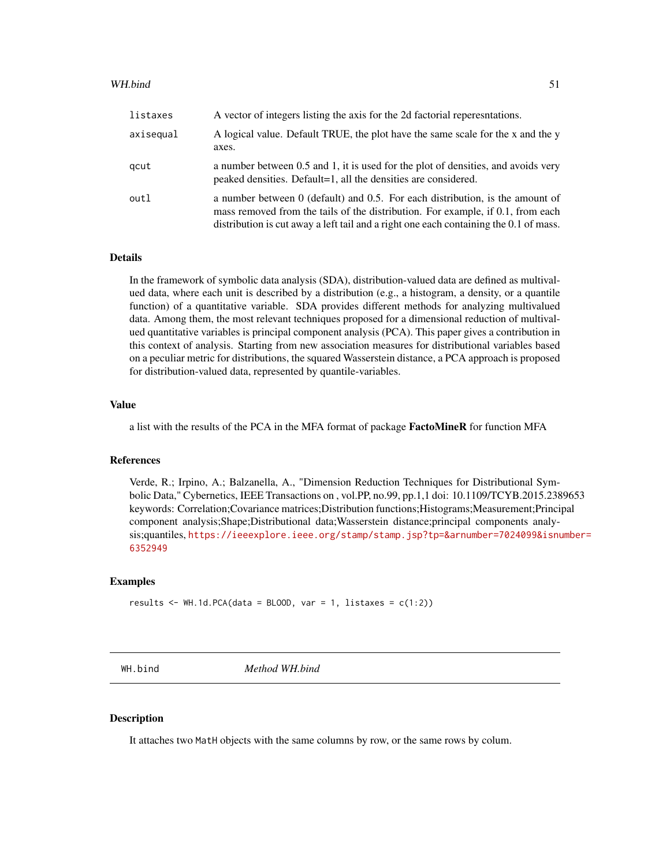#### WH.bind 51

| listaxes  | A vector of integers listing the axis for the 2d factorial reperesntations.                                                                                                                                                                                 |
|-----------|-------------------------------------------------------------------------------------------------------------------------------------------------------------------------------------------------------------------------------------------------------------|
| axisequal | A logical value. Default TRUE, the plot have the same scale for the x and the y<br>axes.                                                                                                                                                                    |
| gcut      | a number between 0.5 and 1, it is used for the plot of densities, and avoids very<br>peaked densities. Default=1, all the densities are considered.                                                                                                         |
| outl      | a number between $0$ (default) and 0.5. For each distribution, is the amount of<br>mass removed from the tails of the distribution. For example, if 0.1, from each<br>distribution is cut away a left tail and a right one each containing the 0.1 of mass. |

## Details

In the framework of symbolic data analysis (SDA), distribution-valued data are defined as multivalued data, where each unit is described by a distribution (e.g., a histogram, a density, or a quantile function) of a quantitative variable. SDA provides different methods for analyzing multivalued data. Among them, the most relevant techniques proposed for a dimensional reduction of multivalued quantitative variables is principal component analysis (PCA). This paper gives a contribution in this context of analysis. Starting from new association measures for distributional variables based on a peculiar metric for distributions, the squared Wasserstein distance, a PCA approach is proposed for distribution-valued data, represented by quantile-variables.

#### Value

a list with the results of the PCA in the MFA format of package FactoMineR for function MFA

#### References

Verde, R.; Irpino, A.; Balzanella, A., "Dimension Reduction Techniques for Distributional Symbolic Data," Cybernetics, IEEE Transactions on , vol.PP, no.99, pp.1,1 doi: 10.1109/TCYB.2015.2389653 keywords: Correlation;Covariance matrices;Distribution functions;Histograms;Measurement;Principal component analysis;Shape;Distributional data;Wasserstein distance;principal components analysis;quantiles, [https://ieeexplore.ieee.org/stamp/stamp.jsp?tp=&arnumber=7024099&isnu](https://ieeexplore.ieee.org/stamp/stamp.jsp?tp=&arnumber=7024099&isnumber=6352949)mber= [6352949](https://ieeexplore.ieee.org/stamp/stamp.jsp?tp=&arnumber=7024099&isnumber=6352949)

#### Examples

```
results \leq WH.1d.PCA(data = BLOOD, var = 1, listaxes = c(1:2))
```
WH.bind *Method WH.bind*

#### **Description**

It attaches two MatH objects with the same columns by row, or the same rows by colum.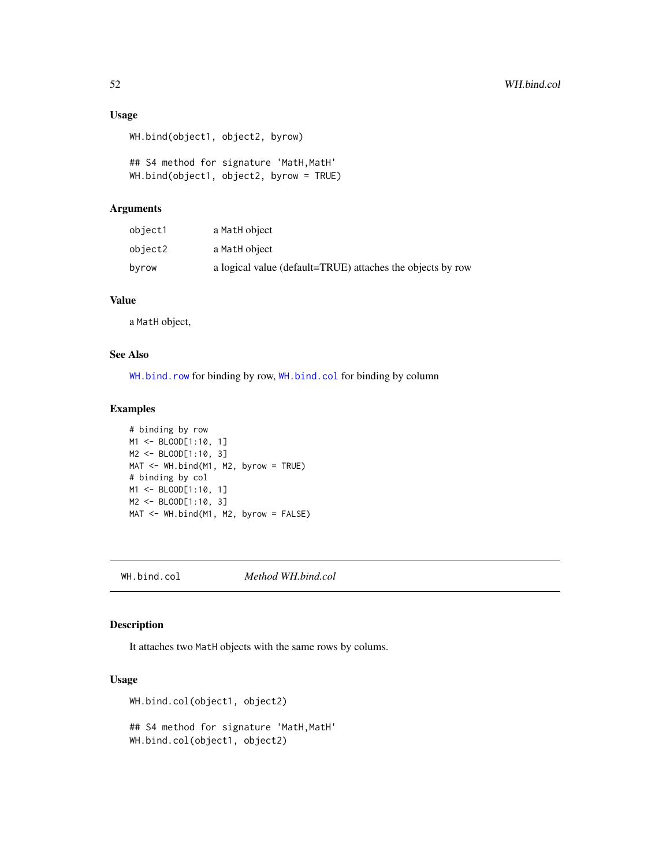## Usage

```
WH.bind(object1, object2, byrow)
```

```
## S4 method for signature 'MatH, MatH'
WH.bind(object1, object2, byrow = TRUE)
```
## Arguments

| object1 | a MatH object                                              |
|---------|------------------------------------------------------------|
| object2 | a MatH object                                              |
| byrow   | a logical value (default=TRUE) attaches the objects by row |

## Value

a MatH object,

## See Also

[WH.bind.row](#page-52-0) for binding by row, [WH.bind.col](#page-51-0) for binding by column

## Examples

```
# binding by row
M1 <- BLOOD[1:10, 1]
M2 <- BLOOD[1:10, 3]
MAT <- WH.bind(M1, M2, byrow = TRUE)
# binding by col
M1 <- BLOOD[1:10, 1]
M2 <- BLOOD[1:10, 3]
MAT <- WH.bind(M1, M2, byrow = FALSE)
```
<span id="page-51-0"></span>WH.bind.col *Method WH.bind.col*

## Description

It attaches two MatH objects with the same rows by colums.

## Usage

```
WH.bind.col(object1, object2)
## S4 method for signature 'MatH, MatH'
WH.bind.col(object1, object2)
```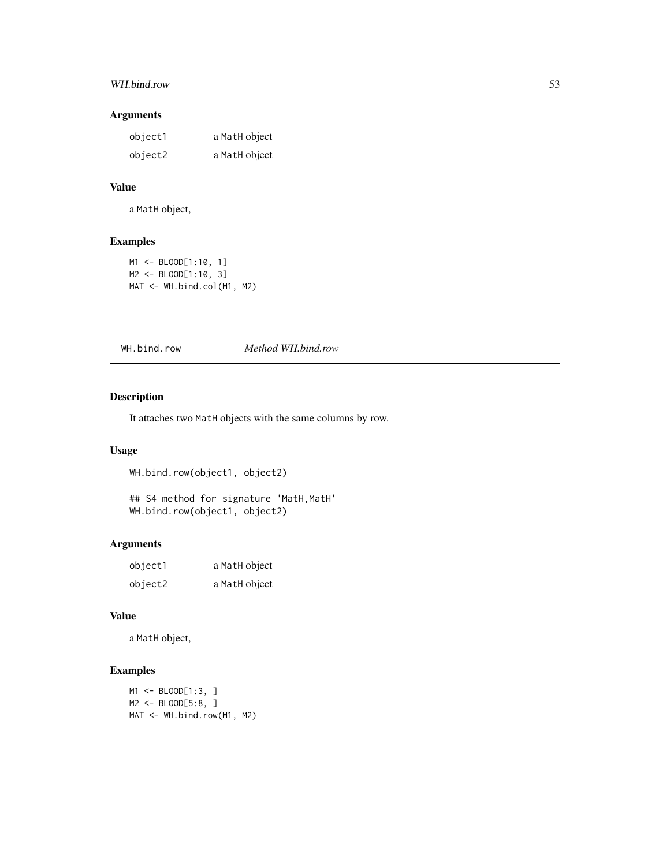# WH.bind.row 53

# Arguments

| object1 | a MatH object |
|---------|---------------|
| object2 | a MatH object |

## Value

a MatH object,

# Examples

```
M1 <- BLOOD[1:10, 1]
M2 <- BLOOD[1:10, 3]
MAT <- WH.bind.col(M1, M2)
```
<span id="page-52-0"></span>

WH.bind.row *Method WH.bind.row*

# Description

It attaches two MatH objects with the same columns by row.

## Usage

```
WH.bind.row(object1, object2)
## S4 method for signature 'MatH, MatH'
WH.bind.row(object1, object2)
```
## Arguments

| object1 | a MatH object |
|---------|---------------|
| object2 | a MatH object |

## Value

a MatH object,

```
M1 <- BLOOD[1:3, ]
M2 <- BLOOD[5:8, ]
MAT <- WH.bind.row(M1, M2)
```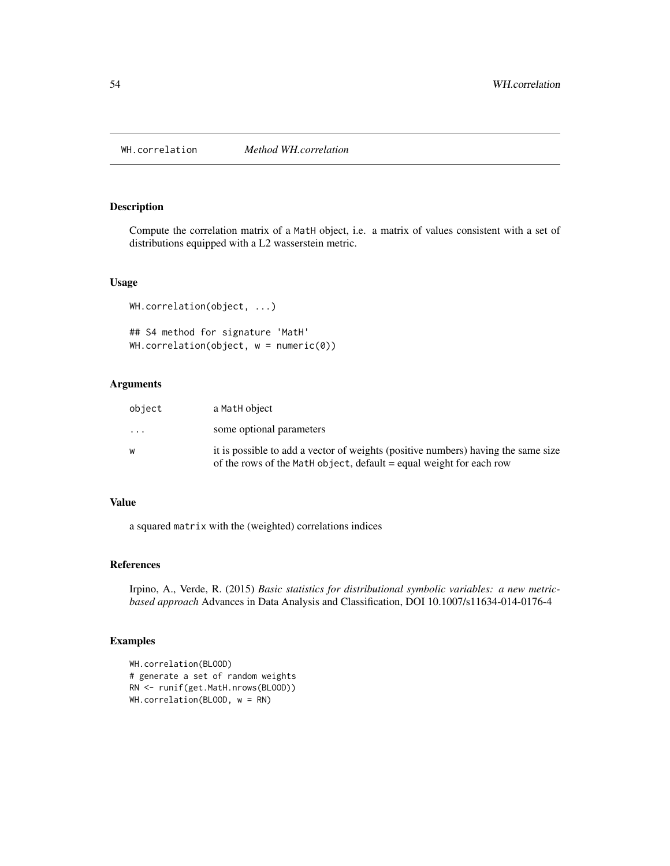WH.correlation *Method WH.correlation*

#### Description

Compute the correlation matrix of a MatH object, i.e. a matrix of values consistent with a set of distributions equipped with a L2 wasserstein metric.

## Usage

```
WH.correlation(object, ...)
## S4 method for signature 'MatH'
WH.correlation(object, w = numeric(0))
```
## Arguments

| object                  | a MatH object                                                                                                                                            |
|-------------------------|----------------------------------------------------------------------------------------------------------------------------------------------------------|
| $\cdot$ $\cdot$ $\cdot$ | some optional parameters                                                                                                                                 |
| w                       | it is possible to add a vector of weights (positive numbers) having the same size<br>of the rows of the Math object, default = equal weight for each row |

#### Value

a squared matrix with the (weighted) correlations indices

## References

Irpino, A., Verde, R. (2015) *Basic statistics for distributional symbolic variables: a new metricbased approach* Advances in Data Analysis and Classification, DOI 10.1007/s11634-014-0176-4

```
WH.correlation(BLOOD)
# generate a set of random weights
RN <- runif(get.MatH.nrows(BLOOD))
WH.correlation(BLOOD, w = RN)
```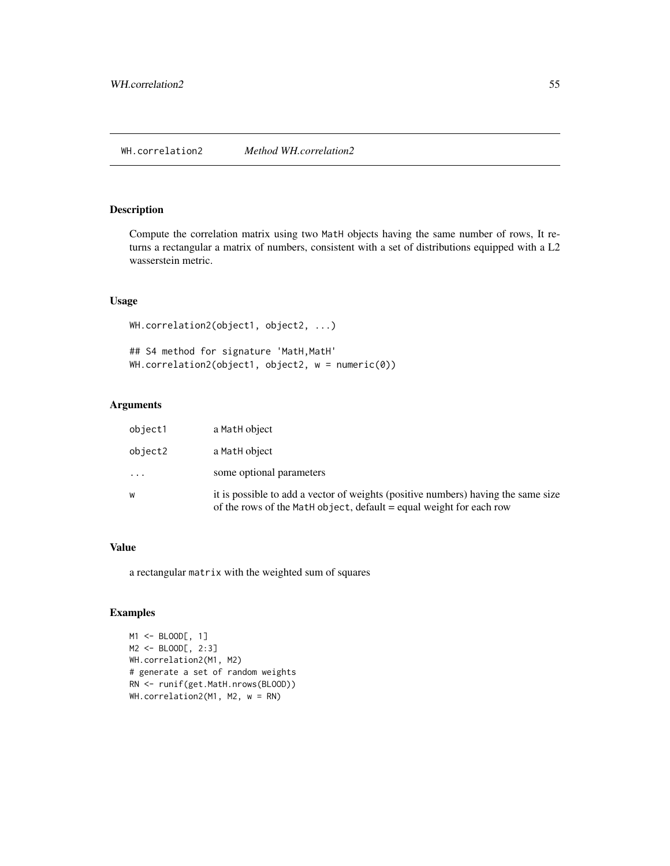Compute the correlation matrix using two MatH objects having the same number of rows, It returns a rectangular a matrix of numbers, consistent with a set of distributions equipped with a L2 wasserstein metric.

# Usage

```
WH.correlation2(object1, object2, ...)
## S4 method for signature 'MatH, MatH'
WH.correlation2(object1, object2, w = numeric(0))
```
## Arguments

| object1  | a MatH object                                                                                                                                            |
|----------|----------------------------------------------------------------------------------------------------------------------------------------------------------|
| object2  | a MatH object                                                                                                                                            |
| $\ddots$ | some optional parameters                                                                                                                                 |
| W        | it is possible to add a vector of weights (positive numbers) having the same size<br>of the rows of the Math object, default = equal weight for each row |

## Value

a rectangular matrix with the weighted sum of squares

```
M1 <- BLOOD[, 1]
M2 <- BLOOD[, 2:3]
WH.correlation2(M1, M2)
# generate a set of random weights
RN <- runif(get.MatH.nrows(BLOOD))
WH.correlation2(M1, M2, w = RN)
```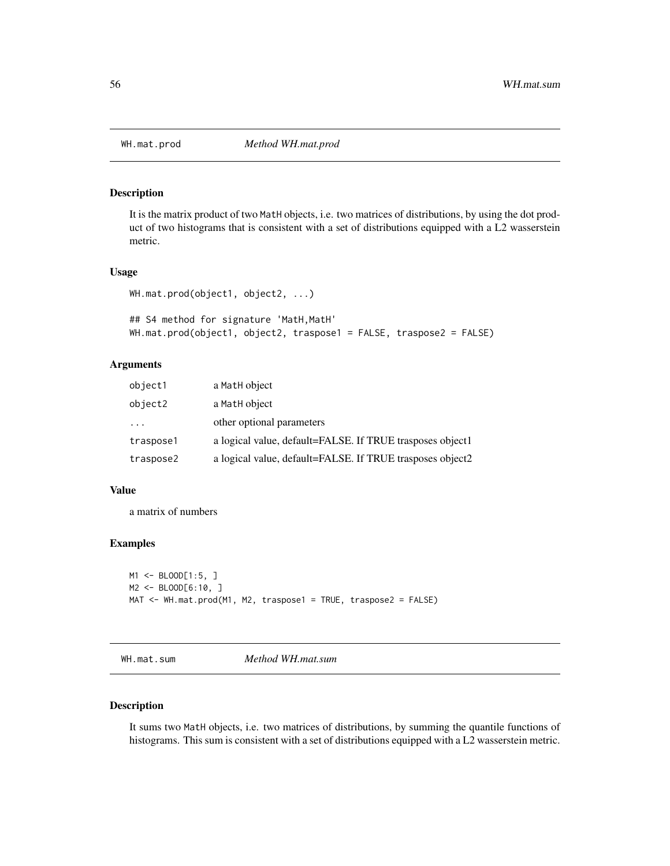It is the matrix product of two MatH objects, i.e. two matrices of distributions, by using the dot product of two histograms that is consistent with a set of distributions equipped with a L2 wasserstein metric.

#### Usage

```
WH.mat.prod(object1, object2, ...)
```

```
## S4 method for signature 'MatH, MatH'
WH.mat.prod(object1, object2, traspose1 = FALSE, traspose2 = FALSE)
```
#### Arguments

| object1   | a MatH object                                             |
|-----------|-----------------------------------------------------------|
| object2   | a MatH object                                             |
| $\cdot$   | other optional parameters                                 |
| traspose1 | a logical value, default=FALSE. If TRUE trasposes object1 |
| traspose2 | a logical value, default=FALSE. If TRUE trasposes object2 |

## Value

a matrix of numbers

## Examples

```
M1 <- BLOOD[1:5, ]
M2 <- BLOOD[6:10, ]
MAT <- WH.mat.prod(M1, M2, traspose1 = TRUE, traspose2 = FALSE)
```
WH.mat.sum *Method WH.mat.sum*

#### Description

It sums two MatH objects, i.e. two matrices of distributions, by summing the quantile functions of histograms. This sum is consistent with a set of distributions equipped with a L2 wasserstein metric.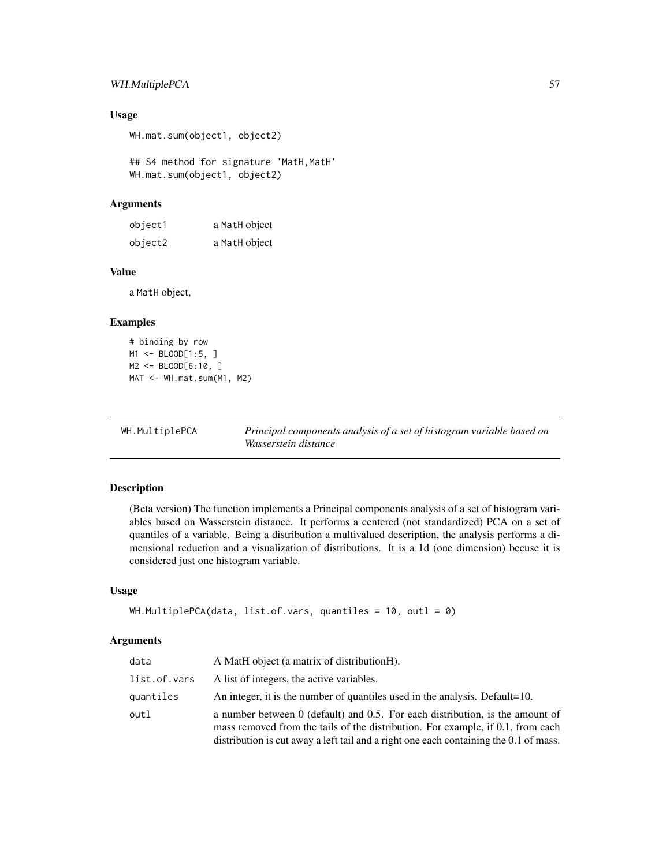# WH.MultiplePCA 57

## Usage

WH.mat.sum(object1, object2)

## S4 method for signature 'MatH, MatH' WH.mat.sum(object1, object2)

## Arguments

| object1 | a MatH object |
|---------|---------------|
| object2 | a MatH object |

## Value

a MatH object,

#### Examples

```
# binding by row
M1 <- BLOOD[1:5, ]
M2 <- BLOOD[6:10, ]
MAT <- WH.mat.sum(M1, M2)
```
WH.MultiplePCA *Principal components analysis of a set of histogram variable based on Wasserstein distance*

## Description

(Beta version) The function implements a Principal components analysis of a set of histogram variables based on Wasserstein distance. It performs a centered (not standardized) PCA on a set of quantiles of a variable. Being a distribution a multivalued description, the analysis performs a dimensional reduction and a visualization of distributions. It is a 1d (one dimension) becuse it is considered just one histogram variable.

## Usage

```
WH.MultiplePCA(data, list.of.vars, quantiles = 10, outl = 0)
```
#### Arguments

| data         | A MatH object (a matrix of distributionH).                                                                                                                                                                                                                  |
|--------------|-------------------------------------------------------------------------------------------------------------------------------------------------------------------------------------------------------------------------------------------------------------|
| list.of.vars | A list of integers, the active variables.                                                                                                                                                                                                                   |
| quantiles    | An integer, it is the number of quantiles used in the analysis. Default=10.                                                                                                                                                                                 |
| outl         | a number between $0$ (default) and 0.5. For each distribution, is the amount of<br>mass removed from the tails of the distribution. For example, if 0.1, from each<br>distribution is cut away a left tail and a right one each containing the 0.1 of mass. |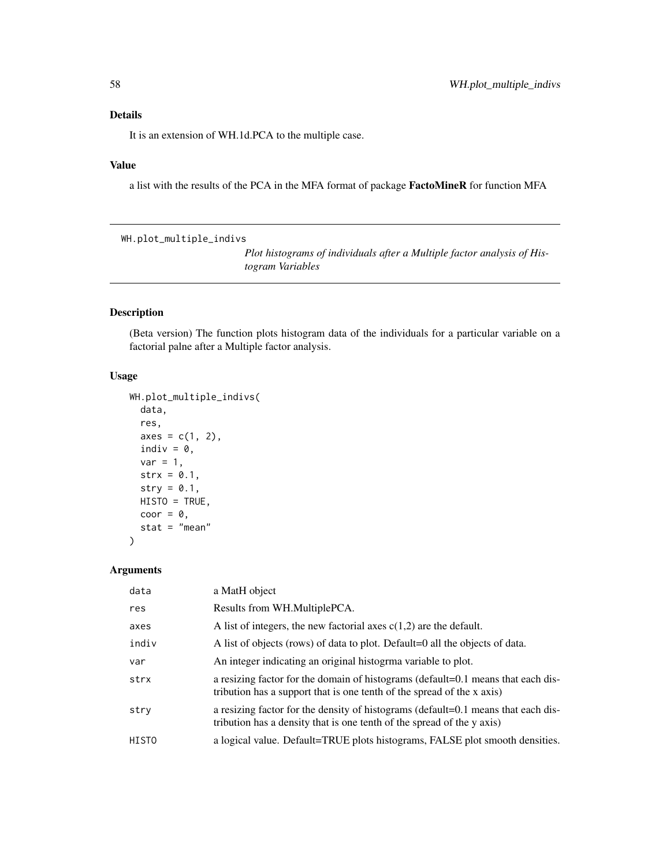It is an extension of WH.1d.PCA to the multiple case.

#### Value

a list with the results of the PCA in the MFA format of package FactoMineR for function MFA

WH.plot\_multiple\_indivs

*Plot histograms of individuals after a Multiple factor analysis of Histogram Variables*

# Description

(Beta version) The function plots histogram data of the individuals for a particular variable on a factorial palne after a Multiple factor analysis.

## Usage

```
WH.plot_multiple_indivs(
  data,
  res,
  axes = c(1, 2),indiv = \theta,
  var = 1,
  strx = 0.1,
  stry = 0.1,HISTO = TRUE,
  coor = 0,
  stat = "mean"
\mathcal{L}
```

```
Arguments
```

| data  | a MatH object                                                                                                                                               |
|-------|-------------------------------------------------------------------------------------------------------------------------------------------------------------|
| res   | Results from WH.MultiplePCA.                                                                                                                                |
| axes  | A list of integers, the new factorial axes $c(1,2)$ are the default.                                                                                        |
| indiv | A list of objects (rows) of data to plot. Default=0 all the objects of data.                                                                                |
| var   | An integer indicating an original histogrma variable to plot.                                                                                               |
| strx  | a resizing factor for the domain of histograms (default=0.1 means that each dis-<br>tribution has a support that is one tenth of the spread of the x axis)  |
| stry  | a resizing factor for the density of histograms (default=0.1 means that each dis-<br>tribution has a density that is one tenth of the spread of the y axis) |
| HISTO | a logical value. Default=TRUE plots histograms, FALSE plot smooth densities.                                                                                |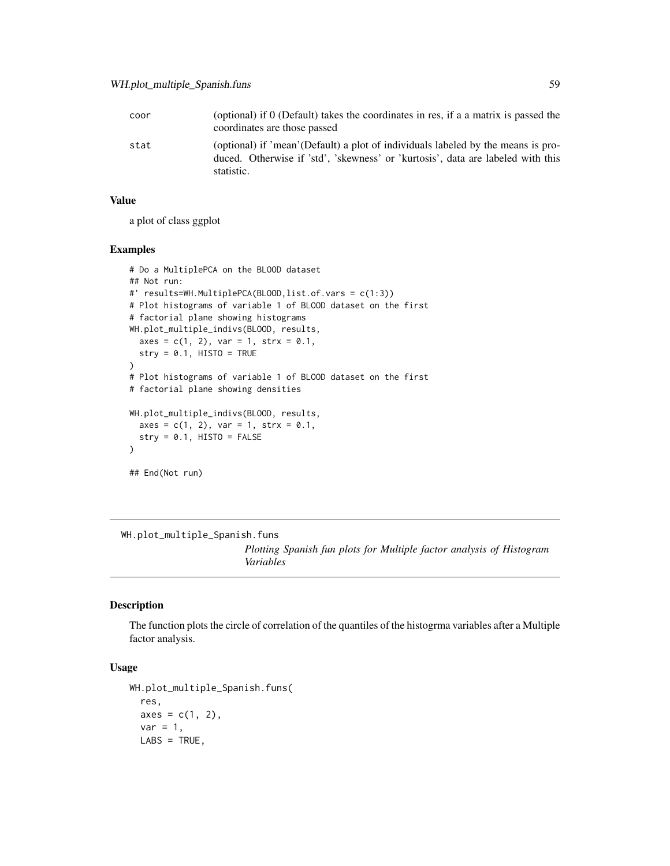| coor | (optional) if 0 (Default) takes the coordinates in res, if a a matrix is passed the<br>coordinates are those passed                                                               |
|------|-----------------------------------------------------------------------------------------------------------------------------------------------------------------------------------|
| stat | (optional) if 'mean'(Default) a plot of individuals labeled by the means is pro-<br>duced. Otherwise if 'std', 'skewness' or 'kurtosis', data are labeled with this<br>statistic. |

## Value

a plot of class ggplot

## Examples

```
# Do a MultiplePCA on the BLOOD dataset
## Not run:
#' results=WH.MultiplePCA(BLOOD,list.of.vars = c(1:3))
# Plot histograms of variable 1 of BLOOD dataset on the first
# factorial plane showing histograms
WH.plot_multiple_indivs(BLOOD, results,
  axes = c(1, 2), var = 1, strx = 0.1,stry = 0.1, HISTO = TRUE)
# Plot histograms of variable 1 of BLOOD dataset on the first
# factorial plane showing densities
WH.plot_multiple_indivs(BLOOD, results,
  axes = c(1, 2), var = 1, strx = 0.1,stry = 0.1, HISTO = FALSE\mathcal{L}## End(Not run)
```
WH.plot\_multiple\_Spanish.funs

*Plotting Spanish fun plots for Multiple factor analysis of Histogram Variables*

# Description

The function plots the circle of correlation of the quantiles of the histogrma variables after a Multiple factor analysis.

# Usage

```
WH.plot_multiple_Spanish.funs(
  res,
  axes = c(1, 2),var = 1,
 LABS = TRUE,
```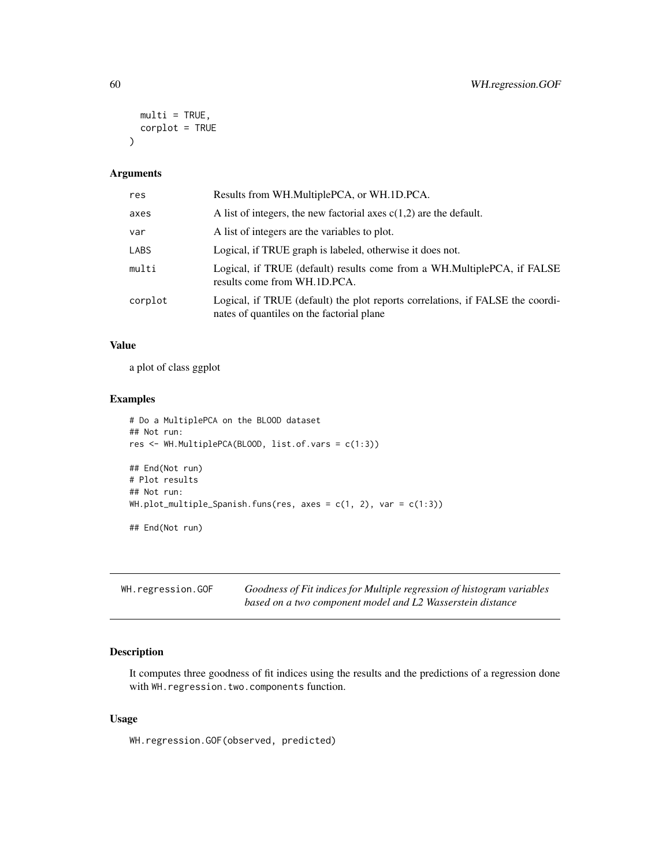```
multi = TRUE,corplot = TRUE
\lambda
```

| res     | Results from WH.MultiplePCA, or WH.1D.PCA.                                                                                  |
|---------|-----------------------------------------------------------------------------------------------------------------------------|
| axes    | A list of integers, the new factorial axes $c(1,2)$ are the default.                                                        |
| var     | A list of integers are the variables to plot.                                                                               |
| LABS    | Logical, if TRUE graph is labeled, otherwise it does not.                                                                   |
| multi   | Logical, if TRUE (default) results come from a WH.MultiplePCA, if FALSE<br>results come from WH.1D.PCA.                     |
| corplot | Logical, if TRUE (default) the plot reports correlations, if FALSE the coordi-<br>nates of quantiles on the factorial plane |

# Value

a plot of class ggplot

#### Examples

```
# Do a MultiplePCA on the BLOOD dataset
## Not run:
res <- WH.MultiplePCA(BLOOD, list.of.vars = c(1:3))
## End(Not run)
# Plot results
## Not run:
WH.plot_multiple_Spanish.funs(res, axes = c(1, 2), var = c(1:3))
## End(Not run)
```

| WH.regression.GOF | Goodness of Fit indices for Multiple regression of histogram variables |
|-------------------|------------------------------------------------------------------------|
|                   | based on a two component model and L2 Wasserstein distance             |

## Description

It computes three goodness of fit indices using the results and the predictions of a regression done with WH.regression.two.components function.

#### Usage

WH.regression.GOF(observed, predicted)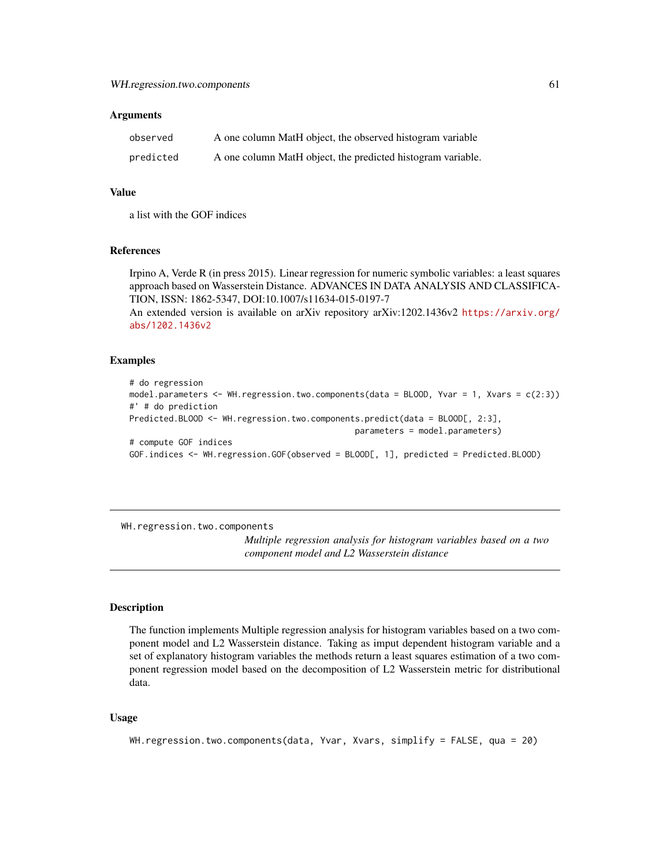| observed  | A one column MatH object, the observed histogram variable   |
|-----------|-------------------------------------------------------------|
| predicted | A one column MatH object, the predicted histogram variable. |

## Value

a list with the GOF indices

#### References

Irpino A, Verde R (in press 2015). Linear regression for numeric symbolic variables: a least squares approach based on Wasserstein Distance. ADVANCES IN DATA ANALYSIS AND CLASSIFICA-TION, ISSN: 1862-5347, DOI:10.1007/s11634-015-0197-7

An extended version is available on arXiv repository arXiv:1202.1436v2 [https://arxiv.org/](https://arxiv.org/abs/1202.1436v2) [abs/1202.1436v2](https://arxiv.org/abs/1202.1436v2)

#### Examples

```
# do regression
model.parameters <- WH.regression.two.components(data = BLOOD, Yvar = 1, Xvars = c(2:3))
#' # do prediction
Predicted.BLOOD <- WH.regression.two.components.predict(data = BLOOD[, 2:3],
                                              parameters = model.parameters)
# compute GOF indices
GOF.indices <- WH.regression.GOF(observed = BLOOD[, 1], predicted = Predicted.BLOOD)
```
WH.regression.two.components

*Multiple regression analysis for histogram variables based on a two component model and L2 Wasserstein distance*

## Description

The function implements Multiple regression analysis for histogram variables based on a two component model and L2 Wasserstein distance. Taking as imput dependent histogram variable and a set of explanatory histogram variables the methods return a least squares estimation of a two component regression model based on the decomposition of L2 Wasserstein metric for distributional data.

#### Usage

```
WH.regression.two.components(data, Yvar, Xvars, simplify = FALSE, qua = 20)
```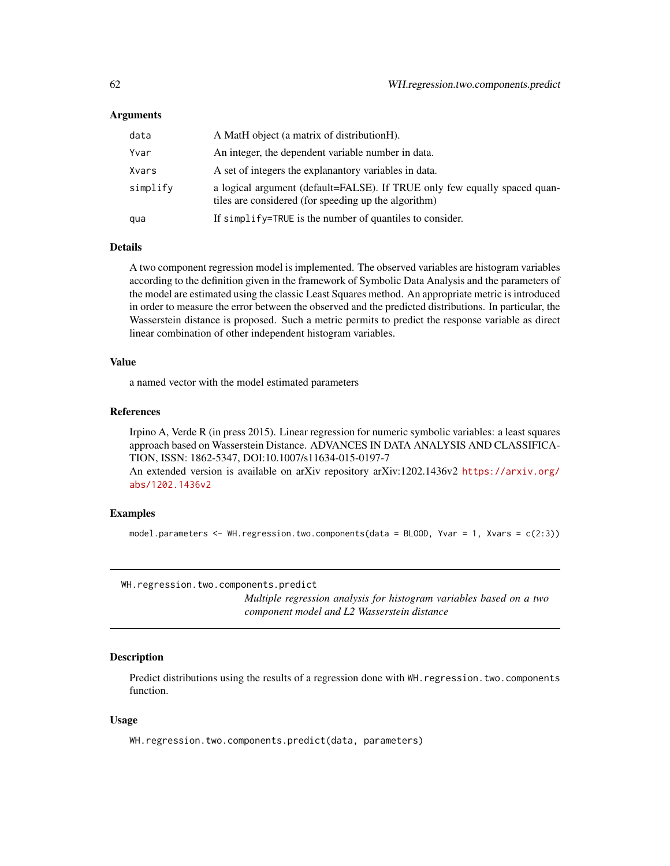| data     | A MatH object (a matrix of distribution H).                                                                                       |
|----------|-----------------------------------------------------------------------------------------------------------------------------------|
| Yvar     | An integer, the dependent variable number in data.                                                                                |
| Xvars    | A set of integers the explanant ory variables in data.                                                                            |
| simplify | a logical argument (default=FALSE). If TRUE only few equally spaced quan-<br>tiles are considered (for speeding up the algorithm) |
| qua      | If simplify=TRUE is the number of quantiles to consider.                                                                          |

#### Details

A two component regression model is implemented. The observed variables are histogram variables according to the definition given in the framework of Symbolic Data Analysis and the parameters of the model are estimated using the classic Least Squares method. An appropriate metric is introduced in order to measure the error between the observed and the predicted distributions. In particular, the Wasserstein distance is proposed. Such a metric permits to predict the response variable as direct linear combination of other independent histogram variables.

## Value

a named vector with the model estimated parameters

#### References

Irpino A, Verde R (in press 2015). Linear regression for numeric symbolic variables: a least squares approach based on Wasserstein Distance. ADVANCES IN DATA ANALYSIS AND CLASSIFICA-TION, ISSN: 1862-5347, DOI:10.1007/s11634-015-0197-7 An extended version is available on arXiv repository arXiv:1202.1436v2 [https://arxiv.org/](https://arxiv.org/abs/1202.1436v2) [abs/1202.1436v2](https://arxiv.org/abs/1202.1436v2)

#### Examples

model.parameters <- WH.regression.two.components(data = BLOOD, Yvar = 1, Xvars = c(2:3))

WH.regression.two.components.predict

*Multiple regression analysis for histogram variables based on a two component model and L2 Wasserstein distance*

#### Description

Predict distributions using the results of a regression done with WH. regression. two. components function.

#### Usage

WH.regression.two.components.predict(data, parameters)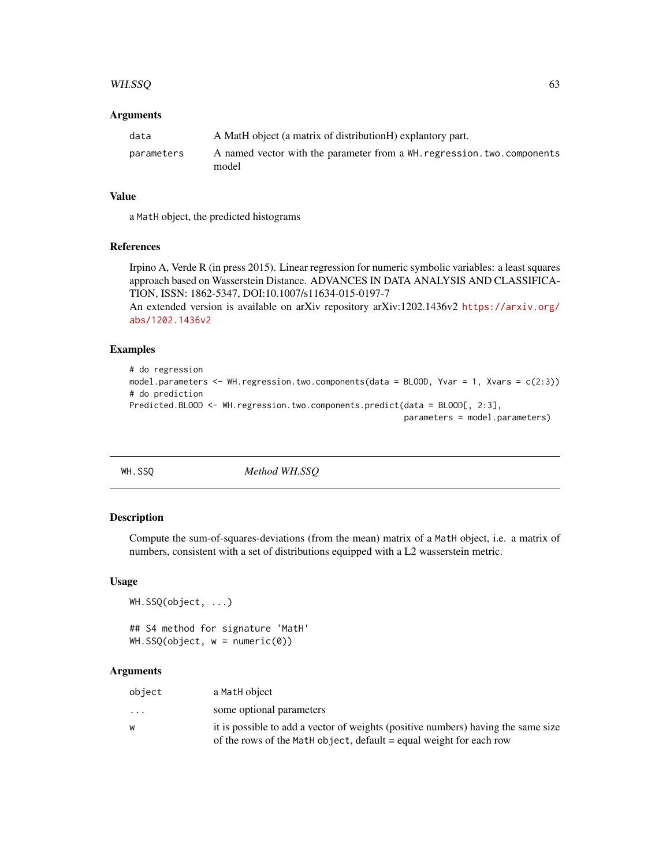#### WH.SSQ 63

#### **Arguments**

| data       | A MatH object (a matrix of distributionH) explantory part.                       |
|------------|----------------------------------------------------------------------------------|
| parameters | A named vector with the parameter from a WH regression, two, components<br>model |

#### Value

a MatH object, the predicted histograms

## References

Irpino A, Verde R (in press 2015). Linear regression for numeric symbolic variables: a least squares approach based on Wasserstein Distance. ADVANCES IN DATA ANALYSIS AND CLASSIFICA-TION, ISSN: 1862-5347, DOI:10.1007/s11634-015-0197-7

An extended version is available on arXiv repository arXiv:1202.1436v2 [https://arxiv.org/](https://arxiv.org/abs/1202.1436v2) [abs/1202.1436v2](https://arxiv.org/abs/1202.1436v2)

# Examples

```
# do regression
model.parameters <- WH.regression.two.components(data = BLOOD, Yvar = 1, Xvars = c(2:3))
# do prediction
Predicted.BLOOD <- WH.regression.two.components.predict(data = BLOOD[, 2:3],
                                                        parameters = model.parameters)
```
WH.SSQ *Method WH.SSQ*

## Description

Compute the sum-of-squares-deviations (from the mean) matrix of a MatH object, i.e. a matrix of numbers, consistent with a set of distributions equipped with a L2 wasserstein metric.

#### Usage

```
WH.SSQ(object, ...)
```
## S4 method for signature 'MatH'  $WH.SSQ(object, w = numeric(0))$ 

## Arguments

| object                  | a MatH object                                                                     |
|-------------------------|-----------------------------------------------------------------------------------|
| $\cdot$ $\cdot$ $\cdot$ | some optional parameters                                                          |
| W                       | it is possible to add a vector of weights (positive numbers) having the same size |
|                         | of the rows of the MatH object, default = equal weight for each row               |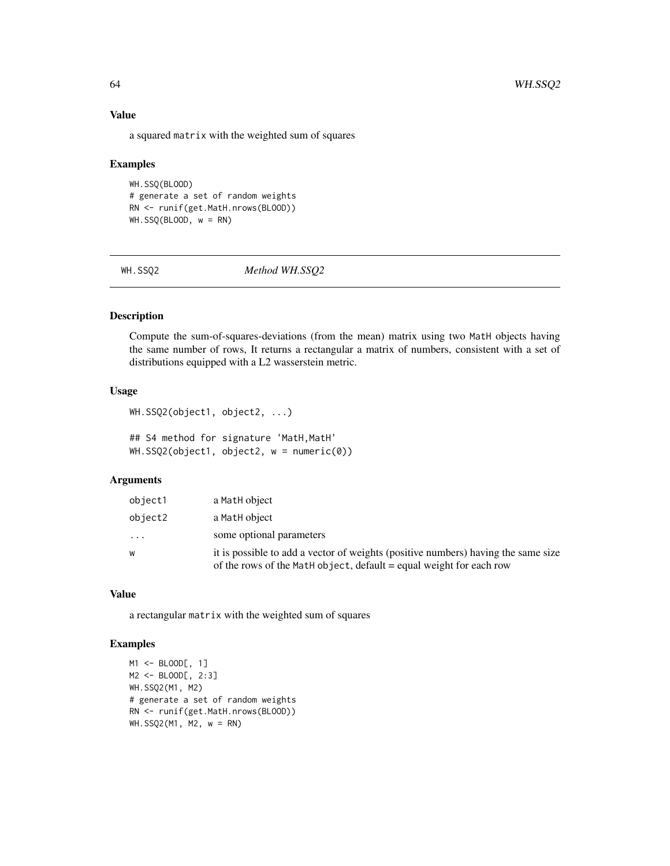## Value

a squared matrix with the weighted sum of squares

#### Examples

```
WH.SSQ(BLOOD)
# generate a set of random weights
RN <- runif(get.MatH.nrows(BLOOD))
WH.SSQ(BLOOD, w = RN)
```
WH.SSQ2 *Method WH.SSQ2*

# Description

Compute the sum-of-squares-deviations (from the mean) matrix using two MatH objects having the same number of rows, It returns a rectangular a matrix of numbers, consistent with a set of distributions equipped with a L2 wasserstein metric.

# Usage

```
WH.SSQ2(object1, object2, ...)
```
## S4 method for signature 'MatH, MatH' WH.SSQ2(object1, object2, w = numeric(0))

## Arguments

| object1  | a MatH object                                                                                                                                            |
|----------|----------------------------------------------------------------------------------------------------------------------------------------------------------|
| object2  | a MatH object                                                                                                                                            |
| $\cdots$ | some optional parameters                                                                                                                                 |
| W        | it is possible to add a vector of weights (positive numbers) having the same size<br>of the rows of the MatH object, default = equal weight for each row |

## Value

a rectangular matrix with the weighted sum of squares

```
M1 <- BLOOD[, 1]
M2 <- BLOOD[, 2:3]
WH.SSQ2(M1, M2)
# generate a set of random weights
RN <- runif(get.MatH.nrows(BLOOD))
WH.SSQ2(M1, M2, w = RN)
```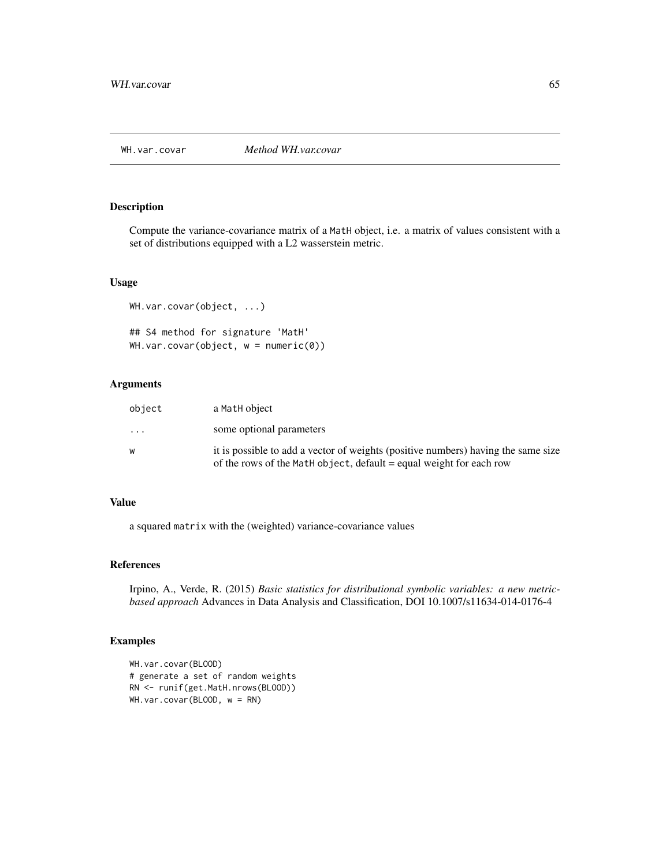Compute the variance-covariance matrix of a MatH object, i.e. a matrix of values consistent with a set of distributions equipped with a L2 wasserstein metric.

#### Usage

```
WH.var.covar(object, ...)
## S4 method for signature 'MatH'
WH.var.covar(object, w = numeric(0))
```
## Arguments

| object    | a MatH object                                                                                                                                            |
|-----------|----------------------------------------------------------------------------------------------------------------------------------------------------------|
| $\ddotsc$ | some optional parameters                                                                                                                                 |
| w         | it is possible to add a vector of weights (positive numbers) having the same size<br>of the rows of the Math object, default = equal weight for each row |

#### Value

a squared matrix with the (weighted) variance-covariance values

## References

Irpino, A., Verde, R. (2015) *Basic statistics for distributional symbolic variables: a new metricbased approach* Advances in Data Analysis and Classification, DOI 10.1007/s11634-014-0176-4

```
WH.var.covar(BLOOD)
# generate a set of random weights
RN <- runif(get.MatH.nrows(BLOOD))
WH.var.covar(BLOOD, w = RN)
```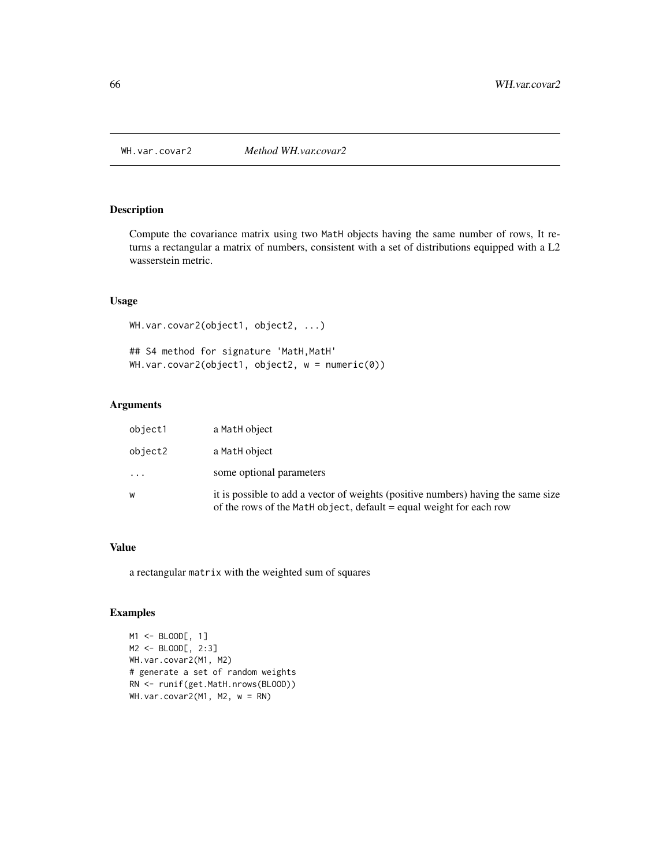Compute the covariance matrix using two MatH objects having the same number of rows, It returns a rectangular a matrix of numbers, consistent with a set of distributions equipped with a L2 wasserstein metric.

# Usage

WH.var.covar2(object1, object2, ...) ## S4 method for signature 'MatH, MatH' WH.var.covar2(object1, object2, w = numeric(0))

## Arguments

| object1  | a MatH object                                                                                                                                            |
|----------|----------------------------------------------------------------------------------------------------------------------------------------------------------|
| object2  | a MatH object                                                                                                                                            |
| $\cdots$ | some optional parameters                                                                                                                                 |
| W        | it is possible to add a vector of weights (positive numbers) having the same size<br>of the rows of the Math object, default = equal weight for each row |

## Value

a rectangular matrix with the weighted sum of squares

## Examples

M1 <- BLOOD[, 1] M2 <- BLOOD[, 2:3] WH.var.covar2(M1, M2) # generate a set of random weights RN <- runif(get.MatH.nrows(BLOOD)) WH.var.covar2(M1, M2, w = RN)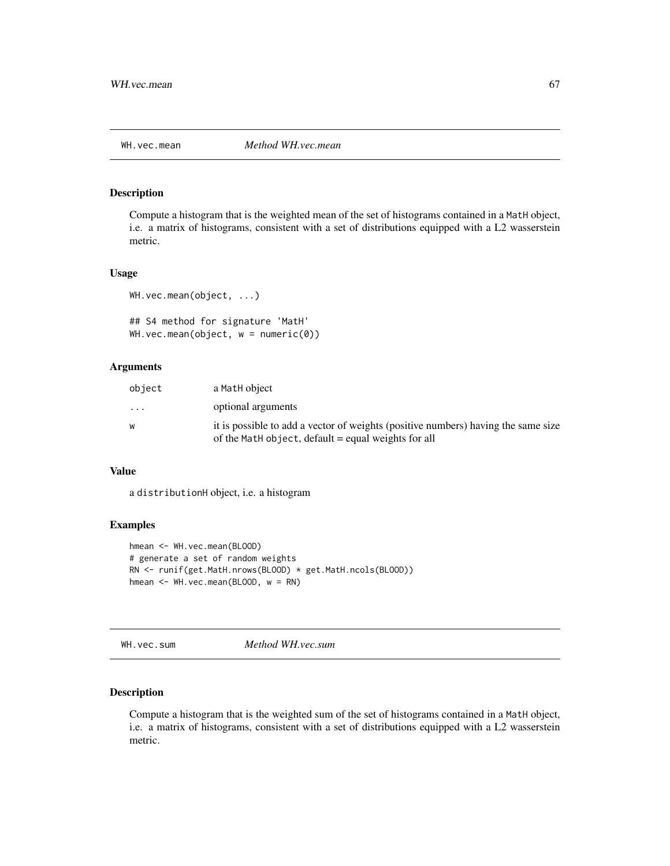Compute a histogram that is the weighted mean of the set of histograms contained in a MatH object, i.e. a matrix of histograms, consistent with a set of distributions equipped with a L2 wasserstein metric.

#### Usage

```
WH.vec.mean(object, ...)
```
## S4 method for signature 'MatH' WH.vec.mean(object,  $w = numeric(0)$ )

## Arguments

| object  | a MatH object                                                                     |
|---------|-----------------------------------------------------------------------------------|
| $\cdot$ | optional arguments                                                                |
| W       | it is possible to add a vector of weights (positive numbers) having the same size |
|         | of the Math object, default = equal weights for all                               |

#### Value

a distributionH object, i.e. a histogram

#### Examples

```
hmean <- WH.vec.mean(BLOOD)
# generate a set of random weights
RN <- runif(get.MatH.nrows(BLOOD) * get.MatH.ncols(BLOOD))
hmean <- WH.vec.mean(BLOOD, w = RN)
```
WH.vec.sum *Method WH.vec.sum*

#### Description

Compute a histogram that is the weighted sum of the set of histograms contained in a MatH object, i.e. a matrix of histograms, consistent with a set of distributions equipped with a L2 wasserstein metric.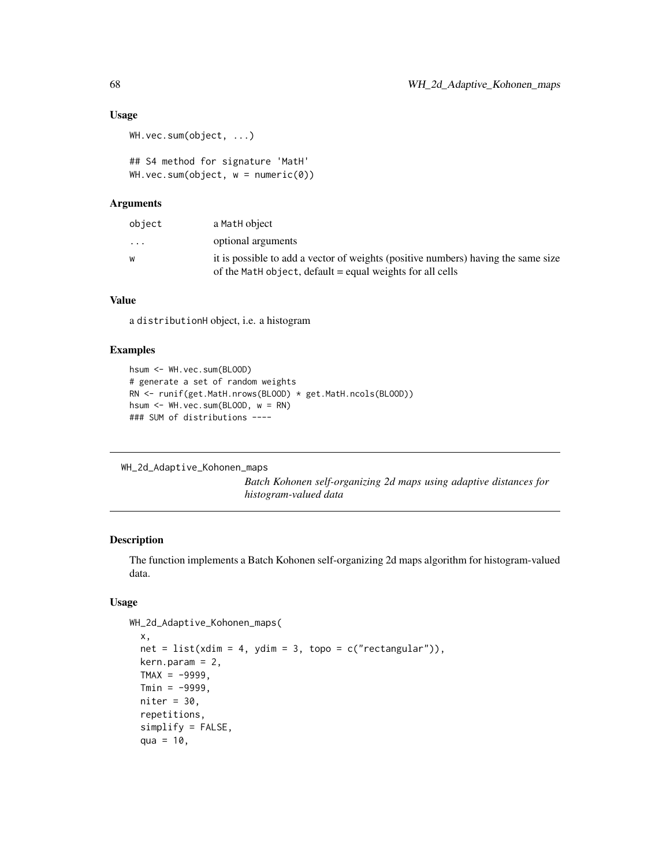#### Usage

```
WH.vec.sum(object, ...)
```

```
## S4 method for signature 'MatH'
WH.vec.sum(object, w = numeric(0))
```
## Arguments

| object                  | a MatH object                                                                                                                                    |
|-------------------------|--------------------------------------------------------------------------------------------------------------------------------------------------|
| $\cdot$ $\cdot$ $\cdot$ | optional arguments                                                                                                                               |
| w                       | it is possible to add a vector of weights (positive numbers) having the same size<br>of the Math object, default $=$ equal weights for all cells |

# Value

a distributionH object, i.e. a histogram

# Examples

```
hsum <- WH.vec.sum(BLOOD)
# generate a set of random weights
RN <- runif(get.MatH.nrows(BLOOD) * get.MatH.ncols(BLOOD))
hsum <- WH.vec.sum(BLOOD, w = RN)
### SUM of distributions ----
```

```
WH_2d_Adaptive_Kohonen_maps
```
*Batch Kohonen self-organizing 2d maps using adaptive distances for histogram-valued data*

## Description

The function implements a Batch Kohonen self-organizing 2d maps algorithm for histogram-valued data.

#### Usage

```
WH_2d_Adaptive_Kohonen_maps(
  x,
  net = list(xdim = 4, ydim = 3, topo = c("rectangular")),
 kern.param = 2,
 TMAX = -99999,
 Tmin = -99999,niter = 30.
  repetitions,
  simplify = FALSE,
  qua = 10,
```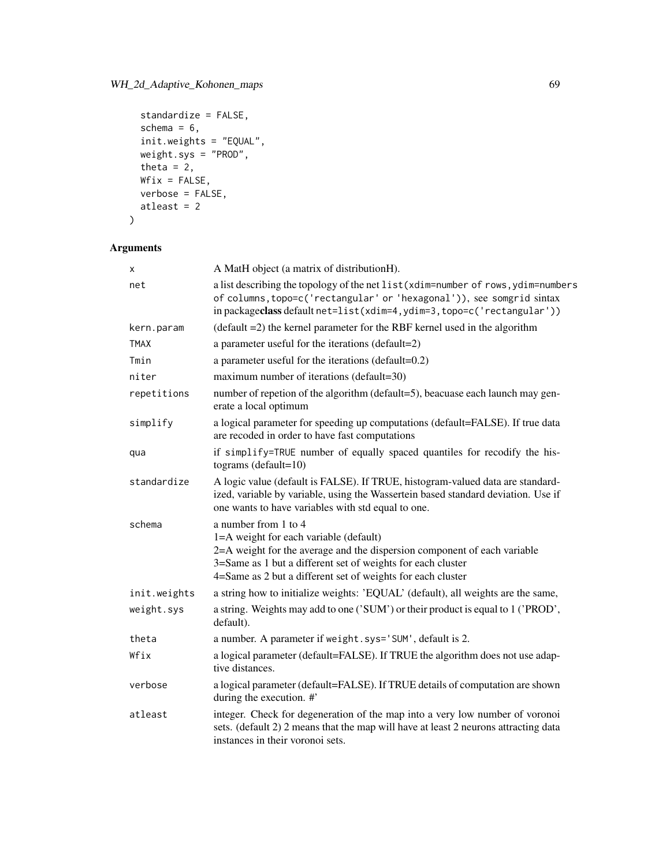```
standardize = FALSE,
 schema = 6,
 init.weights = "EQUAL",
 weight.sys = "PROD",
 theta = 2,
 Wfix = FALSE,verbose = FALSE,
 atleast = 2
\mathcal{L}
```

| x            | A MatH object (a matrix of distributionH).                                                                                                                                                                                                                               |
|--------------|--------------------------------------------------------------------------------------------------------------------------------------------------------------------------------------------------------------------------------------------------------------------------|
| net          | a list describing the topology of the net list (xdim=number of rows, ydim=numbers<br>of columns, topo=c('rectangular' or 'hexagonal')), see somgrid sintax<br>in packageclass default net=list(xdim=4, ydim=3, topo=c('rectangular'))                                    |
| kern.param   | $(detault = 2)$ the kernel parameter for the RBF kernel used in the algorithm                                                                                                                                                                                            |
| <b>TMAX</b>  | a parameter useful for the iterations (default=2)                                                                                                                                                                                                                        |
| Tmin         | a parameter useful for the iterations (default=0.2)                                                                                                                                                                                                                      |
| niter        | maximum number of iterations (default=30)                                                                                                                                                                                                                                |
| repetitions  | number of repetion of the algorithm (default=5), beacuase each launch may gen-<br>erate a local optimum                                                                                                                                                                  |
| simplify     | a logical parameter for speeding up computations (default=FALSE). If true data<br>are recoded in order to have fast computations                                                                                                                                         |
| qua          | if simplify=TRUE number of equally spaced quantiles for recodify the his-<br>tograms ( $default=10$ )                                                                                                                                                                    |
| standardize  | A logic value (default is FALSE). If TRUE, histogram-valued data are standard-<br>ized, variable by variable, using the Wassertein based standard deviation. Use if<br>one wants to have variables with std equal to one.                                                |
| schema       | a number from 1 to 4<br>1=A weight for each variable (default)<br>2=A weight for the average and the dispersion component of each variable<br>3=Same as 1 but a different set of weights for each cluster<br>4=Same as 2 but a different set of weights for each cluster |
| init.weights | a string how to initialize weights: 'EQUAL' (default), all weights are the same,                                                                                                                                                                                         |
| weight.sys   | a string. Weights may add to one ('SUM') or their product is equal to 1 ('PROD',<br>default).                                                                                                                                                                            |
| theta        | a number. A parameter if weight.sys='SUM', default is 2.                                                                                                                                                                                                                 |
| Wfix         | a logical parameter (default=FALSE). If TRUE the algorithm does not use adap-<br>tive distances.                                                                                                                                                                         |
| verbose      | a logical parameter (default=FALSE). If TRUE details of computation are shown<br>during the execution. #'                                                                                                                                                                |
| atleast      | integer. Check for degeneration of the map into a very low number of voronoi<br>sets. (default 2) 2 means that the map will have at least 2 neurons attracting data<br>instances in their voronoi sets.                                                                  |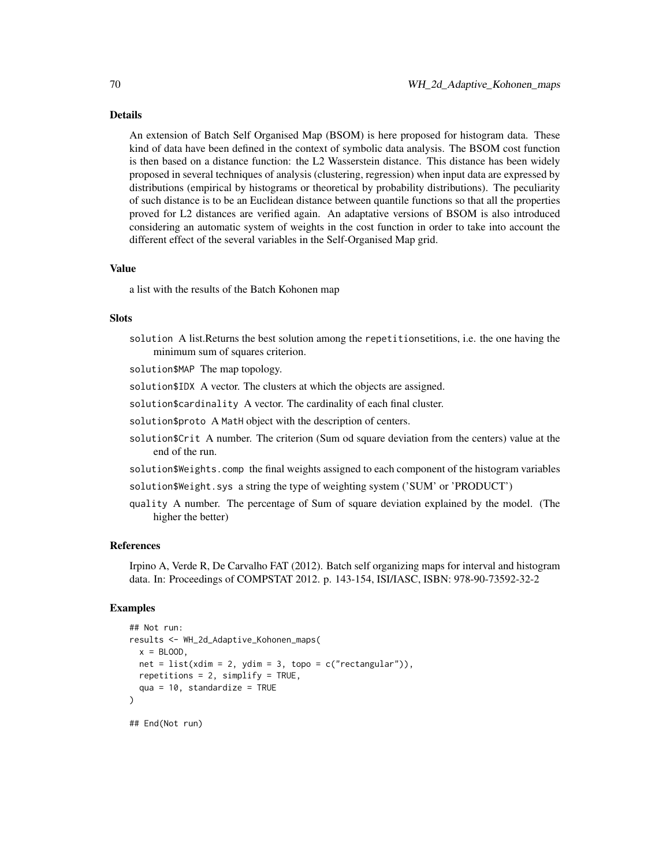#### Details

An extension of Batch Self Organised Map (BSOM) is here proposed for histogram data. These kind of data have been defined in the context of symbolic data analysis. The BSOM cost function is then based on a distance function: the L2 Wasserstein distance. This distance has been widely proposed in several techniques of analysis (clustering, regression) when input data are expressed by distributions (empirical by histograms or theoretical by probability distributions). The peculiarity of such distance is to be an Euclidean distance between quantile functions so that all the properties proved for L2 distances are verified again. An adaptative versions of BSOM is also introduced considering an automatic system of weights in the cost function in order to take into account the different effect of the several variables in the Self-Organised Map grid.

#### Value

a list with the results of the Batch Kohonen map

# **Slots**

solution A list.Returns the best solution among the repetitionsetitions, i.e. the one having the minimum sum of squares criterion.

solution\$MAP The map topology.

solution\$IDX A vector. The clusters at which the objects are assigned.

solution\$cardinality A vector. The cardinality of each final cluster.

solution\$proto A MatH object with the description of centers.

- solution\$Crit A number. The criterion (Sum od square deviation from the centers) value at the end of the run.
- solution\$Weights.comp the final weights assigned to each component of the histogram variables

solution\$Weight.sys a string the type of weighting system ('SUM' or 'PRODUCT')

quality A number. The percentage of Sum of square deviation explained by the model. (The higher the better)

#### References

Irpino A, Verde R, De Carvalho FAT (2012). Batch self organizing maps for interval and histogram data. In: Proceedings of COMPSTAT 2012. p. 143-154, ISI/IASC, ISBN: 978-90-73592-32-2

#### Examples

```
## Not run:
results <- WH_2d_Adaptive_Kohonen_maps(
 x = BLOOD,
 net = list(xdim = 2, ydim = 3, topo = c("rectangular")),
 repetitions = 2, simplify = TRUE,
 qua = 10, standardize = TRUE
)
```
## End(Not run)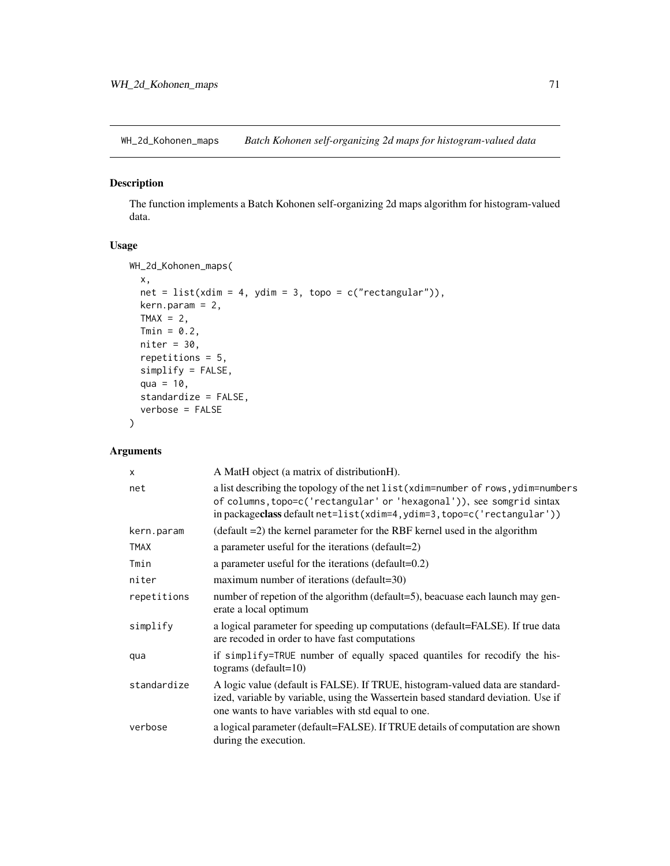WH\_2d\_Kohonen\_maps *Batch Kohonen self-organizing 2d maps for histogram-valued data*

## Description

The function implements a Batch Kohonen self-organizing 2d maps algorithm for histogram-valued data.

## Usage

```
WH_2d_Kohonen_maps(
  x,
  net = list(xdim = 4, ydim = 3, topo = c("rectangular")),
 kern.param = 2,
 TMAX = 2,
 Tmin = 0.2,
 niter = 30,
  repetitions = 5,
  simplify = FALSE,
  qua = 10,
  standardize = FALSE,
  verbose = FALSE
)
```
# Arguments

| X           | A MatH object (a matrix of distributionH).                                                                                                                                                                                            |
|-------------|---------------------------------------------------------------------------------------------------------------------------------------------------------------------------------------------------------------------------------------|
| net         | a list describing the topology of the net list (xdim=number of rows, ydim=numbers<br>of columns, topo=c('rectangular' or 'hexagonal')), see somgrid sintax<br>in packageclass default net=list(xdim=4, ydim=3, topo=c('rectangular')) |
| kern.param  | $(detault = 2)$ the kernel parameter for the RBF kernel used in the algorithm                                                                                                                                                         |
| <b>TMAX</b> | a parameter useful for the iterations (default=2)                                                                                                                                                                                     |
| Tmin        | a parameter useful for the iterations (default=0.2)                                                                                                                                                                                   |
| niter       | maximum number of iterations (default=30)                                                                                                                                                                                             |
| repetitions | number of repetion of the algorithm (default=5), beacuase each launch may gen-<br>erate a local optimum                                                                                                                               |
| simplify    | a logical parameter for speeding up computations (default=FALSE). If true data<br>are recoded in order to have fast computations                                                                                                      |
| qua         | if simplify=TRUE number of equally spaced quantiles for recodify the his-<br>tograms (default= $10$ )                                                                                                                                 |
| standardize | A logic value (default is FALSE). If TRUE, histogram-valued data are standard-<br>ized, variable by variable, using the Wassertein based standard deviation. Use if<br>one wants to have variables with std equal to one.             |
| verbose     | a logical parameter (default=FALSE). If TRUE details of computation are shown<br>during the execution.                                                                                                                                |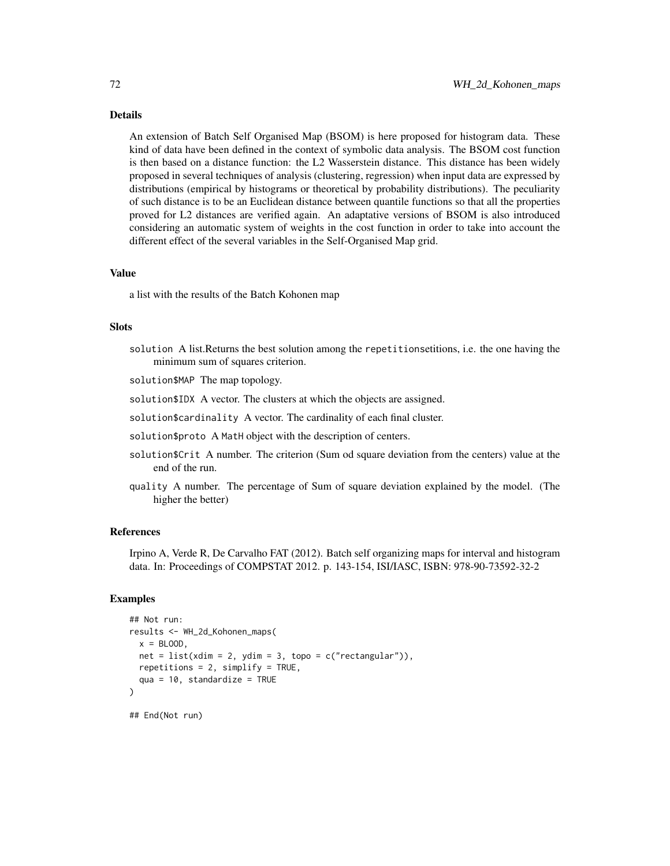#### Details

An extension of Batch Self Organised Map (BSOM) is here proposed for histogram data. These kind of data have been defined in the context of symbolic data analysis. The BSOM cost function is then based on a distance function: the L2 Wasserstein distance. This distance has been widely proposed in several techniques of analysis (clustering, regression) when input data are expressed by distributions (empirical by histograms or theoretical by probability distributions). The peculiarity of such distance is to be an Euclidean distance between quantile functions so that all the properties proved for L2 distances are verified again. An adaptative versions of BSOM is also introduced considering an automatic system of weights in the cost function in order to take into account the different effect of the several variables in the Self-Organised Map grid.

#### Value

a list with the results of the Batch Kohonen map

#### **Slots**

- solution A list.Returns the best solution among the repetitionsetitions, i.e. the one having the minimum sum of squares criterion.
- solution\$MAP The map topology.
- solution\$IDX A vector. The clusters at which the objects are assigned.
- solution\$cardinality A vector. The cardinality of each final cluster.
- solution\$proto A MatH object with the description of centers.
- solution\$Crit A number. The criterion (Sum od square deviation from the centers) value at the end of the run.
- quality A number. The percentage of Sum of square deviation explained by the model. (The higher the better)

#### References

Irpino A, Verde R, De Carvalho FAT (2012). Batch self organizing maps for interval and histogram data. In: Proceedings of COMPSTAT 2012. p. 143-154, ISI/IASC, ISBN: 978-90-73592-32-2

```
## Not run:
results <- WH_2d_Kohonen_maps(
 x = BLOOD,
 net = list(xdim = 2, ydim = 3, topo = c("rectangular")),
 repetitions = 2, simplify = TRUE,
 qua = 10, standardize = TRUE
\mathcal{L}## End(Not run)
```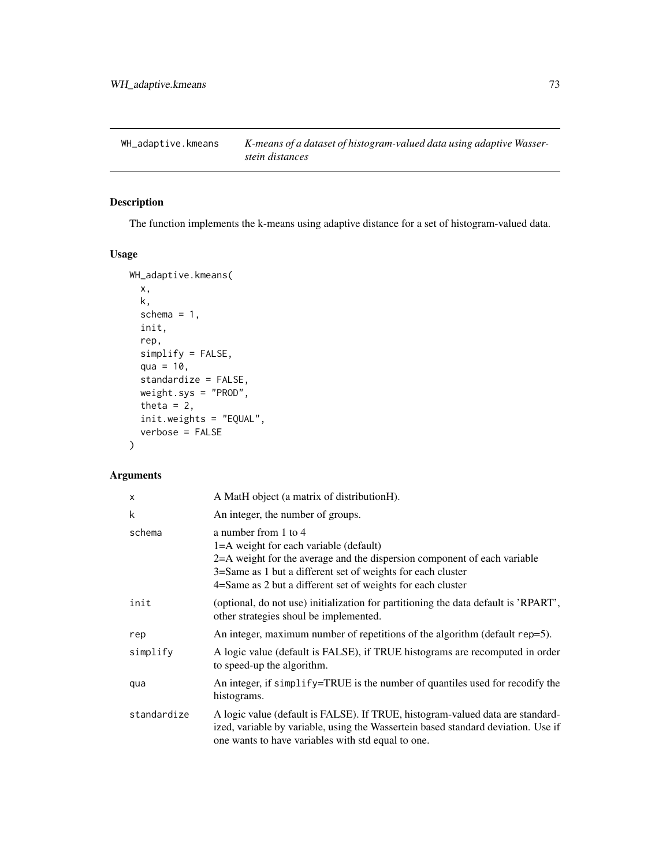<span id="page-72-0"></span>WH\_adaptive.kmeans *K-means of a dataset of histogram-valued data using adaptive Wasserstein distances*

# Description

The function implements the k-means using adaptive distance for a set of histogram-valued data.

# Usage

```
WH_adaptive.kmeans(
  x,
 k,
  schema = 1,
  init,
  rep,
  simplify = FALSE,
  qua = 10,
  standardize = FALSE,
 weight.sys = "PROD",
  theta = 2,
  init.weights = "EQUAL",
  verbose = FALSE
)
```
# Arguments

| $\times$    | A MatH object (a matrix of distributionH).                                                                                                                                                                                                                               |
|-------------|--------------------------------------------------------------------------------------------------------------------------------------------------------------------------------------------------------------------------------------------------------------------------|
| k           | An integer, the number of groups.                                                                                                                                                                                                                                        |
| schema      | a number from 1 to 4<br>1=A weight for each variable (default)<br>2=A weight for the average and the dispersion component of each variable<br>3=Same as 1 but a different set of weights for each cluster<br>4=Same as 2 but a different set of weights for each cluster |
| init        | (optional, do not use) initialization for partitioning the data default is 'RPART',<br>other strategies shoul be implemented.                                                                                                                                            |
| rep         | An integer, maximum number of repetitions of the algorithm (default rep=5).                                                                                                                                                                                              |
| simplify    | A logic value (default is FALSE), if TRUE histograms are recomputed in order<br>to speed-up the algorithm.                                                                                                                                                               |
| qua         | An integer, if simplify=TRUE is the number of quantiles used for recodify the<br>histograms.                                                                                                                                                                             |
| standardize | A logic value (default is FALSE). If TRUE, histogram-valued data are standard-<br>ized, variable by variable, using the Wassertein based standard deviation. Use if<br>one wants to have variables with std equal to one.                                                |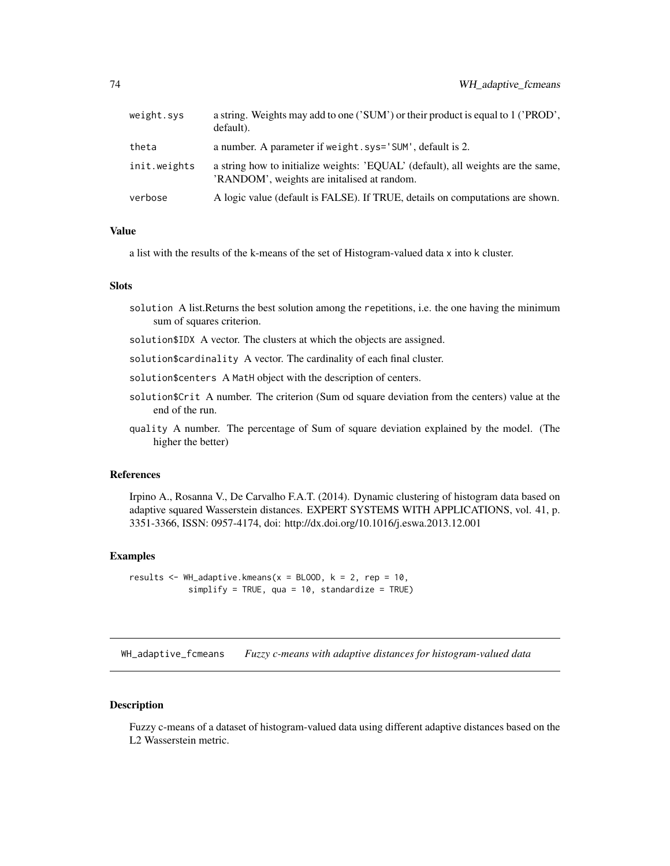<span id="page-73-0"></span>

| default).    |                                                                                                                                 |
|--------------|---------------------------------------------------------------------------------------------------------------------------------|
| theta        | a number. A parameter if weight.sys='SUM', default is 2.                                                                        |
| init.weights | a string how to initialize weights: 'EQUAL' (default), all weights are the same,<br>'RANDOM', weights are initalised at random. |
| verbose      | A logic value (default is FALSE). If TRUE, details on computations are shown.                                                   |

#### Value

a list with the results of the k-means of the set of Histogram-valued data x into k cluster.

#### **Slots**

- solution A list.Returns the best solution among the repetitions, i.e. the one having the minimum sum of squares criterion.
- solution\$IDX A vector. The clusters at which the objects are assigned.
- solution\$cardinality A vector. The cardinality of each final cluster.
- solution\$centers A MatH object with the description of centers.
- solution\$Crit A number. The criterion (Sum od square deviation from the centers) value at the end of the run.
- quality A number. The percentage of Sum of square deviation explained by the model. (The higher the better)

#### References

Irpino A., Rosanna V., De Carvalho F.A.T. (2014). Dynamic clustering of histogram data based on adaptive squared Wasserstein distances. EXPERT SYSTEMS WITH APPLICATIONS, vol. 41, p. 3351-3366, ISSN: 0957-4174, doi: http://dx.doi.org/10.1016/j.eswa.2013.12.001

# Examples

results  $\leq$  WH\_adaptive.kmeans(x = BLOOD, k = 2, rep = 10, simplify = TRUE, qua = 10, standardize = TRUE)

WH\_adaptive\_fcmeans *Fuzzy c-means with adaptive distances for histogram-valued data*

#### Description

Fuzzy c-means of a dataset of histogram-valued data using different adaptive distances based on the L2 Wasserstein metric.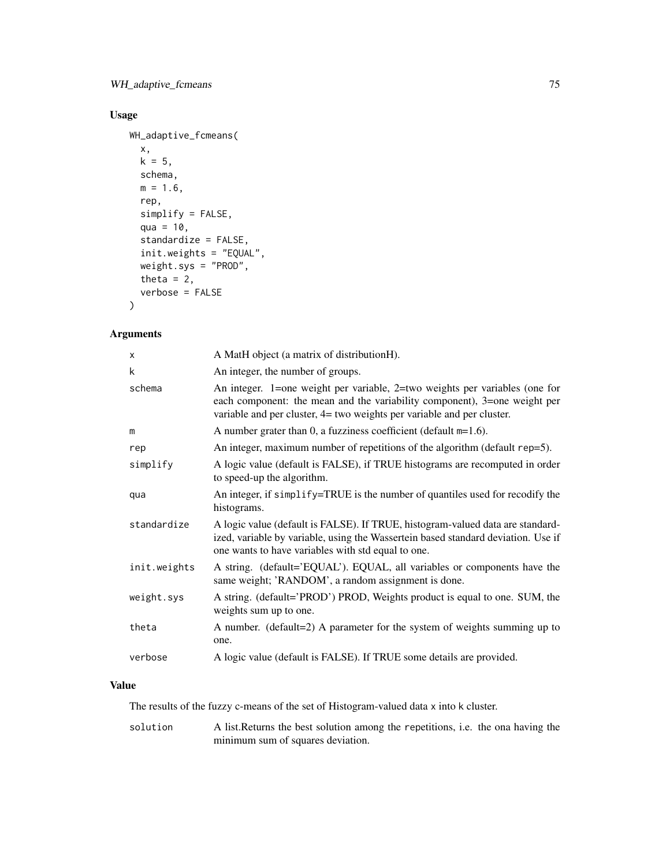# Usage

```
WH_adaptive_fcmeans(
  x,
 k = 5,
 schema,
 m = 1.6,
  rep,
  simplify = FALSE,
  qua = 10,
  standardize = FALSE,
  init.weights = "EQUAL",
 weight.sys = "PROD",
  theta = 2,
  verbose = FALSE
)
```
# Arguments

| X            | A MatH object (a matrix of distributionH).                                                                                                                                                                                           |
|--------------|--------------------------------------------------------------------------------------------------------------------------------------------------------------------------------------------------------------------------------------|
| k            | An integer, the number of groups.                                                                                                                                                                                                    |
| schema       | An integer. 1=one weight per variable, 2=two weights per variables (one for<br>each component: the mean and the variability component), 3=one weight per<br>variable and per cluster, $4=$ two weights per variable and per cluster. |
| m            | A number grater than 0, a fuzziness coefficient (default $m=1.6$ ).                                                                                                                                                                  |
| rep          | An integer, maximum number of repetitions of the algorithm (default rep=5).                                                                                                                                                          |
| simplify     | A logic value (default is FALSE), if TRUE histograms are recomputed in order<br>to speed-up the algorithm.                                                                                                                           |
| qua          | An integer, if simplify=TRUE is the number of quantiles used for recodify the<br>histograms.                                                                                                                                         |
| standardize  | A logic value (default is FALSE). If TRUE, histogram-valued data are standard-<br>ized, variable by variable, using the Wassertein based standard deviation. Use if<br>one wants to have variables with std equal to one.            |
| init.weights | A string. (default='EQUAL'). EQUAL, all variables or components have the<br>same weight; 'RANDOM', a random assignment is done.                                                                                                      |
| weight.sys   | A string. (default='PROD') PROD, Weights product is equal to one. SUM, the<br>weights sum up to one.                                                                                                                                 |
| theta        | A number. (default=2) A parameter for the system of weights summing up to<br>one.                                                                                                                                                    |
| verbose      | A logic value (default is FALSE). If TRUE some details are provided.                                                                                                                                                                 |

# Value

The results of the fuzzy c-means of the set of Histogram-valued data x into k cluster.

solution A list.Returns the best solution among the repetitions, i.e. the ona having the minimum sum of squares deviation.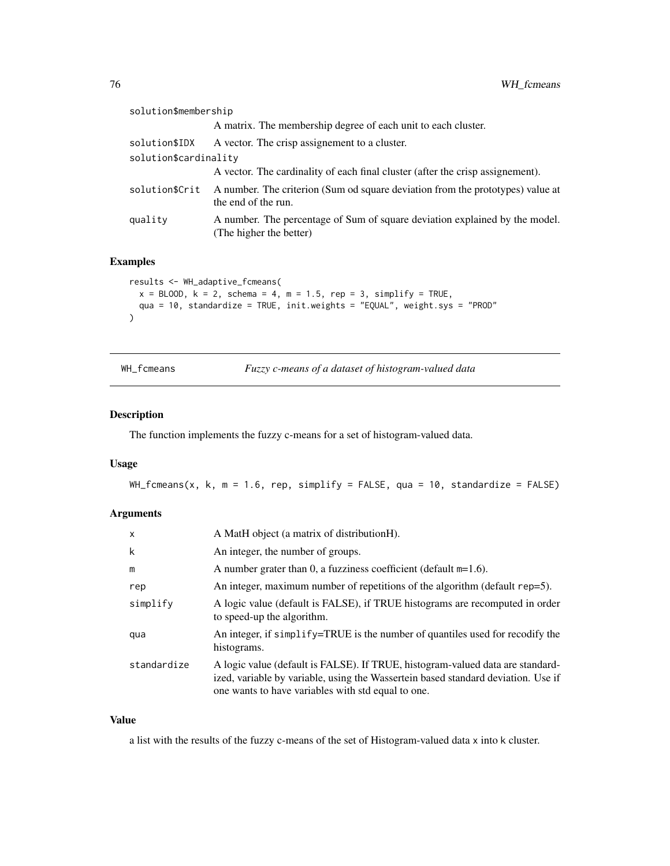<span id="page-75-0"></span>

| solution\$membership  |                                                                                                        |
|-----------------------|--------------------------------------------------------------------------------------------------------|
|                       | A matrix. The membership degree of each unit to each cluster.                                          |
| solution\$IDX         | A vector. The crisp assignement to a cluster.                                                          |
| solution\$cardinality |                                                                                                        |
|                       | A vector. The cardinality of each final cluster (after the crisp assignement).                         |
| solution\$Crit        | A number. The criterion (Sum od square deviation from the prototypes) value at<br>the end of the run.  |
| quality               | A number. The percentage of Sum of square deviation explained by the model.<br>(The higher the better) |

# Examples

```
results <- WH_adaptive_fcmeans(
  x = BLOOD, k = 2, schema = 4, m = 1.5, rep = 3, simplify = TRUE,
  qua = 10, standardize = TRUE, init.weights = "EQUAL", weight.sys = "PROD"
\mathcal{L}
```
WH\_fcmeans *Fuzzy c-means of a dataset of histogram-valued data*

# Description

The function implements the fuzzy c-means for a set of histogram-valued data.

# Usage

WH\_fcmeans(x, k, m = 1.6, rep, simplify = FALSE, qua = 10, standardize = FALSE)

#### Arguments

| $\mathsf{x}$ | A MatH object (a matrix of distributionH).                                                                                                                                                                                |
|--------------|---------------------------------------------------------------------------------------------------------------------------------------------------------------------------------------------------------------------------|
| k            | An integer, the number of groups.                                                                                                                                                                                         |
| m            | A number grater than 0, a fuzziness coefficient (default $m=1.6$ ).                                                                                                                                                       |
| rep          | An integer, maximum number of repetitions of the algorithm (default $rep=5$ ).                                                                                                                                            |
| simplify     | A logic value (default is FALSE), if TRUE histograms are recomputed in order<br>to speed-up the algorithm.                                                                                                                |
| qua          | An integer, if simplify=TRUE is the number of quantiles used for recodify the<br>histograms.                                                                                                                              |
| standardize  | A logic value (default is FALSE). If TRUE, histogram-valued data are standard-<br>ized, variable by variable, using the Wassertein based standard deviation. Use if<br>one wants to have variables with std equal to one. |

#### Value

a list with the results of the fuzzy c-means of the set of Histogram-valued data x into k cluster.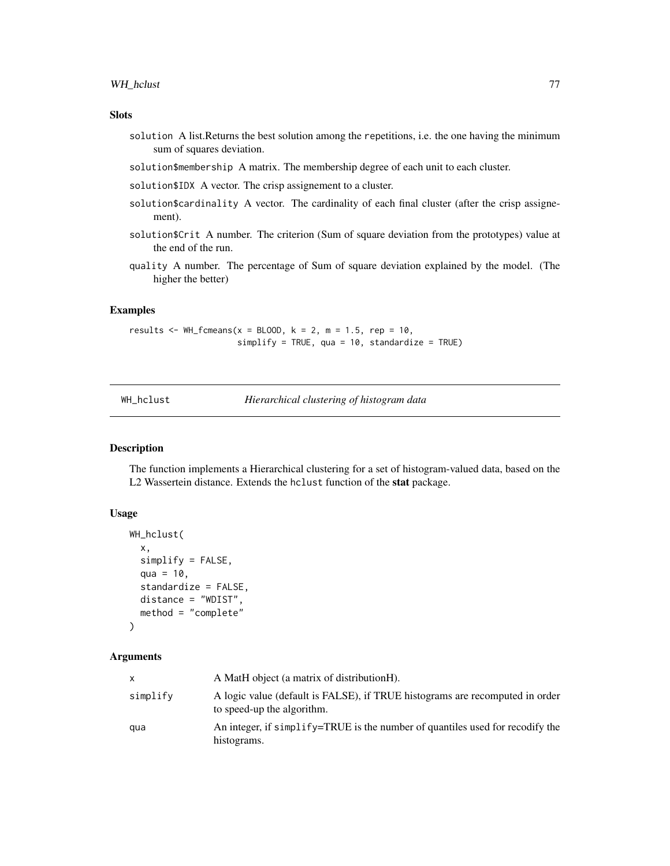#### <span id="page-76-0"></span>Slots

- solution A list.Returns the best solution among the repetitions, i.e. the one having the minimum sum of squares deviation.
- solution\$membership A matrix. The membership degree of each unit to each cluster.
- solution\$IDX A vector. The crisp assignement to a cluster.
- solution \$cardinality A vector. The cardinality of each final cluster (after the crisp assignement).
- solution\$Crit A number. The criterion (Sum of square deviation from the prototypes) value at the end of the run.
- quality A number. The percentage of Sum of square deviation explained by the model. (The higher the better)

# Examples

results  $\leq$  WH\_fcmeans(x = BLOOD, k = 2, m = 1.5, rep = 10,  $simplify = TRUE, qua = 10, standardize = TRUE)$ 

WH\_hclust *Hierarchical clustering of histogram data*

# Description

The function implements a Hierarchical clustering for a set of histogram-valued data, based on the L2 Wassertein distance. Extends the hclust function of the stat package.

#### Usage

```
WH_hclust(
  x,
  simplify = FALSE,
  qua = 10,
  standardize = FALSE,
 distance = "WDIST",
 method = "complete"
```
#### )

#### Arguments

| x.       | A MatH object (a matrix of distributionH).                                                                 |
|----------|------------------------------------------------------------------------------------------------------------|
| simplify | A logic value (default is FALSE), if TRUE histograms are recomputed in order<br>to speed-up the algorithm. |
| qua      | An integer, if $\sinh f$ $\sqrt{-T}$ RUE is the number of quantiles used for recodify the<br>histograms.   |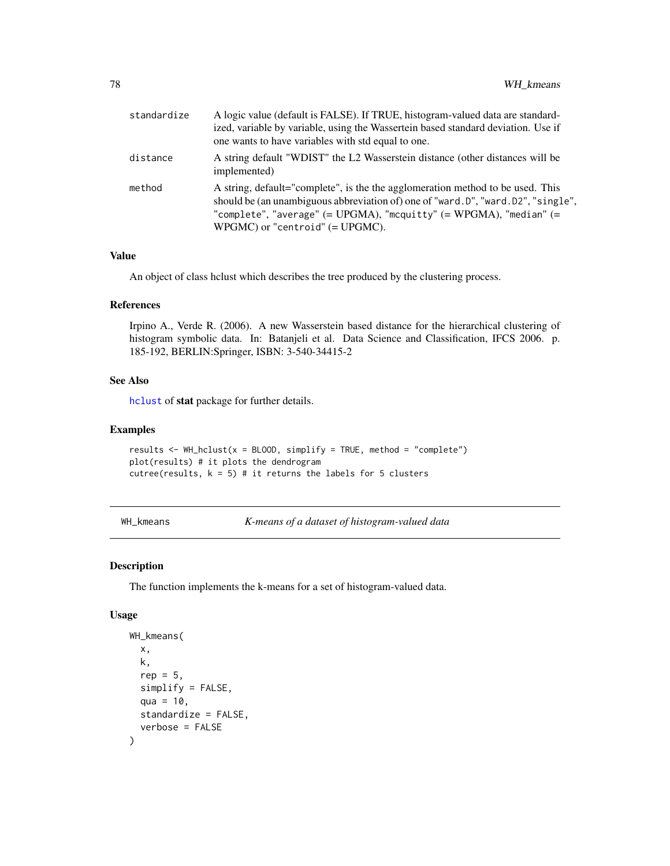<span id="page-77-0"></span>

| standardize | A logic value (default is FALSE). If TRUE, histogram-valued data are standard-<br>ized, variable by variable, using the Wassertein based standard deviation. Use if<br>one wants to have variables with std equal to one.                                                                 |
|-------------|-------------------------------------------------------------------------------------------------------------------------------------------------------------------------------------------------------------------------------------------------------------------------------------------|
| distance    | A string default "WDIST" the L2 Wasserstein distance (other distances will be<br>implemented)                                                                                                                                                                                             |
| method      | A string, default="complete", is the the agglomeration method to be used. This<br>should be (an unambiguous abbreviation of) one of "ward.D", "ward.D2", "single",<br>"complete", "average" $(= UPGMA)$ , "mcquitty" $(= WPGMA)$ , "median" $(=$<br>$WPGMC$ ) or "centroid" (= $UPGMC$ ). |

#### Value

An object of class hclust which describes the tree produced by the clustering process.

#### References

Irpino A., Verde R. (2006). A new Wasserstein based distance for the hierarchical clustering of histogram symbolic data. In: Batanjeli et al. Data Science and Classification, IFCS 2006. p. 185-192, BERLIN:Springer, ISBN: 3-540-34415-2

#### See Also

[hclust](#page-0-0) of stat package for further details.

#### Examples

```
results <- WH_hclust(x = BLOOD, simplify = TRUE, method = "complete")
plot(results) # it plots the dendrogram
cutree(results, k = 5) # it returns the labels for 5 clusters
```
WH\_kmeans *K-means of a dataset of histogram-valued data*

# Description

The function implements the k-means for a set of histogram-valued data.

#### Usage

```
WH_kmeans(
  x,
  k,
  rep = 5.
  simplify = FALSE,
  qua = 10,
  standardize = FALSE,
  verbose = FALSE
)
```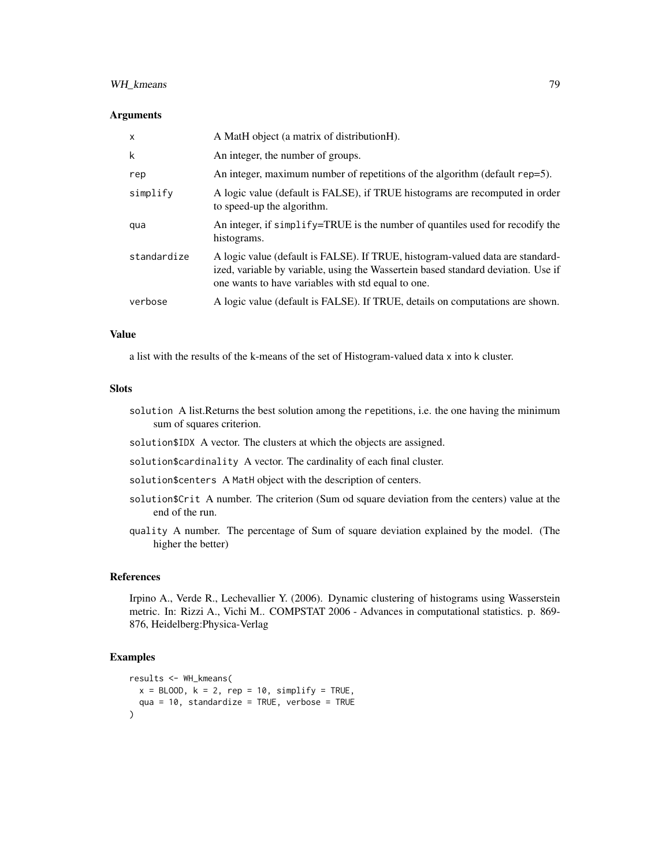## WH\_kmeans 79

#### Arguments

| $\mathsf{x}$ | A MatH object (a matrix of distributionH).                                                                                                                                                                                |
|--------------|---------------------------------------------------------------------------------------------------------------------------------------------------------------------------------------------------------------------------|
| k            | An integer, the number of groups.                                                                                                                                                                                         |
| rep          | An integer, maximum number of repetitions of the algorithm (default rep=5).                                                                                                                                               |
| simplify     | A logic value (default is FALSE), if TRUE histograms are recomputed in order<br>to speed-up the algorithm.                                                                                                                |
| qua          | An integer, if simplify=TRUE is the number of quantiles used for recodify the<br>histograms.                                                                                                                              |
| standardize  | A logic value (default is FALSE). If TRUE, histogram-valued data are standard-<br>ized, variable by variable, using the Wassertein based standard deviation. Use if<br>one wants to have variables with std equal to one. |
| verbose      | A logic value (default is FALSE). If TRUE, details on computations are shown.                                                                                                                                             |

#### Value

a list with the results of the k-means of the set of Histogram-valued data x into k cluster.

#### Slots

- solution A list.Returns the best solution among the repetitions, i.e. the one having the minimum sum of squares criterion.
- solution\$IDX A vector. The clusters at which the objects are assigned.
- solution\$cardinality A vector. The cardinality of each final cluster.
- solution\$centers A MatH object with the description of centers.
- solution\$Crit A number. The criterion (Sum od square deviation from the centers) value at the end of the run.
- quality A number. The percentage of Sum of square deviation explained by the model. (The higher the better)

## References

Irpino A., Verde R., Lechevallier Y. (2006). Dynamic clustering of histograms using Wasserstein metric. In: Rizzi A., Vichi M.. COMPSTAT 2006 - Advances in computational statistics. p. 869- 876, Heidelberg:Physica-Verlag

#### Examples

```
results <- WH_kmeans(
  x = BLOOD, k = 2, rep = 10, simplify = TRUE,qua = 10, standardize = TRUE, verbose = TRUE
\mathcal{L}
```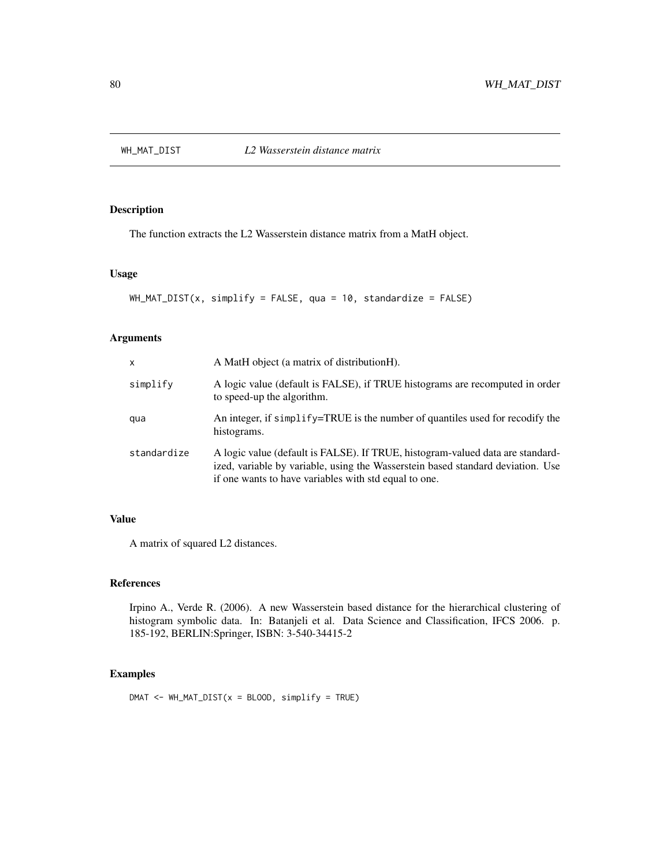<span id="page-79-0"></span>

# Description

The function extracts the L2 Wasserstein distance matrix from a MatH object.

#### Usage

```
WH_MAT_DIST(x, simplify = FALSE, qua = 10, standardize = FALSE)
```
## Arguments

| $\mathsf{x}$ | A MatH object (a matrix of distributionH).                                                                                                                                                                                 |
|--------------|----------------------------------------------------------------------------------------------------------------------------------------------------------------------------------------------------------------------------|
| simplify     | A logic value (default is FALSE), if TRUE histograms are recomputed in order<br>to speed-up the algorithm.                                                                                                                 |
| qua          | An integer, if simplify=TRUE is the number of quantiles used for recodify the<br>histograms.                                                                                                                               |
| standardize  | A logic value (default is FALSE). If TRUE, histogram-valued data are standard-<br>ized, variable by variable, using the Wasserstein based standard deviation. Use<br>if one wants to have variables with std equal to one. |

# Value

A matrix of squared L2 distances.

# References

Irpino A., Verde R. (2006). A new Wasserstein based distance for the hierarchical clustering of histogram symbolic data. In: Batanjeli et al. Data Science and Classification, IFCS 2006. p. 185-192, BERLIN:Springer, ISBN: 3-540-34415-2

# Examples

 $DMAT < - WH_MAT_DIST(x = BLOOD, simplify = TRUE)$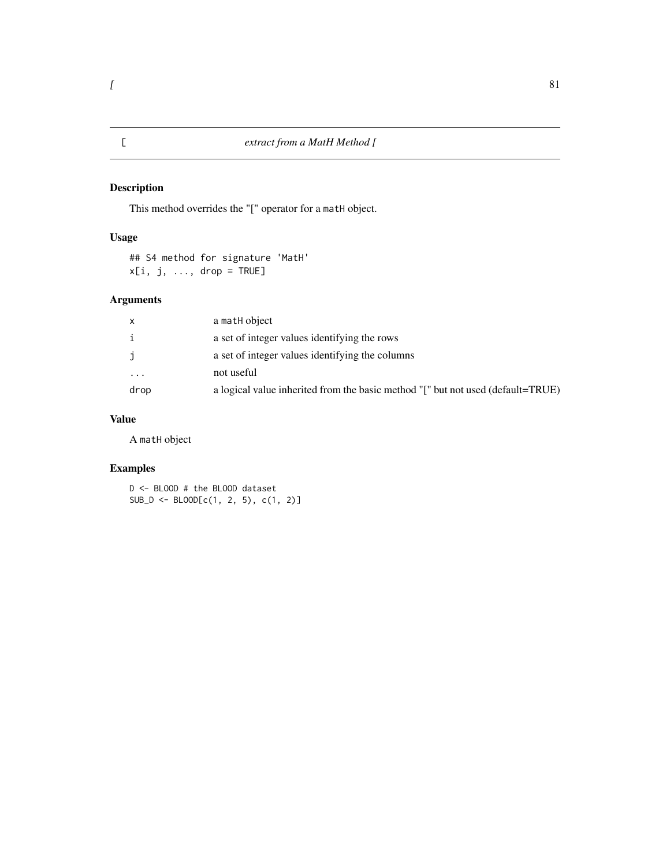# Description

This method overrides the "[" operator for a matH object.

# Usage

## S4 method for signature 'MatH'  $x[i, j, ..., drop = TRUE]$ 

# Arguments

| X        | a math object                                                                   |
|----------|---------------------------------------------------------------------------------|
| i        | a set of integer values identifying the rows                                    |
| j        | a set of integer values identifying the columns                                 |
| $\cdots$ | not useful                                                                      |
| drop     | a logical value inherited from the basic method "[" but not used (default=TRUE) |

# Value

A matH object

# Examples

D <- BLOOD # the BLOOD dataset  $SUB\_D \leftarrow BLOOD[C(1, 2, 5), c(1, 2)]$ 

# <span id="page-80-0"></span> $\lbrack$  81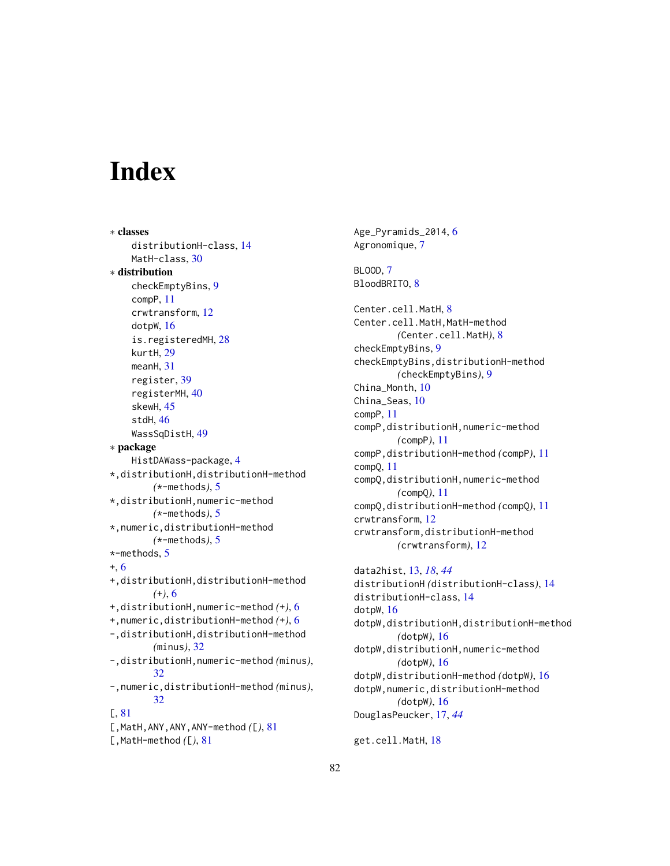# **Index**

∗ classes distributionH-class, [14](#page-13-0) MatH-class, [30](#page-29-0) ∗ distribution checkEmptyBins, [9](#page-8-0) compP, [11](#page-10-0) crwtransform, [12](#page-11-0) dotpW, [16](#page-15-0) is.registeredMH, [28](#page-27-0) kurtH, [29](#page-28-0) meanH, [31](#page-30-0) register, [39](#page-38-0) registerMH, [40](#page-39-0) skewH, [45](#page-44-0) stdH, [46](#page-45-0) WassSqDistH, [49](#page-48-0) ∗ package HistDAWass-package, [4](#page-3-0) \*,distributionH,distributionH-method *(*\*-methods*)*, [5](#page-4-0) \*,distributionH,numeric-method *(*\*-methods*)*, [5](#page-4-0) \*,numeric,distributionH-method *(*\*-methods*)*, [5](#page-4-0) \*-methods, [5](#page-4-0) +, [6](#page-5-0) +,distributionH,distributionH-method *(*+*)*, [6](#page-5-0) +,distributionH,numeric-method *(*+*)*, [6](#page-5-0) +,numeric,distributionH-method *(*+*)*, [6](#page-5-0) -,distributionH,distributionH-method *(*minus*)*, [32](#page-31-0) -,distributionH,numeric-method *(*minus*)*, [32](#page-31-0) -,numeric,distributionH-method *(*minus*)*, [32](#page-31-0) [, [81](#page-80-0) [,MatH,ANY,ANY,ANY-method *(*[*)*, [81](#page-80-0) [,MatH-method *(*[*)*, [81](#page-80-0)

Age\_Pyramids\_2014, [6](#page-5-0) Agronomique, [7](#page-6-0) BLOOD, [7](#page-6-0) BloodBRITO, [8](#page-7-0) Center.cell.MatH, [8](#page-7-0) Center.cell.MatH,MatH-method *(*Center.cell.MatH*)*, [8](#page-7-0) checkEmptyBins, [9](#page-8-0) checkEmptyBins,distributionH-method *(*checkEmptyBins*)*, [9](#page-8-0) China\_Month, [10](#page-9-0) China\_Seas, [10](#page-9-0) compP, [11](#page-10-0) compP,distributionH,numeric-method *(*compP*)*, [11](#page-10-0) compP,distributionH-method *(*compP*)*, [11](#page-10-0) compQ, [11](#page-10-0) compQ,distributionH,numeric-method *(*compQ*)*, [11](#page-10-0) compQ,distributionH-method *(*compQ*)*, [11](#page-10-0) crwtransform, [12](#page-11-0) crwtransform,distributionH-method *(*crwtransform*)*, [12](#page-11-0) data2hist, [13,](#page-12-0) *[18](#page-17-0)*, *[44](#page-43-0)* distributionH *(*distributionH-class*)*, [14](#page-13-0) distributionH-class, [14](#page-13-0) dotpW, [16](#page-15-0) dotpW,distributionH,distributionH-method *(*dotpW*)*, [16](#page-15-0) dotpW,distributionH,numeric-method *(*dotpW*)*, [16](#page-15-0) dotpW,distributionH-method *(*dotpW*)*, [16](#page-15-0) dotpW,numeric,distributionH-method *(*dotpW*)*, [16](#page-15-0) DouglasPeucker, [17,](#page-16-0) *[44](#page-43-0)*

get.cell.MatH, [18](#page-17-0)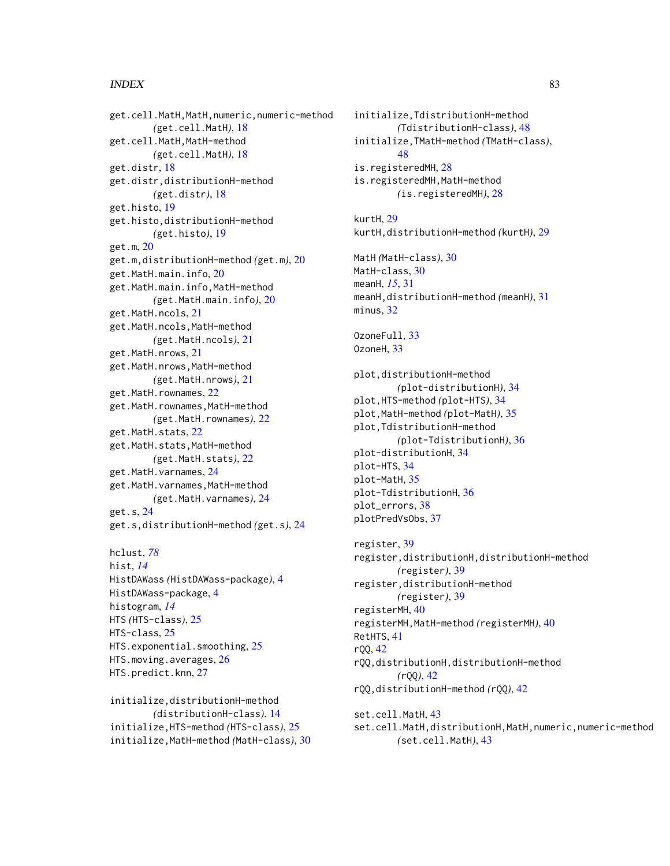#### INDEX  $83$

get.cell.MatH,MatH,numeric,numeric-method *(*get.cell.MatH*)*, [18](#page-17-0) get.cell.MatH,MatH-method *(*get.cell.MatH*)*, [18](#page-17-0) get.distr, [18](#page-17-0) get.distr,distributionH-method *(*get.distr*)*, [18](#page-17-0) get.histo, [19](#page-18-0) get.histo,distributionH-method *(*get.histo*)*, [19](#page-18-0) get.m, [20](#page-19-0) get.m,distributionH-method *(*get.m*)*, [20](#page-19-0) get.MatH.main.info, [20](#page-19-0) get.MatH.main.info,MatH-method *(*get.MatH.main.info*)*, [20](#page-19-0) get.MatH.ncols, [21](#page-20-0) get.MatH.ncols,MatH-method *(*get.MatH.ncols*)*, [21](#page-20-0) get.MatH.nrows, [21](#page-20-0) get.MatH.nrows,MatH-method *(*get.MatH.nrows*)*, [21](#page-20-0) get.MatH.rownames, [22](#page-21-0) get.MatH.rownames,MatH-method *(*get.MatH.rownames*)*, [22](#page-21-0) get.MatH.stats, [22](#page-21-0) get.MatH.stats,MatH-method *(*get.MatH.stats*)*, [22](#page-21-0) get.MatH.varnames, [24](#page-23-0) get.MatH.varnames,MatH-method *(*get.MatH.varnames*)*, [24](#page-23-0) get.s, [24](#page-23-0) get.s,distributionH-method *(*get.s*)*, [24](#page-23-0)

```
hclust, 78
hist, 14
HistDAWass (HistDAWass-package), 4
HistDAWass-package, 4
histogram, 14
HTS (HTS-class), 25
HTS-class, 25
HTS.exponential.smoothing, 25
HTS.moving.averages, 26
HTS.predict.knn, 27
```
initialize,distributionH-method *(*distributionH-class*)*, [14](#page-13-0) initialize,HTS-method *(*HTS-class*)*, [25](#page-24-0) initialize,MatH-method *(*MatH-class*)*, [30](#page-29-0)

initialize,TdistributionH-method *(*TdistributionH-class*)*, [48](#page-47-0) initialize,TMatH-method *(*TMatH-class*)*, [48](#page-47-0) is.registeredMH, [28](#page-27-0) is.registeredMH,MatH-method *(*is.registeredMH*)*, [28](#page-27-0) kurtH, [29](#page-28-0) kurtH,distributionH-method *(*kurtH*)*, [29](#page-28-0) MatH *(*MatH-class*)*, [30](#page-29-0) MatH-class, [30](#page-29-0) meanH, *[15](#page-14-0)*, [31](#page-30-0) meanH,distributionH-method *(*meanH*)*, [31](#page-30-0) minus, [32](#page-31-0) OzoneFull, [33](#page-32-0) OzoneH, [33](#page-32-0) plot,distributionH-method *(*plot-distributionH*)*, [34](#page-33-0) plot,HTS-method *(*plot-HTS*)*, [34](#page-33-0) plot,MatH-method *(*plot-MatH*)*, [35](#page-34-0) plot,TdistributionH-method *(*plot-TdistributionH*)*, [36](#page-35-0) plot-distributionH, [34](#page-33-0) plot-HTS, [34](#page-33-0) plot-MatH, [35](#page-34-0) plot-TdistributionH, [36](#page-35-0) plot\_errors, [38](#page-37-0) plotPredVsObs, [37](#page-36-0) register, [39](#page-38-0) register,distributionH,distributionH-method *(*register*)*, [39](#page-38-0) register,distributionH-method *(*register*)*, [39](#page-38-0) registerMH, [40](#page-39-0) registerMH,MatH-method *(*registerMH*)*, [40](#page-39-0) RetHTS, [41](#page-40-0) rQQ, [42](#page-41-0) rQQ,distributionH,distributionH-method *(*rQQ*)*, [42](#page-41-0) rQQ,distributionH-method *(*rQQ*)*, [42](#page-41-0)

set.cell.MatH, [43](#page-42-0) set.cell.MatH,distributionH,MatH,numeric,numeric-method *(*set.cell.MatH*)*, [43](#page-42-0)